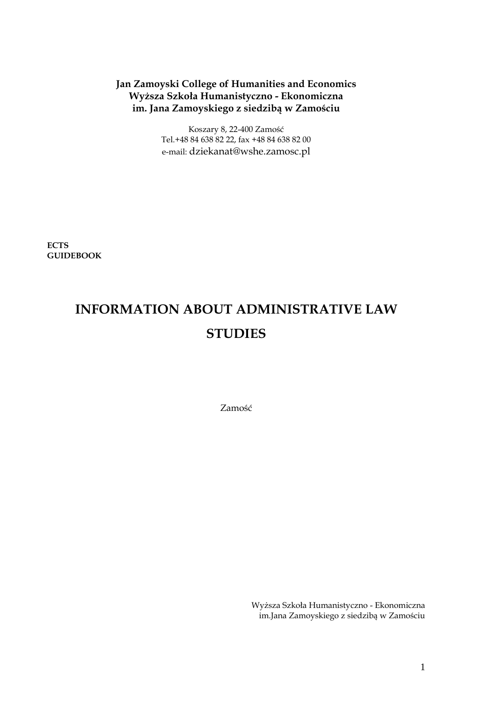# **Jan Zamoyski College of Humanities and Economics Wyższa Szkoła Humanistyczno - Ekonomiczna im. Jana Zamoyskiego z siedzibą w Zamościu**

Koszary 8, 22-400 Zamość Tel.+48 84 638 82 22, fax +48 84 638 82 00 e-mail: dziekanat@wshe.zamosc.pl

**ECTS GUIDEBOOK**

# **INFORMATION ABOUT ADMINISTRATIVE LAW STUDIES**

Zamość

Wyższa Szkoła Humanistyczno - Ekonomiczna im.Jana Zamoyskiego z siedzibą w Zamościu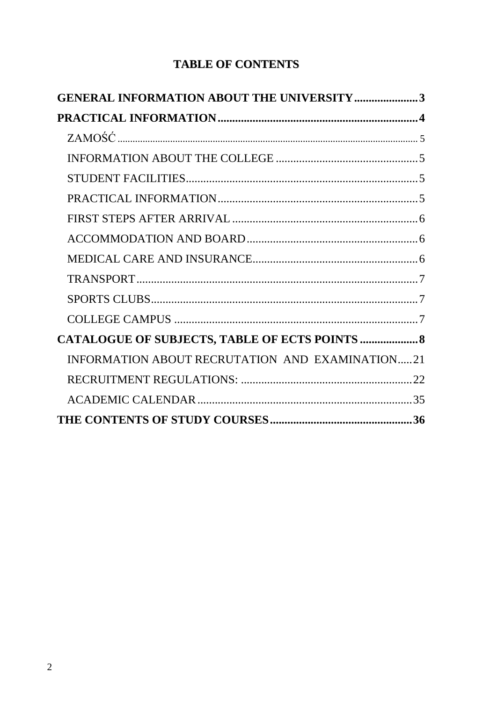# **TABLE OF CONTENTS**

| <b>GENERAL INFORMATION ABOUT THE UNIVERSITY 3</b> |  |
|---------------------------------------------------|--|
|                                                   |  |
|                                                   |  |
|                                                   |  |
|                                                   |  |
|                                                   |  |
|                                                   |  |
|                                                   |  |
|                                                   |  |
|                                                   |  |
|                                                   |  |
|                                                   |  |
| CATALOGUE OF SUBJECTS, TABLE OF ECTS POINTS  8    |  |
| INFORMATION ABOUT RECRUTATION AND EXAMINATION21   |  |
|                                                   |  |
|                                                   |  |
|                                                   |  |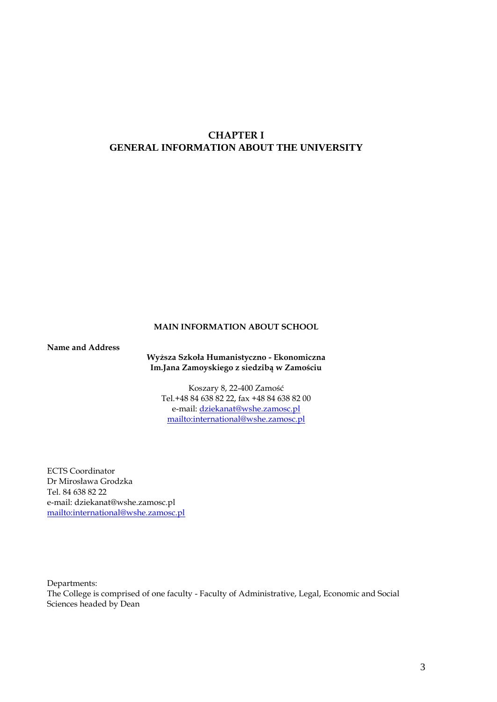# <span id="page-2-0"></span>**CHAPTER I GENERAL INFORMATION ABOUT THE UNIVERSITY**

## **MAIN INFORMATION ABOUT SCHOOL**

**Name and Address**

**Wyższa Szkoła Humanistyczno - Ekonomiczna Im.Jana Zamoyskiego z siedzibą w Zamościu**

Koszary 8, 22-400 Zamość Tel.+48 84 638 82 22, fax +48 84 638 82 00 e-mail: [dziekanat@wshe.zamosc.pl](mailto:dziekanat@wshe.zamosc.pl) <mailto:international@wshe.zamosc.pl>

ECTS Coordinator Dr Mirosława Grodzka Tel. 84 638 82 22 e-mail: dziekanat@wshe.zamosc.pl <mailto:international@wshe.zamosc.pl>

Departments: The College is comprised of one faculty - Faculty of Administrative, Legal, Economic and Social Sciences headed by Dean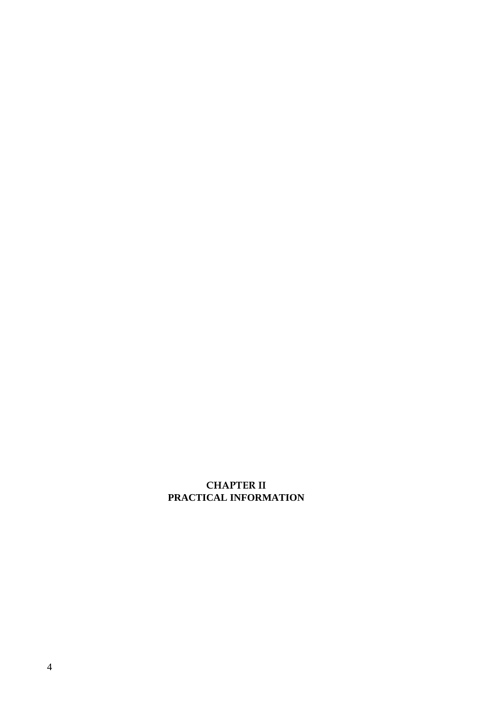# <span id="page-3-0"></span>**CHAPTER II PRACTICAL INFORMATION**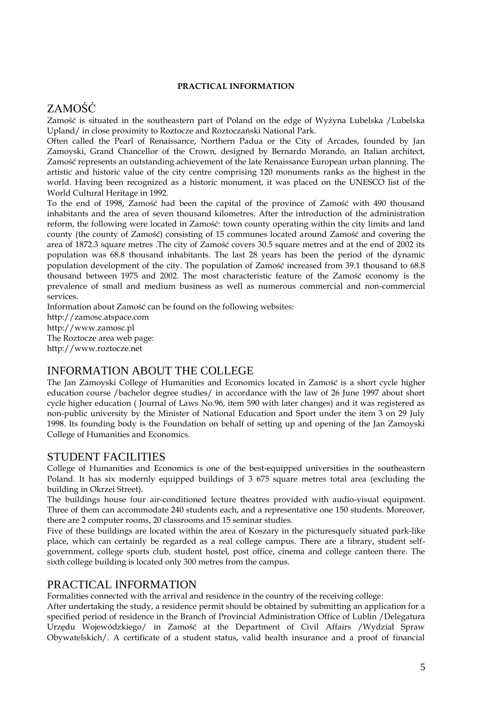## **PRACTICAL INFORMATION**

# <span id="page-4-0"></span>ZAMOŚĆ

Zamość is situated in the southeastern part of Poland on the edge of Wyżyna Lubelska /Lubelska Upland/ in close proximity to Roztocze and Roztoczański National Park.

Often called the Pearl of Renaissance, Northern Padua or the City of Arcades, founded by Jan Zamoyski, Grand Chancellor of the Crown, designed by Bernardo Morando, an Italian architect, Zamość represents an outstanding achievement of the late Renaissance European urban planning. The artistic and historic value of the city centre comprising 120 monuments ranks as the highest in the world. Having been recognized as a historic monument, it was placed on the UNESCO list of the World Cultural Heritage in 1992.

To the end of 1998, Zamość had been the capital of the province of Zamość with 490 thousand inhabitants and the area of seven thousand kilometres. After the introduction of the administration reform, the following were located in Zamość: town county operating within the city limits and land county (the county of Zamość) consisting of 15 communes located around Zamość and covering the area of 1872.3 square metres .The city of Zamość covers 30.5 square metres and at the end of 2002 its population was 68.8 thousand inhabitants. The last 28 years has been the period of the dynamic population development of the city. The population of Zamość increased from 39.1 thousand to 68.8 thousand between 1975 and 2002. The most characteristic feature of the Zamość economy is the prevalence of small and medium business as well as numerous commercial and non-commercial services.

Information about Zamość can be found on the following websites: http://zamosc.atspace.com http://www.zamosc.pl The Roztocze area web page: http://www.roztocze.net

# <span id="page-4-1"></span>INFORMATION ABOUT THE COLLEGE

The Jan Zamoyski College of Humanities and Economics located in Zamość is a short cycle higher education course /bachelor degree studies/ in accordance with the law of 26 June 1997 about short cycle higher education ( Journal of Laws No.96, item 590 with later changes) and it was registered as non-public university by the Minister of National Education and Sport under the item 3 on 29 July 1998. Its founding body is the Foundation on behalf of setting up and opening of the Jan Zamoyski College of Humanities and Economics.

# <span id="page-4-2"></span>STUDENT FACILITIES

College of Humanities and Economics is one of the best-equipped universities in the southeastern Poland. It has six modernly equipped buildings of 3 675 square metres total area (excluding the building in Okrzei Street).

The buildings house four air-conditioned lecture theatres provided with audio-visual equipment. Three of them can accommodate 240 students each, and a representative one 150 students. Moreover, there are 2 computer rooms, 20 classrooms and 15 seminar studies.

Five of these buildings are located within the area of Koszary in the picturesquely situated park-like place, which can certainly be regarded as a real college campus. There are a library, student selfgovernment, college sports club, student hostel, post office, cinema and college canteen there. The sixth college building is located only 300 metres from the campus.

# <span id="page-4-3"></span>PRACTICAL INFORMATION

Formalities connected with the arrival and residence in the country of the receiving college:

After undertaking the study, a residence permit should be obtained by submitting an application for a specified period of residence in the Branch of Provincial Administration Office of Lublin /Delegatura Urzędu Wojewódzkiego/ in Zamość at the Department of Civil Affairs /Wydział Spraw Obywatelskich/. A certificate of a student status, valid health insurance and a proof of financial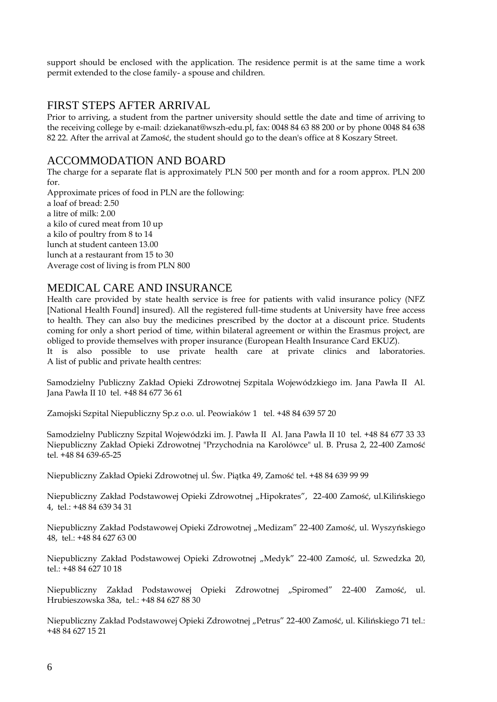support should be enclosed with the application. The residence permit is at the same time a work permit extended to the close family- a spouse and children.

# <span id="page-5-0"></span>FIRST STEPS AFTER ARRIVAL

Prior to arriving, a student from the partner university should settle the date and time of arriving to the receiving college by e-mail: dziekanat@wszh-edu.pl, fax: 0048 84 63 88 200 or by phone 0048 84 638 82 22. After the arrival at Zamość, the student should go to the dean's office at 8 Koszary Street.

# <span id="page-5-1"></span>ACCOMMODATION AND BOARD

The charge for a separate flat is approximately PLN 500 per month and for a room approx. PLN 200 for.

Approximate prices of food in PLN are the following: a loaf of bread: 2.50 a litre of milk: 2.00 a kilo of cured meat from 10 up a kilo of poultry from 8 to 14 lunch at student canteen 13.00 lunch at a restaurant from 15 to 30 Average cost of living is from PLN 800

# <span id="page-5-2"></span>MEDICAL CARE AND INSURANCE

Health care provided by state health service is free for patients with valid insurance policy (NFZ [National Health Found] insured). All the registered full-time students at University have free access to health. They can also buy the medicines prescribed by the doctor at a discount price. Students coming for only a short period of time, within bilateral agreement or within the Erasmus project, are obliged to provide themselves with proper insurance (European Health Insurance Card EKUZ).

It is also possible to use private health care at private clinics and laboratories. A list of public and private health centres:

Samodzielny Publiczny Zakład Opieki Zdrowotnej Szpitala Wojewódzkiego im. Jana Pawła II Al. Jana Pawła II 10 tel. +48 84 677 36 61

Zamojski Szpital Niepubliczny Sp.z o.o. ul. Peowiaków 1 tel. +48 84 639 57 20

Samodzielny Publiczny Szpital Wojewódzki im. J. Pawła II Al. Jana Pawła II 10 tel. +48 84 677 33 33 Niepubliczny Zakład Opieki Zdrowotnej "Przychodnia na Karolówce" ul. B. Prusa 2, 22-400 Zamość tel. +48 84 639-65-25

Niepubliczny Zakład Opieki Zdrowotnej ul. Św. Piątka 49, Zamość tel. +48 84 639 99 99

Niepubliczny Zakład Podstawowej Opieki Zdrowotnej "Hipokrates", 22-400 Zamość, ul.Kilińskiego 4, tel.: +48 84 639 34 31

Niepubliczny Zakład Podstawowej Opieki Zdrowotnej "Medizam" 22-400 Zamość, ul. Wyszyńskiego 48, tel.: +48 84 627 63 00

Niepubliczny Zakład Podstawowej Opieki Zdrowotnej "Medyk" 22-400 Zamość, ul. Szwedzka 20, tel.: +48 84 627 10 18

Niepubliczny Zakład Podstawowej Opieki Zdrowotnej "Spiromed" 22-400 Zamość, ul. Hrubieszowska 38a, tel.: +48 84 627 88 30

Niepubliczny Zakład Podstawowej Opieki Zdrowotnej "Petrus" 22-400 Zamość, ul. Kilińskiego 71 tel.: +48 84 627 15 21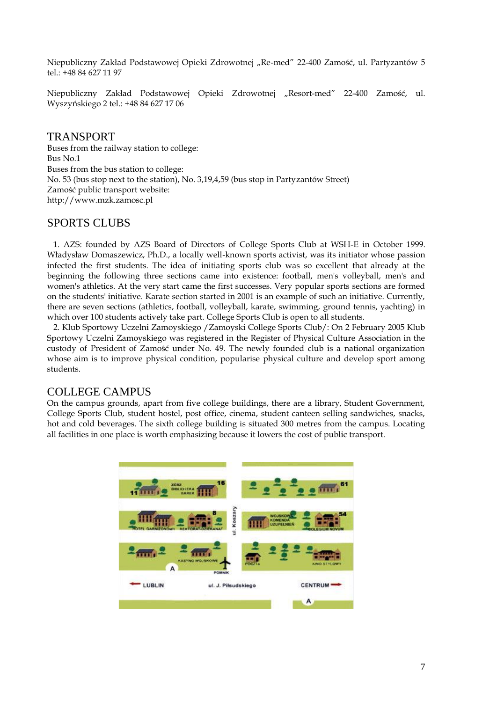Niepubliczny Zakład Podstawowej Opieki Zdrowotnej "Re-med" 22-400 Zamość, ul. Partyzantów 5 tel.: +48 84 627 11 97

Niepubliczny Zakład Podstawowej Opieki Zdrowotnej "Resort-med" 22-400 Zamość, ul. Wyszyńskiego 2 tel.: +48 84 627 17 06

# <span id="page-6-0"></span>TRANSPORT

Buses from the railway station to college: Bus No.1 Buses from the bus station to college: No. 53 (bus stop next to the station), No. 3,19,4,59 (bus stop in Partyzantów Street) Zamość public transport website: http://www.mzk.zamosc.pl

# <span id="page-6-1"></span>SPORTS CLUBS

 1. AZS: founded by AZS Board of Directors of College Sports Club at WSH-E in October 1999. Władysław Domaszewicz, Ph.D., a locally well-known sports activist, was its initiator whose passion infected the first students. The idea of initiating sports club was so excellent that already at the beginning the following three sections came into existence: football, men's volleyball, men's and women's athletics. At the very start came the first successes. Very popular sports sections are formed on the students' initiative. Karate section started in 2001 is an example of such an initiative. Currently, there are seven sections (athletics, football, volleyball, karate, swimming, ground tennis, yachting) in which over 100 students actively take part. College Sports Club is open to all students.

 2. Klub Sportowy Uczelni Zamoyskiego /Zamoyski College Sports Club/: On 2 February 2005 Klub Sportowy Uczelni Zamoyskiego was registered in the Register of Physical Culture Association in the custody of President of Zamość under No. 49. The newly founded club is a national organization whose aim is to improve physical condition, popularise physical culture and develop sport among students.

# <span id="page-6-2"></span>COLLEGE CAMPUS

On the campus grounds, apart from five college buildings, there are a library, Student Government, College Sports Club, student hostel, post office, cinema, student canteen selling sandwiches, snacks, hot and cold beverages. The sixth college building is situated 300 metres from the campus. Locating all facilities in one place is worth emphasizing because it lowers the cost of public transport.

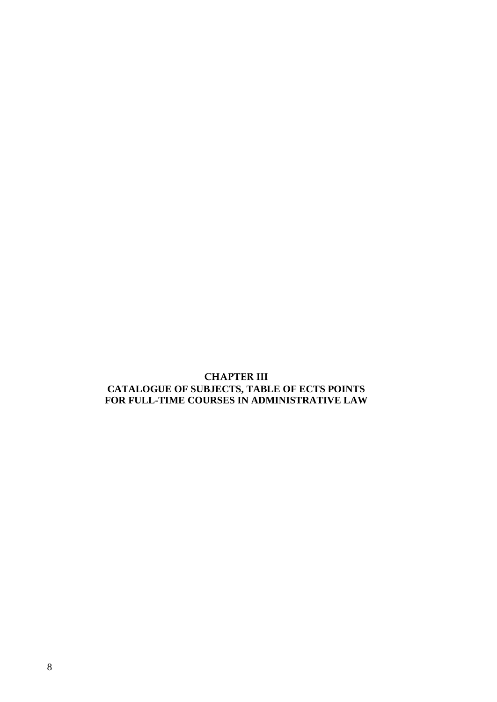# <span id="page-7-0"></span>**CHAPTER III CATALOGUE OF SUBJECTS, TABLE OF ECTS POINTS FOR FULL-TIME COURSES IN ADMINISTRATIVE LAW**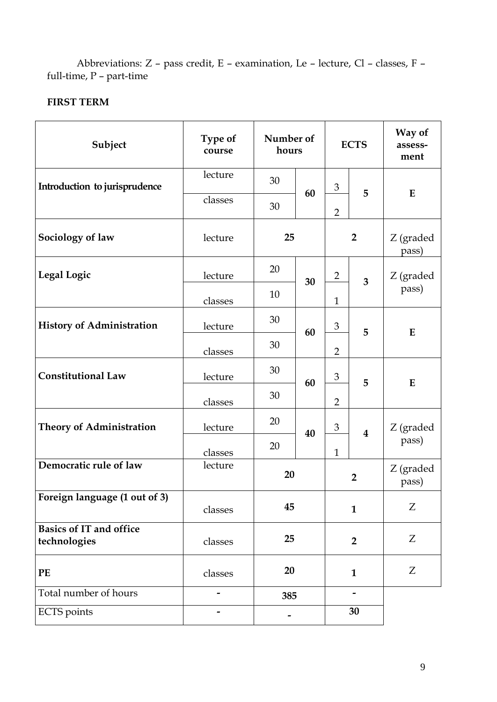Abbreviations: Z – pass credit, E – examination, Le – lecture, Cl – classes, F – full-time, P – part-time

# **FIRST TERM**

| Subject                                        | Type of<br>course |     | Number of<br>hours |                             | <b>ECTS</b>             | Way of<br>assess-<br>ment |
|------------------------------------------------|-------------------|-----|--------------------|-----------------------------|-------------------------|---------------------------|
| Introduction to jurisprudence                  | lecture           | 30  |                    | $\mathfrak{Z}$              |                         |                           |
|                                                | classes           | 30  | 60                 | $\overline{2}$              | 5                       | $\bf{E}$                  |
| Sociology of law                               | lecture           | 25  |                    |                             | $\overline{2}$          | Z (graded<br>pass)        |
| <b>Legal Logic</b>                             | lecture           | 20  | 30                 | $\overline{2}$              | 3                       | Z (graded                 |
|                                                | classes           | 10  |                    | $\mathbf{1}$                |                         | pass)                     |
| <b>History of Administration</b>               | lecture           | 30  | 60                 | $\mathfrak{B}$              | 5                       | $\bf{E}$                  |
|                                                | classes           | 30  |                    | $\overline{2}$              |                         |                           |
| <b>Constitutional Law</b>                      | lecture           | 30  | 60                 | $\ensuremath{\mathfrak{Z}}$ | 5                       | $\bf{E}$                  |
|                                                | classes           | 30  |                    | $\overline{2}$              |                         |                           |
| <b>Theory of Administration</b>                | lecture           | 20  | 40                 | $\mathfrak{B}$              | $\overline{\mathbf{4}}$ | Z (graded                 |
|                                                | classes           | 20  |                    | $\mathbf{1}$                |                         | pass)                     |
| Democratic rule of law                         | lecture           | 20  |                    |                             | $\overline{2}$          | Z (graded<br>pass)        |
| Foreign language (1 out of 3)                  | classes           | 45  |                    | $\mathbf{1}$                |                         | Z                         |
| <b>Basics of IT and office</b><br>technologies | classes           | 25  |                    | $\overline{2}$              |                         | Z                         |
| PE                                             | classes           | 20  |                    |                             | $\mathbf{1}$            | Z                         |
| Total number of hours                          |                   | 385 |                    |                             |                         |                           |
| <b>ECTS</b> points                             |                   |     |                    | 30                          |                         |                           |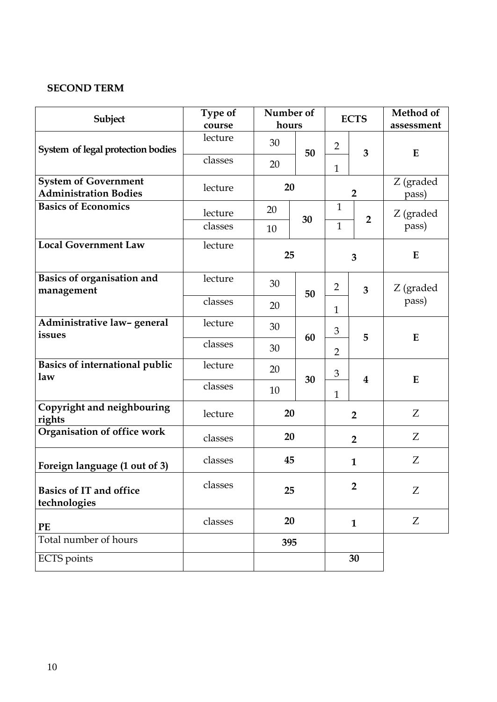# **SECOND TERM**

| Subject                                                     | Type of<br>course | Number of<br>hours |    | <b>ECTS</b>    |                | Method of<br>assessment |
|-------------------------------------------------------------|-------------------|--------------------|----|----------------|----------------|-------------------------|
| System of legal protection bodies                           | lecture           | 30                 | 50 | $\overline{2}$ | 3              | E                       |
|                                                             | classes           | 20                 |    | $\mathbf{1}$   |                |                         |
| <b>System of Government</b><br><b>Administration Bodies</b> | lecture           | 20                 |    |                | $\overline{2}$ | Z (graded<br>pass)      |
| <b>Basics of Economics</b>                                  | lecture           | 20                 | 30 | $\mathbf{1}$   | $\overline{2}$ | Z (graded               |
|                                                             | classes           | 10                 |    | $\mathbf{1}$   |                | pass)                   |
| <b>Local Government Law</b>                                 | lecture           | 25                 |    |                | 3              | E                       |
| Basics of organisation and<br>management                    | lecture           | 30                 | 50 | $\overline{2}$ | 3              | Z (graded               |
|                                                             | classes           | 20                 |    | $\mathbf{1}$   |                | pass)                   |
| Administrative law-general<br>issues                        | lecture           | 30                 | 60 | 3              | 5              | E                       |
|                                                             | classes           | 30                 |    | $\overline{2}$ |                |                         |
| <b>Basics of international public</b><br>law                | lecture           | 20                 | 30 | $\mathfrak{Z}$ | 4              | E                       |
|                                                             | classes           | 10                 |    | $\mathbf{1}$   |                |                         |
| Copyright and neighbouring<br>rights                        | lecture           | 20                 |    | $\overline{2}$ |                | Z                       |
| Organisation of office work                                 | classes           | 20                 |    |                | $\overline{2}$ | Z                       |
| Foreign language (1 out of 3)                               | classes           | 45                 |    |                | $\mathbf{1}$   | Z                       |
| <b>Basics of IT and office</b><br>technologies              | classes           | 25                 |    |                | $\overline{2}$ | Z                       |
| PE                                                          | classes           | 20                 |    |                | $\mathbf{1}$   | Z                       |
| Total number of hours                                       |                   | 395                |    |                |                |                         |
| <b>ECTS</b> points                                          |                   |                    |    |                | 30             |                         |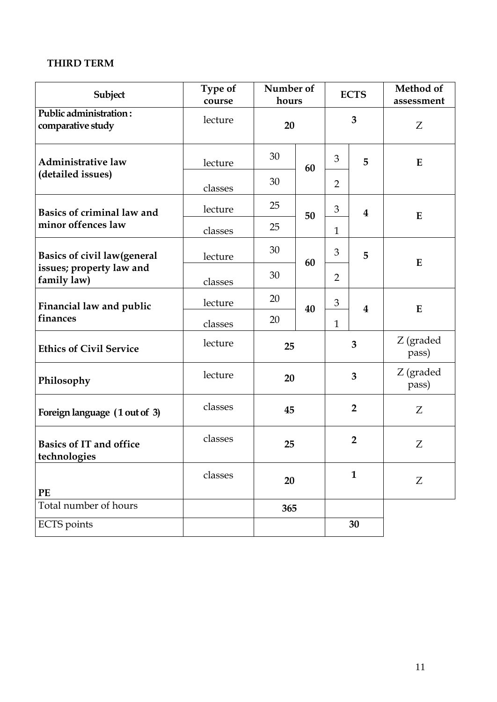# **THIRD TERM**

| Subject                                        | Type of<br>course | Number of<br>hours |    | <b>ECTS</b>    |                         | Method of<br>assessment |
|------------------------------------------------|-------------------|--------------------|----|----------------|-------------------------|-------------------------|
| Public administration:<br>comparative study    | lecture           | 20                 |    |                | 3                       | Z                       |
| <b>Administrative law</b>                      | lecture           | 30                 | 60 | 3              | 5                       | E                       |
| (detailed issues)                              | classes           | 30                 |    | $\overline{2}$ |                         |                         |
| Basics of criminal law and                     | lecture           | 25                 | 50 | 3              | $\overline{\mathbf{4}}$ | E                       |
| minor offences law                             | classes           | 25                 |    | $\mathbf{1}$   |                         |                         |
| <b>Basics of civil law(general</b>             | lecture           | 30                 | 60 | 3              | 5                       | E                       |
| issues; property law and<br>family law)        | classes           | 30                 |    | $\overline{2}$ |                         |                         |
| Financial law and public                       | lecture           | 20                 | 40 | 3              | $\overline{\mathbf{4}}$ | E                       |
| finances                                       | classes           | 20                 |    | $\mathbf{1}$   |                         |                         |
| <b>Ethics of Civil Service</b>                 | lecture           | 25                 |    |                | 3                       | Z (graded<br>pass)      |
| Philosophy                                     | lecture           | 20                 |    | $\overline{3}$ |                         | Z (graded<br>pass)      |
| Foreign language (1 out of 3)                  | classes           | 45                 |    | $\overline{2}$ |                         | Ζ                       |
| <b>Basics of IT and office</b><br>technologies | classes           | 25                 |    | $\overline{2}$ |                         | Z                       |
| PE                                             | classes           | 20                 |    |                | $\mathbf{1}$            | Z                       |
| Total number of hours                          |                   | 365                |    |                |                         |                         |
| <b>ECTS</b> points                             |                   |                    |    |                | 30                      |                         |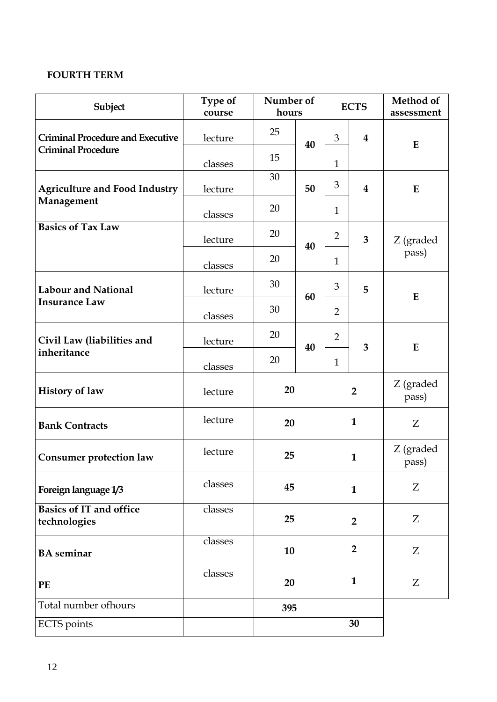# **FOURTH TERM**

| Subject                                        | Type of<br>course | Number of<br>hours |    |                | <b>ECTS</b>             | Method of<br>assessment |
|------------------------------------------------|-------------------|--------------------|----|----------------|-------------------------|-------------------------|
| <b>Criminal Procedure and Executive</b>        | lecture           | 25                 | 40 | 3              | $\overline{\mathbf{4}}$ | E                       |
| <b>Criminal Procedure</b>                      | classes           | 15                 |    | $\mathbf{1}$   |                         |                         |
| <b>Agriculture and Food Industry</b>           | lecture           | 30                 | 50 | $\mathfrak{Z}$ | $\bf{4}$                | E                       |
| Management                                     | classes           | 20                 |    | $\mathbf{1}$   |                         |                         |
| <b>Basics of Tax Law</b>                       | lecture           | 20                 | 40 | 2              | 3                       | Z (graded               |
|                                                | classes           | 20                 |    | $\mathbf{1}$   |                         | pass)                   |
| <b>Labour and National</b>                     | lecture           | 30                 | 60 | 3              | 5                       | E                       |
| <b>Insurance Law</b>                           | classes           | 30                 |    | $\overline{2}$ |                         |                         |
| Civil Law (liabilities and                     | lecture           | 20                 | 40 | $\overline{2}$ | 3                       | E                       |
| inheritance                                    | classes           | 20                 |    | $\mathbf{1}$   |                         |                         |
| <b>History of law</b>                          | lecture           | 20                 |    |                | $\overline{2}$          | Z (graded<br>pass)      |
| <b>Bank Contracts</b>                          | lecture           | 20                 |    |                | $\mathbf{1}$            | Z                       |
| <b>Consumer protection law</b>                 | lecture           | 25                 |    |                | $\mathbf{1}$            | Z (graded<br>pass)      |
| Foreign language 1/3                           | classes           | 45                 |    |                | $\mathbf{1}$            | Z                       |
| <b>Basics of IT and office</b><br>technologies | classes           | 25                 |    |                | $\overline{2}$          | Z                       |
| <b>BA</b> seminar                              | classes           | 10                 |    |                | $\overline{2}$          | Z                       |
| PE                                             | classes           | 20                 |    |                | $\mathbf{1}$            | Z                       |
| Total number ofhours                           |                   | 395                |    |                |                         |                         |
| <b>ECTS</b> points                             |                   |                    |    |                | 30                      |                         |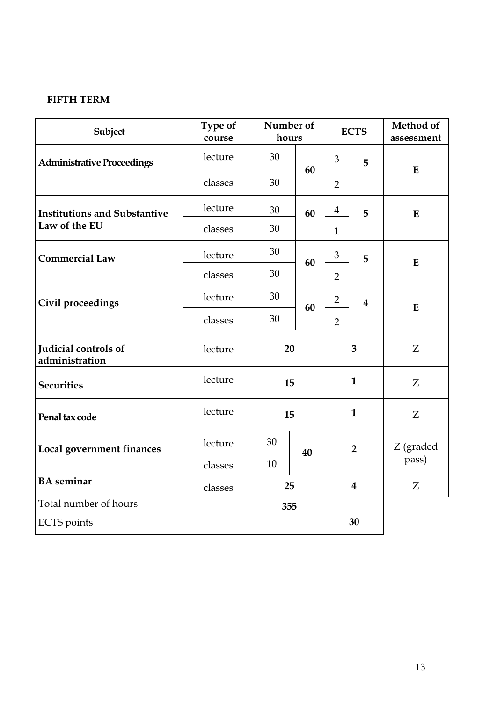# **FIFTH TERM**

| Subject                                | Type of<br>course | Number of<br>hours |    | <b>ECTS</b>             |                         | Method of<br>assessment |
|----------------------------------------|-------------------|--------------------|----|-------------------------|-------------------------|-------------------------|
| <b>Administrative Proceedings</b>      | lecture           | 30                 | 60 | 3                       | 5                       | E                       |
|                                        | classes           | 30                 |    | $\overline{2}$          |                         |                         |
| <b>Institutions and Substantive</b>    | lecture           | 30                 | 60 | $\overline{\mathbf{4}}$ | 5                       | E                       |
| Law of the EU                          | classes           | 30                 |    | $\mathbf{1}$            |                         |                         |
| <b>Commercial Law</b>                  | lecture           | 30                 | 60 | $\mathfrak{B}$          | 5                       | E                       |
|                                        | classes           | 30                 |    | $\overline{2}$          |                         |                         |
| Civil proceedings                      | lecture           | 30                 | 60 | $\overline{2}$          | $\overline{\mathbf{4}}$ | E                       |
|                                        | classes           | 30                 |    | $\overline{2}$          |                         |                         |
| Judicial controls of<br>administration | lecture           | 20                 |    | 3                       |                         | Z                       |
| <b>Securities</b>                      | lecture           | 15                 |    | $\mathbf{1}$            |                         | Z                       |
| Penal tax code                         | lecture           | 15                 |    | $\mathbf{1}$            |                         | Z                       |
| Local government finances              | lecture           | 30                 | 40 |                         | $\overline{2}$          | Z (graded               |
|                                        | classes           | 10                 |    |                         |                         | pass)                   |
| <b>BA</b> seminar                      | classes           | 25                 |    |                         | $\overline{\mathbf{4}}$ | Z                       |
| Total number of hours                  |                   | 355                |    |                         |                         |                         |
| <b>ECTS</b> points                     |                   |                    |    |                         | 30                      |                         |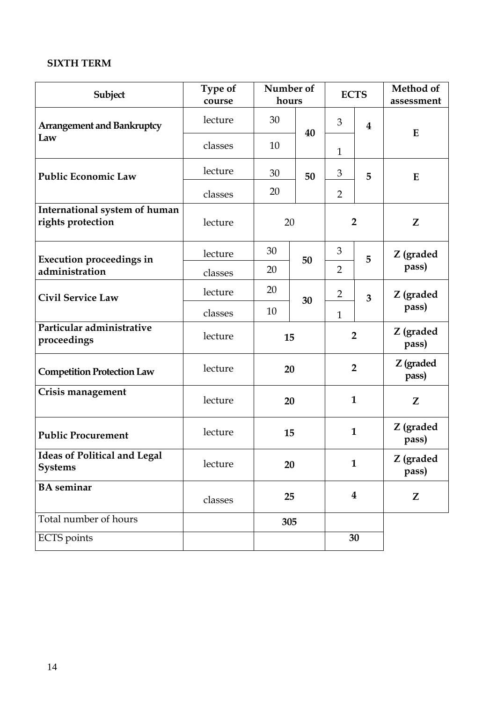# **SIXTH TERM**

| Subject                                               | Type of<br>course | hours | Number of | <b>ECTS</b>    |                         | Method of<br>assessment |
|-------------------------------------------------------|-------------------|-------|-----------|----------------|-------------------------|-------------------------|
| <b>Arrangement and Bankruptcy</b>                     | lecture           | 30    | 40        | 3              | $\overline{\mathbf{4}}$ | E                       |
| Law                                                   | classes           | 10    |           | $\mathbf{1}$   |                         |                         |
| <b>Public Economic Law</b>                            | lecture           | 30    | 50        | 3              | 5                       | E                       |
|                                                       | classes           | 20    |           | $\overline{2}$ |                         |                         |
| International system of human<br>rights protection    | lecture           |       | 20        |                | $\overline{2}$          | Z                       |
| <b>Execution proceedings in</b>                       | lecture           | 30    | 50        | 3              | 5                       | Z (graded               |
| administration                                        | classes           | 20    |           | $\overline{2}$ |                         | pass)                   |
| <b>Civil Service Law</b>                              | lecture           | 20    | 30        | $\overline{2}$ | 3                       | Z (graded               |
|                                                       | classes           | 10    |           | $\mathbf{1}$   |                         | pass)                   |
| Particular administrative<br>proceedings              | lecture           | 15    |           |                | $\overline{2}$          | Z (graded<br>pass)      |
| <b>Competition Protection Law</b>                     | lecture           |       | 20        |                | $\overline{2}$          | Z (graded<br>pass)      |
| Crisis management                                     | lecture           |       | 20        |                | $\mathbf{1}$            | Z                       |
| <b>Public Procurement</b>                             | lecture           | 15    |           |                | $\mathbf{1}$            | Z (graded<br>pass)      |
| <b>Ideas of Political and Legal</b><br><b>Systems</b> | lecture           |       | 20        |                | $\mathbf{1}$            | Z (graded<br>pass)      |
| <b>BA</b> seminar                                     | classes           |       | 25        |                | $\boldsymbol{4}$        | Z                       |
| Total number of hours                                 |                   |       | 305       |                |                         |                         |
| <b>ECTS</b> points                                    |                   |       |           |                | 30                      |                         |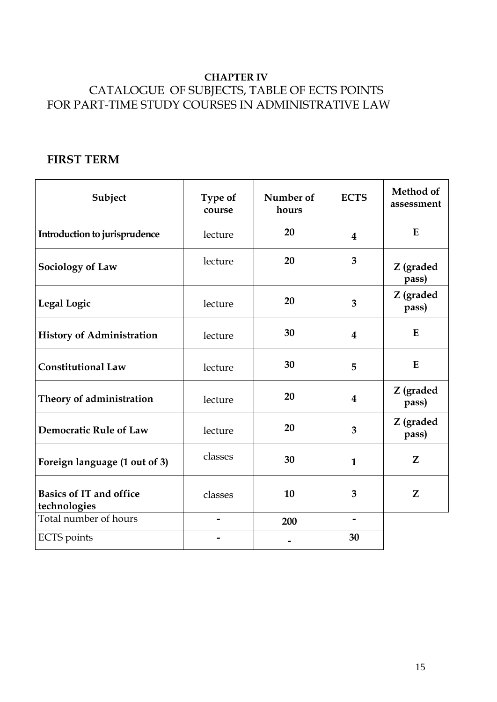# **CHAPTER IV** CATALOGUE OF SUBJECTS, TABLE OF ECTS POINTS FOR PART-TIME STUDY COURSES IN ADMINISTRATIVE LAW

# **FIRST TERM**

| Subject                                        | Type of<br>course        | Number of<br>hours | <b>ECTS</b>             | Method of<br>assessment |
|------------------------------------------------|--------------------------|--------------------|-------------------------|-------------------------|
| Introduction to jurisprudence                  | lecture                  | 20                 | $\overline{\mathbf{4}}$ | E                       |
| Sociology of Law                               | lecture                  | 20                 | 3                       | Z (graded<br>pass)      |
| <b>Legal Logic</b>                             | lecture                  | 20                 | 3                       | Z (graded<br>pass)      |
| <b>History of Administration</b>               | lecture                  | 30                 | 4                       | $\mathbf{E}$            |
| <b>Constitutional Law</b>                      | lecture                  | 30                 | 5                       | E                       |
| Theory of administration                       | lecture                  | 20                 | $\overline{\mathbf{4}}$ | Z (graded<br>pass)      |
| <b>Democratic Rule of Law</b>                  | lecture                  | 20                 | 3                       | Z (graded<br>pass)      |
| Foreign language (1 out of 3)                  | classes                  | 30                 | $\mathbf{1}$            | Z                       |
| <b>Basics of IT and office</b><br>technologies | classes                  | 10                 | 3                       | Z                       |
| Total number of hours                          | $\qquad \qquad$          | 200                | $\qquad \qquad$         |                         |
| <b>ECTS</b> points                             | $\overline{\phantom{a}}$ |                    | 30                      |                         |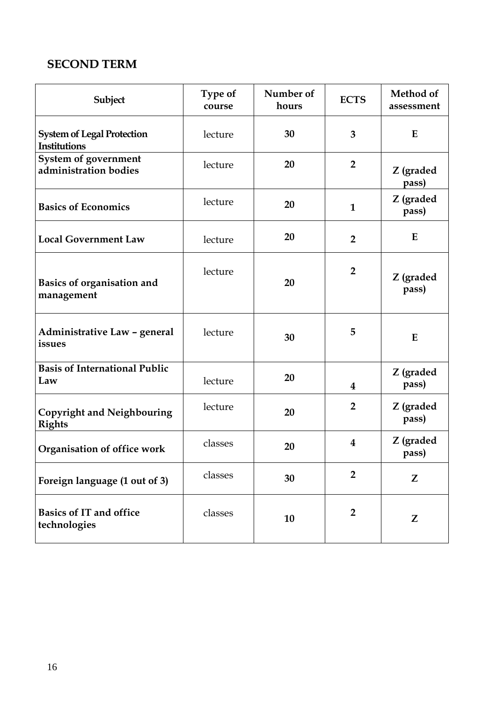# **SECOND TERM**

| Subject                                              | Type of<br>course | Number of<br>hours | <b>ECTS</b>             | Method of<br>assessment |
|------------------------------------------------------|-------------------|--------------------|-------------------------|-------------------------|
| <b>System of Legal Protection</b><br>Institutions    | lecture           | 30                 | $\overline{3}$          | E                       |
| <b>System of government</b><br>administration bodies | lecture           | 20                 | $\overline{2}$          | Z (graded<br>pass)      |
| <b>Basics of Economics</b>                           | lecture           | 20                 | $\mathbf{1}$            | Z (graded<br>pass)      |
| <b>Local Government Law</b>                          | lecture           | 20                 | $\overline{2}$          | E                       |
| <b>Basics of organisation and</b><br>management      | lecture           | 20                 | $\overline{2}$          | Z (graded<br>pass)      |
| Administrative Law - general<br>issues               | lecture           | 30                 | 5                       | E                       |
| <b>Basis of International Public</b><br>Law          | lecture           | 20                 | $\overline{\mathbf{4}}$ | Z (graded<br>pass)      |
| <b>Copyright and Neighbouring</b><br><b>Rights</b>   | lecture           | 20                 | $\overline{2}$          | Z (graded<br>pass)      |
| Organisation of office work                          | classes           | 20                 | $\overline{\mathbf{4}}$ | Z (graded<br>pass)      |
| Foreign language (1 out of 3)                        | classes           | 30                 | $\overline{2}$          | Z                       |
| <b>Basics of IT and office</b><br>technologies       | classes           | 10                 | $\overline{2}$          | Z                       |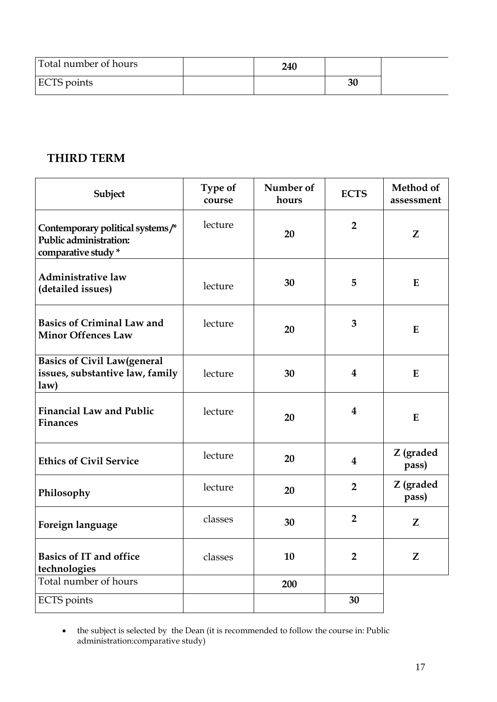| Total number of hours | <b>240</b> |    |  |
|-----------------------|------------|----|--|
| ECTS points           |            | 30 |  |

# **THIRD TERM**

| Subject                                                                          | Type of<br>course | Number of<br>hours | <b>ECTS</b>             | Method of<br>assessment |
|----------------------------------------------------------------------------------|-------------------|--------------------|-------------------------|-------------------------|
| Contemporary political systems/*<br>Public administration:<br>comparative study* | lecture           | 20                 | $\overline{2}$          | Z                       |
| <b>Administrative law</b><br>(detailed issues)                                   | lecture           | 30                 | 5                       | E                       |
| <b>Basics of Criminal Law and</b><br><b>Minor Offences Law</b>                   | lecture           | 20                 | 3                       | E                       |
| <b>Basics of Civil Law(general</b><br>issues, substantive law, family<br>law)    | lecture           | 30                 | 4                       | E                       |
| <b>Financial Law and Public</b><br><b>Finances</b>                               | lecture           | 20                 | $\bf{4}$                | E                       |
| <b>Ethics of Civil Service</b>                                                   | lecture           | 20                 | $\overline{\mathbf{4}}$ | Z (graded<br>pass)      |
| Philosophy                                                                       | lecture           | 20                 | $\overline{2}$          | Z (graded<br>pass)      |
| Foreign language                                                                 | classes           | 30                 | $\overline{2}$          | Z                       |
| <b>Basics of IT and office</b><br>technologies                                   | classes           | 10                 | $\overline{2}$          | Z                       |
| Total number of hours                                                            |                   | 200                |                         |                         |
| <b>ECTS</b> points                                                               |                   |                    | 30                      |                         |

<sup>•</sup> the subject is selected by the Dean (it is recommended to follow the course in: Public administration:comparative study)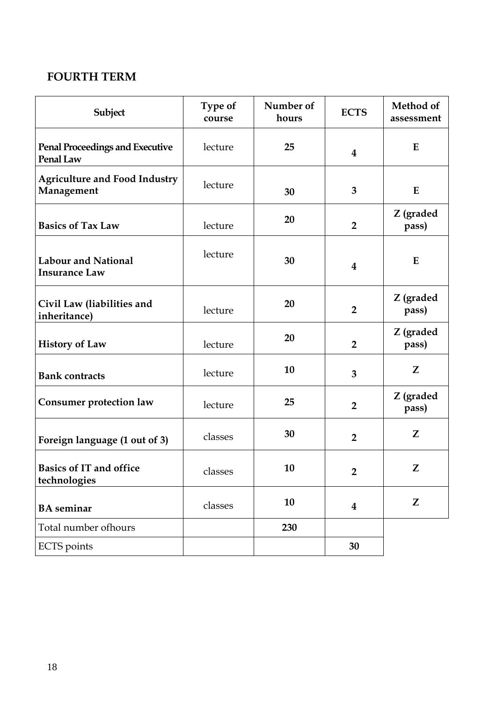# **FOURTH TERM**

| Subject                                             | Type of<br>course | Number of<br>hours | <b>ECTS</b>             | Method of<br>assessment |
|-----------------------------------------------------|-------------------|--------------------|-------------------------|-------------------------|
| <b>Penal Proceedings and Executive</b><br>Penal Law | lecture           | 25                 | $\bf{4}$                | E                       |
| <b>Agriculture and Food Industry</b><br>Management  | lecture           | 30                 | 3                       | $\bf{E}$                |
| <b>Basics of Tax Law</b>                            | lecture           | 20                 | $\overline{2}$          | Z (graded<br>pass)      |
| <b>Labour and National</b><br><b>Insurance Law</b>  | lecture           | 30                 | $\overline{\mathbf{4}}$ | E                       |
| Civil Law (liabilities and<br>inheritance)          | lecture           | 20                 | $\overline{2}$          | Z (graded<br>pass)      |
| <b>History of Law</b>                               | lecture           | 20                 | $\overline{2}$          | Z (graded<br>pass)      |
| <b>Bank contracts</b>                               | lecture           | 10                 | $\overline{3}$          | Z                       |
| <b>Consumer protection law</b>                      | lecture           | 25                 | $\overline{2}$          | Z (graded<br>pass)      |
| Foreign language (1 out of 3)                       | classes           | 30                 | $\overline{2}$          | Z                       |
| <b>Basics of IT and office</b><br>technologies      | classes           | 10                 | $\overline{2}$          | Z                       |
| <b>BA</b> seminar                                   | classes           | 10                 | $\overline{\mathbf{4}}$ | Z                       |
| Total number of hours                               |                   | 230                |                         |                         |
| <b>ECTS</b> points                                  |                   |                    | 30                      |                         |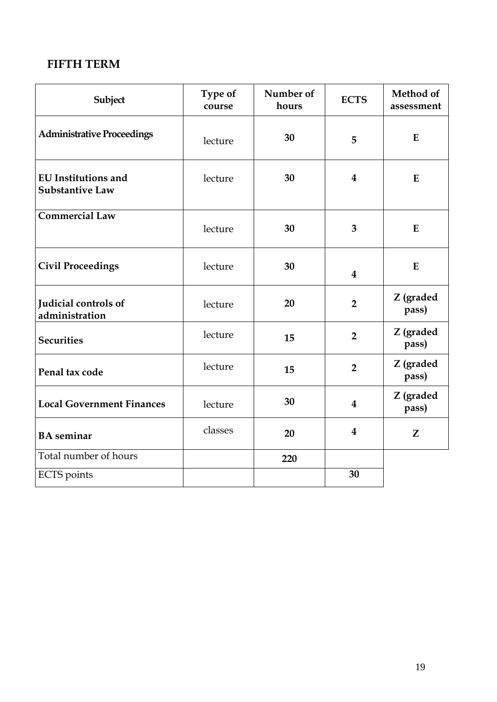# **FIFTH TERM**

| Subject                                              | Type of<br>course | Number of<br>hours | <b>ECTS</b>             | Method of<br>assessment |
|------------------------------------------------------|-------------------|--------------------|-------------------------|-------------------------|
| <b>Administrative Proceedings</b>                    | lecture           | 30                 | 5                       | E                       |
| <b>EU</b> Institutions and<br><b>Substantive Law</b> | lecture           | 30                 | $\bf{4}$                | E                       |
| <b>Commercial Law</b>                                | lecture           | 30                 | 3                       | E                       |
| <b>Civil Proceedings</b>                             | lecture           | 30                 | $\overline{\mathbf{4}}$ | E                       |
| Judicial controls of<br>administration               | lecture           | 20                 | $\overline{2}$          | Z (graded<br>pass)      |
| <b>Securities</b>                                    | lecture           | 15                 | $\overline{2}$          | Z (graded<br>pass)      |
| Penal tax code                                       | lecture           | 15                 | $\overline{2}$          | Z (graded<br>pass)      |
| <b>Local Government Finances</b>                     | lecture           | 30                 | 4                       | Z (graded<br>pass)      |
| <b>BA</b> seminar                                    | classes           | 20                 | $\boldsymbol{4}$        | Z                       |
| Total number of hours                                |                   | 220                |                         |                         |
| <b>ECTS</b> points                                   |                   |                    | 30                      |                         |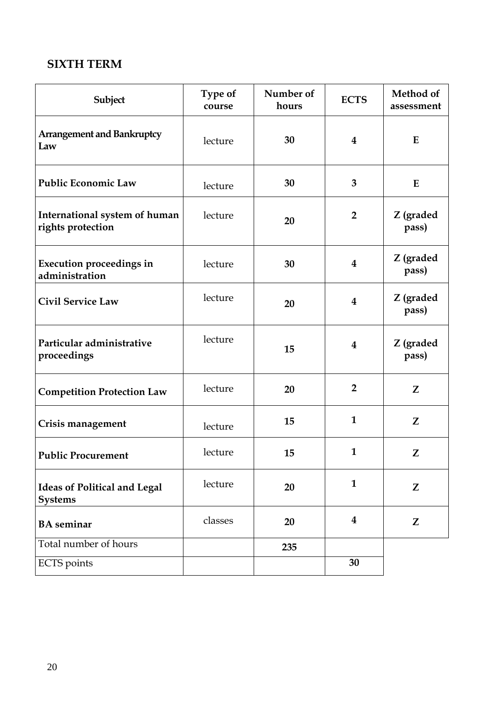# **SIXTH TERM**

| Subject                                               | Type of<br>course | Number of<br>hours | <b>ECTS</b>             | Method of<br>assessment |
|-------------------------------------------------------|-------------------|--------------------|-------------------------|-------------------------|
| <b>Arrangement and Bankruptcy</b><br>Law              | lecture           | 30                 | $\bf{4}$                | E                       |
| <b>Public Economic Law</b>                            | lecture           | 30                 | 3                       | E                       |
| International system of human<br>rights protection    | lecture           | 20                 | $\overline{2}$          | Z (graded<br>pass)      |
| <b>Execution proceedings in</b><br>administration     | lecture           | 30                 | $\overline{\mathbf{4}}$ | Z (graded<br>pass)      |
| <b>Civil Service Law</b>                              | lecture           | 20                 | $\overline{\mathbf{4}}$ | Z (graded<br>pass)      |
| Particular administrative<br>proceedings              | lecture           | 15                 | $\bf{4}$                | Z (graded<br>pass)      |
| <b>Competition Protection Law</b>                     | lecture           | 20                 | $\overline{2}$          | Z                       |
| Crisis management                                     | lecture           | 15                 | $\mathbf{1}$            | Z                       |
| <b>Public Procurement</b>                             | lecture           | 15                 | $\mathbf{1}$            | Z                       |
| <b>Ideas of Political and Legal</b><br><b>Systems</b> | lecture           | 20                 | $\mathbf{1}$            | Z                       |
| <b>BA</b> seminar                                     | classes           | 20                 | $\bf{4}$                | Z                       |
| Total number of hours                                 |                   | 235                |                         |                         |
| <b>ECTS</b> points                                    |                   |                    | 30                      |                         |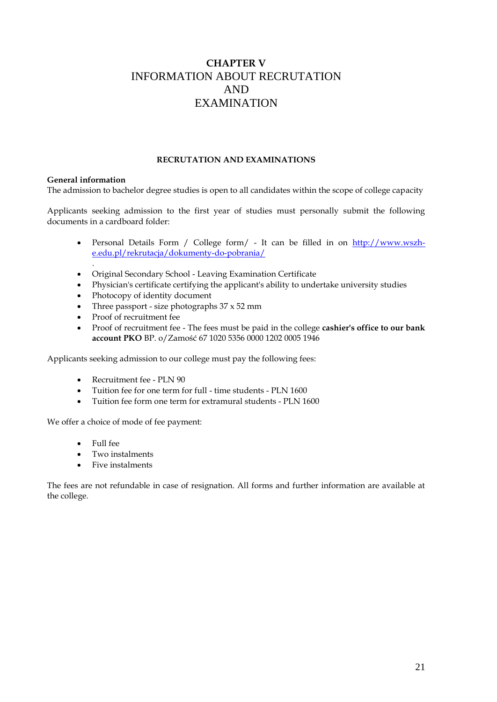# <span id="page-20-0"></span>**CHAPTER V** INFORMATION ABOUT RECRUTATION AND EXAMINATION

# **RECRUTATION AND EXAMINATIONS**

# **General information**

.

The admission to bachelor degree studies is open to all candidates within the scope of college capacity

Applicants seeking admission to the first year of studies must personally submit the following documents in a cardboard folder:

- Personal Details Form / College form/ It can be filled in on [http://www.wszh](http://www.wszh-e.edu.pl/rekrutacja/dokumenty-do-pobrania/)[e.edu.pl/rekrutacja/dokumenty-do-pobrania/](http://www.wszh-e.edu.pl/rekrutacja/dokumenty-do-pobrania/)
- Original Secondary School Leaving Examination Certificate
- Physician's certificate certifying the applicant's ability to undertake university studies
- Photocopy of identity document
- Three passport size photographs  $37 \times 52$  mm
- Proof of recruitment fee
- Proof of recruitment fee The fees must be paid in the college **cashier's office to our bank account PKO** BP. o/Zamość 67 1020 5356 0000 1202 0005 1946

Applicants seeking admission to our college must pay the following fees:

- Recruitment fee PLN 90
- Tuition fee for one term for full time students PLN 1600
- Tuition fee form one term for extramural students PLN 1600

We offer a choice of mode of fee payment:

- Full fee
- Two instalments
- Five instalments

The fees are not refundable in case of resignation. All forms and further information are available at the college.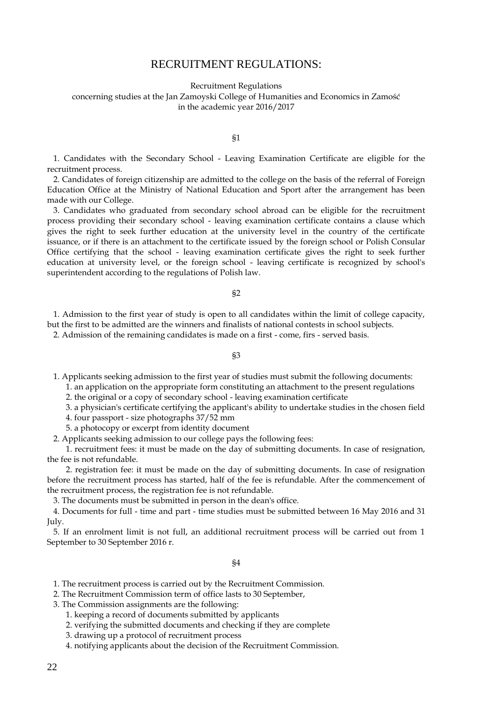# RECRUITMENT REGULATIONS:

Recruitment Regulations

<span id="page-21-0"></span>concerning studies at the Jan Zamoyski College of Humanities and Economics in Zamość in the academic year 2016/2017

#### §1

 1. Candidates with the Secondary School - Leaving Examination Certificate are eligible for the recruitment process.

 2. Candidates of foreign citizenship are admitted to the college on the basis of the referral of Foreign Education Office at the Ministry of National Education and Sport after the arrangement has been made with our College.

 3. Candidates who graduated from secondary school abroad can be eligible for the recruitment process providing their secondary school - leaving examination certificate contains a clause which gives the right to seek further education at the university level in the country of the certificate issuance, or if there is an attachment to the certificate issued by the foreign school or Polish Consular Office certifying that the school - leaving examination certificate gives the right to seek further education at university level, or the foreign school - leaving certificate is recognized by school's superintendent according to the regulations of Polish law.

#### §2

 1. Admission to the first year of study is open to all candidates within the limit of college capacity, but the first to be admitted are the winners and finalists of national contests in school subjects.

2. Admission of the remaining candidates is made on a first - come, firs - served basis.

#### §3

1. Applicants seeking admission to the first year of studies must submit the following documents:

1. an application on the appropriate form constituting an attachment to the present regulations

2. the original or a copy of secondary school - leaving examination certificate

- 3. a physician's certificate certifying the applicant's ability to undertake studies in the chosen field
- 4. four passport size photographs 37/52 mm
- 5. a photocopy or excerpt from identity document

2. Applicants seeking admission to our college pays the following fees:

 1. recruitment fees: it must be made on the day of submitting documents. In case of resignation, the fee is not refundable.

 2. registration fee: it must be made on the day of submitting documents. In case of resignation before the recruitment process has started, half of the fee is refundable. After the commencement of the recruitment process, the registration fee is not refundable.

3. The documents must be submitted in person in the dean's office.

 4. Documents for full - time and part - time studies must be submitted between 16 May 2016 and 31 July.

 5. If an enrolment limit is not full, an additional recruitment process will be carried out from 1 September to 30 September 2016 r.

§4

1. The recruitment process is carried out by the Recruitment Commission.

2. The Recruitment Commission term of office lasts to 30 September,

- 3. The Commission assignments are the following:
	- 1. keeping a record of documents submitted by applicants
	- 2. verifying the submitted documents and checking if they are complete
	- 3. drawing up a protocol of recruitment process
	- 4. notifying applicants about the decision of the Recruitment Commission.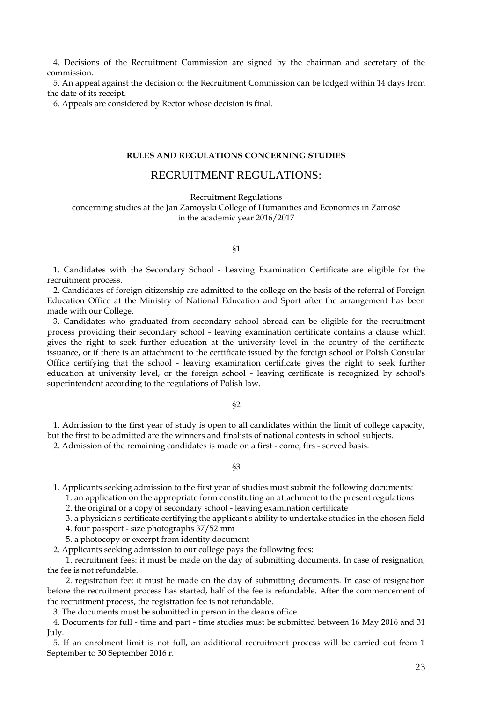4. Decisions of the Recruitment Commission are signed by the chairman and secretary of the commission.

 5. An appeal against the decision of the Recruitment Commission can be lodged within 14 days from the date of its receipt.

6. Appeals are considered by Rector whose decision is final.

### **RULES AND REGULATIONS CONCERNING STUDIES**

# RECRUITMENT REGULATIONS:

Recruitment Regulations

concerning studies at the Jan Zamoyski College of Humanities and Economics in Zamość in the academic year 2016/2017

## §1

 1. Candidates with the Secondary School - Leaving Examination Certificate are eligible for the recruitment process.

 2. Candidates of foreign citizenship are admitted to the college on the basis of the referral of Foreign Education Office at the Ministry of National Education and Sport after the arrangement has been made with our College.

 3. Candidates who graduated from secondary school abroad can be eligible for the recruitment process providing their secondary school - leaving examination certificate contains a clause which gives the right to seek further education at the university level in the country of the certificate issuance, or if there is an attachment to the certificate issued by the foreign school or Polish Consular Office certifying that the school - leaving examination certificate gives the right to seek further education at university level, or the foreign school - leaving certificate is recognized by school's superintendent according to the regulations of Polish law.

#### §2

 1. Admission to the first year of study is open to all candidates within the limit of college capacity, but the first to be admitted are the winners and finalists of national contests in school subjects.

2. Admission of the remaining candidates is made on a first - come, firs - served basis.

#### §3

- 1. Applicants seeking admission to the first year of studies must submit the following documents:
	- 1. an application on the appropriate form constituting an attachment to the present regulations
	- 2. the original or a copy of secondary school leaving examination certificate
	- 3. a physician's certificate certifying the applicant's ability to undertake studies in the chosen field
	- 4. four passport size photographs 37/52 mm
	- 5. a photocopy or excerpt from identity document
- 2. Applicants seeking admission to our college pays the following fees:

 1. recruitment fees: it must be made on the day of submitting documents. In case of resignation, the fee is not refundable.

 2. registration fee: it must be made on the day of submitting documents. In case of resignation before the recruitment process has started, half of the fee is refundable. After the commencement of the recruitment process, the registration fee is not refundable.

3. The documents must be submitted in person in the dean's office.

 4. Documents for full - time and part - time studies must be submitted between 16 May 2016 and 31 July.

 5. If an enrolment limit is not full, an additional recruitment process will be carried out from 1 September to 30 September 2016 r.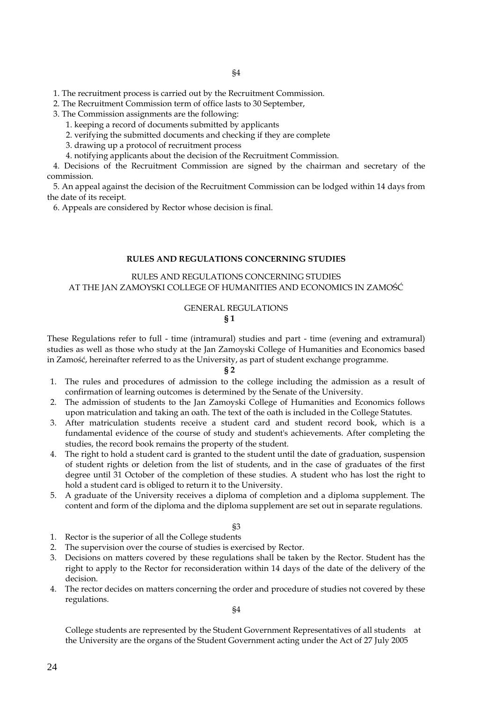1. The recruitment process is carried out by the Recruitment Commission.

2. The Recruitment Commission term of office lasts to 30 September,

3. The Commission assignments are the following:

1. keeping a record of documents submitted by applicants

2. verifying the submitted documents and checking if they are complete

3. drawing up a protocol of recruitment process

4. notifying applicants about the decision of the Recruitment Commission.

 4. Decisions of the Recruitment Commission are signed by the chairman and secretary of the commission.

 5. An appeal against the decision of the Recruitment Commission can be lodged within 14 days from the date of its receipt.

6. Appeals are considered by Rector whose decision is final.

## **RULES AND REGULATIONS CONCERNING STUDIES**

## RULES AND REGULATIONS CONCERNING STUDIES AT THE JAN ZAMOYSKI COLLEGE OF HUMANITIES AND ECONOMICS IN ZAMOŚĆ

## GENERAL REGULATIONS **§ 1**

These Regulations refer to full - time (intramural) studies and part - time (evening and extramural) studies as well as those who study at the Jan Zamoyski College of Humanities and Economics based in Zamość, hereinafter referred to as the University, as part of student exchange programme.

#### **§ 2**

- 1. The rules and procedures of admission to the college including the admission as a result of confirmation of learning outcomes is determined by the Senate of the University.
- 2. The admission of students to the Jan Zamoyski College of Humanities and Economics follows upon matriculation and taking an oath. The text of the oath is included in the College Statutes.
- 3. After matriculation students receive a student card and student record book, which is a fundamental evidence of the course of study and student's achievements. After completing the studies, the record book remains the property of the student.
- 4. The right to hold a student card is granted to the student until the date of graduation, suspension of student rights or deletion from the list of students, and in the case of graduates of the first degree until 31 October of the completion of these studies. A student who has lost the right to hold a student card is obliged to return it to the University.
- 5. A graduate of the University receives a diploma of completion and a diploma supplement. The content and form of the diploma and the diploma supplement are set out in separate regulations.

§3

- 1. Rector is the superior of all the College students
- 2. The supervision over the course of studies is exercised by Rector.
- 3. Decisions on matters covered by these regulations shall be taken by the Rector. Student has the right to apply to the Rector for reconsideration within 14 days of the date of the delivery of the decision.
- 4. The rector decides on matters concerning the order and procedure of studies not covered by these regulations.

§4

College students are represented by the Student Government Representatives of all students at the University are the organs of the Student Government acting under the Act of 27 July 2005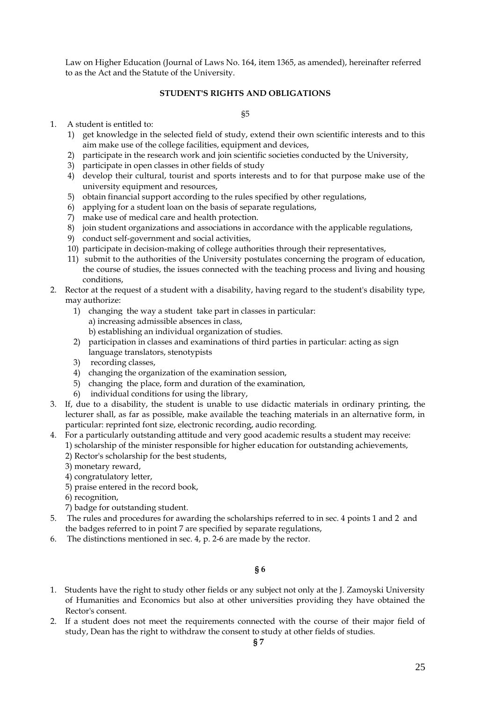Law on Higher Education (Journal of Laws No. 164, item 1365, as amended), hereinafter referred to as the Act and the Statute of the University.

## **STUDENT'S RIGHTS AND OBLIGATIONS**

§5

- 1. A student is entitled to:
	- 1) get knowledge in the selected field of study, extend their own scientific interests and to this aim make use of the college facilities, equipment and devices,
	- 2) participate in the research work and join scientific societies conducted by the University,
	- 3) participate in open classes in other fields of study
	- 4) develop their cultural, tourist and sports interests and to for that purpose make use of the university equipment and resources,
	- 5) obtain financial support according to the rules specified by other regulations,
	- 6) applying for a student loan on the basis of separate regulations,
	- 7) make use of medical care and health protection.
	- 8) join student organizations and associations in accordance with the applicable regulations,
	- 9) conduct self-government and social activities,
	- 10) participate in decision-making of college authorities through their representatives,
	- 11) submit to the authorities of the University postulates concerning the program of education, the course of studies, the issues connected with the teaching process and living and housing conditions,
- 2. Rector at the request of a student with a disability, having regard to the student's disability type, may authorize:
	- 1) changing the way a student take part in classes in particular:
		- a) increasing admissible absences in class,
		- b) establishing an individual organization of studies.
	- 2) participation in classes and examinations of third parties in particular: acting as sign language translators, stenotypists
	- 3) recording classes,
	- 4) changing the organization of the examination session,
	- 5) changing the place, form and duration of the examination,
	- 6) individual conditions for using the library,
- 3. If, due to a disability, the student is unable to use didactic materials in ordinary printing, the lecturer shall, as far as possible, make available the teaching materials in an alternative form, in particular: reprinted font size, electronic recording, audio recording.
- 4. For a particularly outstanding attitude and very good academic results a student may receive:
	- 1) scholarship of the minister responsible for higher education for outstanding achievements,
		- 2) Rector's scholarship for the best students,
	- 3) monetary reward,
	- 4) congratulatory letter,
	- 5) praise entered in the record book,
	- 6) recognition,
	- 7) badge for outstanding student.
- 5. The rules and procedures for awarding the scholarships referred to in sec. 4 points 1 and 2 and the badges referred to in point 7 are specified by separate regulations,
- 6. The distinctions mentioned in sec. 4, p. 2-6 are made by the rector.

**§ 6**

- 1. Students have the right to study other fields or any subject not only at the J. Zamoyski University of Humanities and Economics but also at other universities providing they have obtained the Rector's consent.
- 2. If a student does not meet the requirements connected with the course of their major field of study, Dean has the right to withdraw the consent to study at other fields of studies.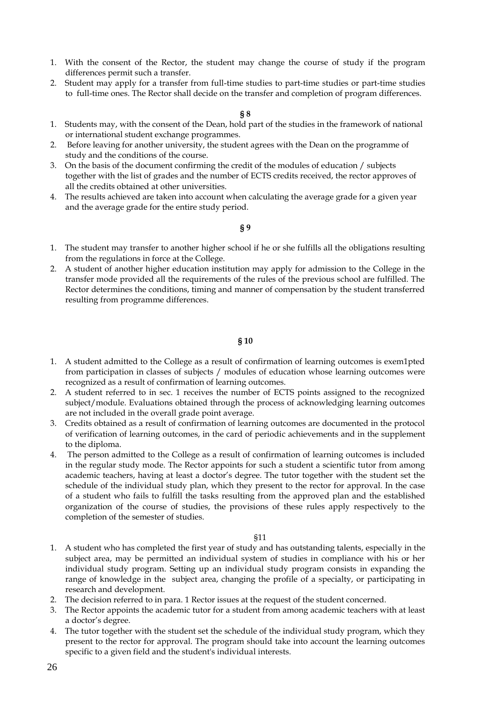- 1. With the consent of the Rector, the student may change the course of study if the program differences permit such a transfer.
- 2. Student may apply for a transfer from full-time studies to part-time studies or part-time studies to full-time ones. The Rector shall decide on the transfer and completion of program differences.

### **§ 8**

- 1. Students may, with the consent of the Dean, hold part of the studies in the framework of national or international student exchange programmes.
- 2. Before leaving for another university, the student agrees with the Dean on the programme of study and the conditions of the course.
- 3. On the basis of the document confirming the credit of the modules of education / subjects together with the list of grades and the number of ECTS credits received, the rector approves of all the credits obtained at other universities.
- 4. The results achieved are taken into account when calculating the average grade for a given year and the average grade for the entire study period.

## **§ 9**

- 1. The student may transfer to another higher school if he or she fulfills all the obligations resulting from the regulations in force at the College.
- 2. A student of another higher education institution may apply for admission to the College in the transfer mode provided all the requirements of the rules of the previous school are fulfilled. The Rector determines the conditions, timing and manner of compensation by the student transferred resulting from programme differences.

#### **§ 10**

- 1. A student admitted to the College as a result of confirmation of learning outcomes is exem1pted from participation in classes of subjects / modules of education whose learning outcomes were recognized as a result of confirmation of learning outcomes.
- 2. A student referred to in sec. 1 receives the number of ECTS points assigned to the recognized subject/module. Evaluations obtained through the process of acknowledging learning outcomes are not included in the overall grade point average.
- 3. Credits obtained as a result of confirmation of learning outcomes are documented in the protocol of verification of learning outcomes, in the card of periodic achievements and in the supplement to the diploma.
- 4. The person admitted to the College as a result of confirmation of learning outcomes is included in the regular study mode. The Rector appoints for such a student a scientific tutor from among academic teachers, having at least a doctor's degree. The tutor together with the student set the schedule of the individual study plan, which they present to the rector for approval. In the case of a student who fails to fulfill the tasks resulting from the approved plan and the established organization of the course of studies, the provisions of these rules apply respectively to the completion of the semester of studies.

#### §11

- 1. A student who has completed the first year of study and has outstanding talents, especially in the subject area, may be permitted an individual system of studies in compliance with his or her individual study program. Setting up an individual study program consists in expanding the range of knowledge in the subject area, changing the profile of a specialty, or participating in research and development.
- 2. The decision referred to in para. 1 Rector issues at the request of the student concerned.
- 3. The Rector appoints the academic tutor for a student from among academic teachers with at least a doctor's degree.
- 4. The tutor together with the student set the schedule of the individual study program, which they present to the rector for approval. The program should take into account the learning outcomes specific to a given field and the student's individual interests.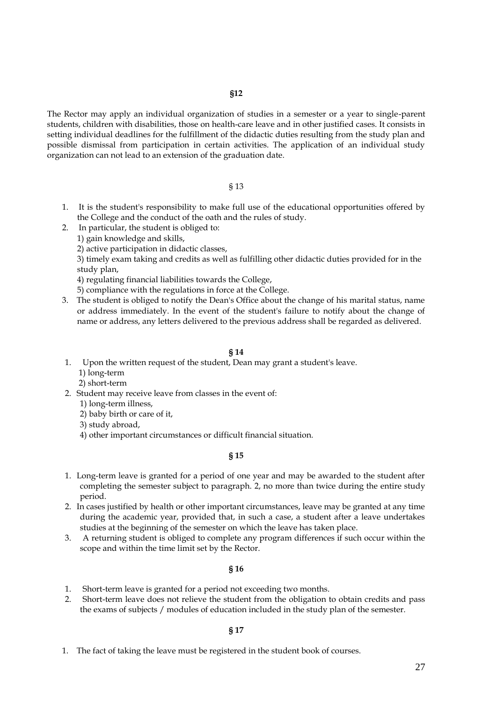The Rector may apply an individual organization of studies in a semester or a year to single-parent students, children with disabilities, those on health-care leave and in other justified cases. It consists in setting individual deadlines for the fulfillment of the didactic duties resulting from the study plan and possible dismissal from participation in certain activities. The application of an individual study organization can not lead to an extension of the graduation date.

### § 13

- 1. It is the student's responsibility to make full use of the educational opportunities offered by the College and the conduct of the oath and the rules of study.
- 2. In particular, the student is obliged to:
	- 1) gain knowledge and skills,

2) active participation in didactic classes,

3) timely exam taking and credits as well as fulfilling other didactic duties provided for in the study plan,

4) regulating financial liabilities towards the College,

5) compliance with the regulations in force at the College.

3. The student is obliged to notify the Dean's Office about the change of his marital status, name or address immediately. In the event of the student's failure to notify about the change of name or address, any letters delivered to the previous address shall be regarded as delivered.

### **§ 14**

- 1. Upon the written request of the student, Dean may grant a student's leave.
	- 1) long-term
	- 2) short-term
- 2. Student may receive leave from classes in the event of:
	- 1) long-term illness,
	- 2) baby birth or care of it,
	- 3) study abroad,
	- 4) other important circumstances or difficult financial situation.

### **§ 15**

- 1. Long-term leave is granted for a period of one year and may be awarded to the student after completing the semester subject to paragraph. 2, no more than twice during the entire study period.
- 2. In cases justified by health or other important circumstances, leave may be granted at any time during the academic year, provided that, in such a case, a student after a leave undertakes studies at the beginning of the semester on which the leave has taken place.
- 3. A returning student is obliged to complete any program differences if such occur within the scope and within the time limit set by the Rector.

#### **§ 16**

- 1. Short-term leave is granted for a period not exceeding two months.
- 2. Short-term leave does not relieve the student from the obligation to obtain credits and pass the exams of subjects / modules of education included in the study plan of the semester.

### **§ 17**

1. The fact of taking the leave must be registered in the student book of courses.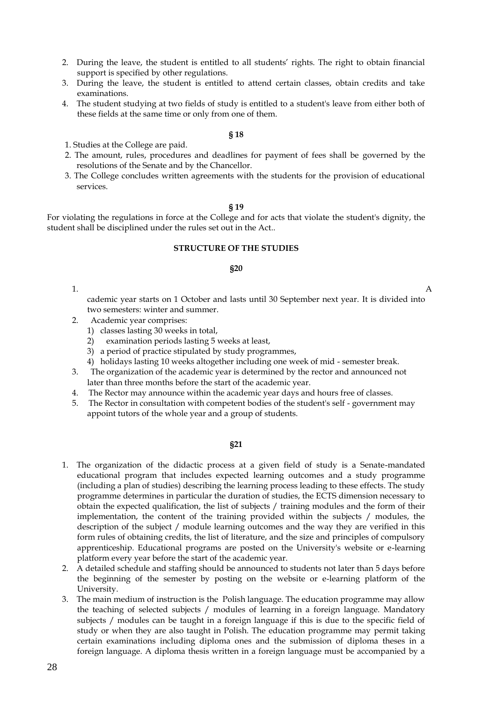- 2. During the leave, the student is entitled to all students' rights. The right to obtain financial support is specified by other regulations.
- 3. During the leave, the student is entitled to attend certain classes, obtain credits and take examinations.
- 4. The student studying at two fields of study is entitled to a student's leave from either both of these fields at the same time or only from one of them.

#### **§ 18**

- 1. Studies at the College are paid.
- 2. The amount, rules, procedures and deadlines for payment of fees shall be governed by the resolutions of the Senate and by the Chancellor.
- 3. The College concludes written agreements with the students for the provision of educational services.

#### **§ 19**

For violating the regulations in force at the College and for acts that violate the student's dignity, the student shall be disciplined under the rules set out in the Act..

#### **STRUCTURE OF THE STUDIES**

#### **§20**

1. A

cademic year starts on 1 October and lasts until 30 September next year. It is divided into two semesters: winter and summer.

- 2. Academic year comprises:
	- 1) classes lasting 30 weeks in total,
	- 2) examination periods lasting 5 weeks at least,
	- 3) a period of practice stipulated by study programmes,
	- 4) holidays lasting 10 weeks altogether including one week of mid semester break.
- 3. The organization of the academic year is determined by the rector and announced not later than three months before the start of the academic year.
- 4. The Rector may announce within the academic year days and hours free of classes.
- 5. The Rector in consultation with competent bodies of the student's self government may appoint tutors of the whole year and a group of students.

#### **§21**

- 1. The organization of the didactic process at a given field of study is a Senate-mandated educational program that includes expected learning outcomes and a study programme (including a plan of studies) describing the learning process leading to these effects. The study programme determines in particular the duration of studies, the ECTS dimension necessary to obtain the expected qualification, the list of subjects / training modules and the form of their implementation, the content of the training provided within the subjects / modules, the description of the subject / module learning outcomes and the way they are verified in this form rules of obtaining credits, the list of literature, and the size and principles of compulsory apprenticeship. Educational programs are posted on the University's website or e-learning platform every year before the start of the academic year.
- 2. A detailed schedule and staffing should be announced to students not later than 5 days before the beginning of the semester by posting on the website or e-learning platform of the University.
- 3. The main medium of instruction is the Polish language. The education programme may allow the teaching of selected subjects / modules of learning in a foreign language. Mandatory subjects / modules can be taught in a foreign language if this is due to the specific field of study or when they are also taught in Polish. The education programme may permit taking certain examinations including diploma ones and the submission of diploma theses in a foreign language. A diploma thesis written in a foreign language must be accompanied by a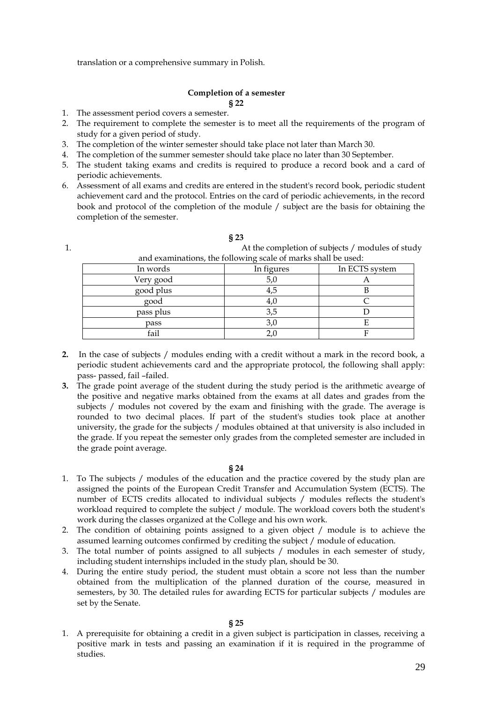translation or a comprehensive summary in Polish.

## **Completion of a semester § 22**

- 1. The assessment period covers a semester.
- 2. The requirement to complete the semester is to meet all the requirements of the program of study for a given period of study.
- 3. The completion of the winter semester should take place not later than March 30.
- 4. The completion of the summer semester should take place no later than 30 September.
- 5. The student taking exams and credits is required to produce a record book and a card of periodic achievements.
- 6. Assessment of all exams and credits are entered in the student's record book, periodic student achievement card and the protocol. Entries on the card of periodic achievements, in the record book and protocol of the completion of the module / subject are the basis for obtaining the completion of the semester.

| and examinations, the following scale of marks shall be used: |            |                |  |  |  |
|---------------------------------------------------------------|------------|----------------|--|--|--|
| In words                                                      | In figures | In ECTS system |  |  |  |
| Very good                                                     | 5,0        |                |  |  |  |
| good plus                                                     | 4,5        |                |  |  |  |
| good                                                          | 4,0        |                |  |  |  |
| pass plus                                                     | 3,5        |                |  |  |  |
| pass                                                          | 3,0        |                |  |  |  |
| fail                                                          |            |                |  |  |  |

- **2.** In the case of subjects / modules ending with a credit without a mark in the record book, a periodic student achievements card and the appropriate protocol, the following shall apply: pass- passed, fail –failed.
- **3.** The grade point average of the student during the study period is the arithmetic avearge of the positive and negative marks obtained from the exams at all dates and grades from the subjects / modules not covered by the exam and finishing with the grade. The average is rounded to two decimal places. If part of the student's studies took place at another university, the grade for the subjects / modules obtained at that university is also included in the grade. If you repeat the semester only grades from the completed semester are included in the grade point average.

#### **§ 24**

- 1. To The subjects / modules of the education and the practice covered by the study plan are assigned the points of the European Credit Transfer and Accumulation System (ECTS). The number of ECTS credits allocated to individual subjects / modules reflects the student's workload required to complete the subject / module. The workload covers both the student's work during the classes organized at the College and his own work.
- 2. The condition of obtaining points assigned to a given object / module is to achieve the assumed learning outcomes confirmed by crediting the subject / module of education.
- 3. The total number of points assigned to all subjects / modules in each semester of study, including student internships included in the study plan, should be 30.
- 4. During the entire study period, the student must obtain a score not less than the number obtained from the multiplication of the planned duration of the course, measured in semesters, by 30. The detailed rules for awarding ECTS for particular subjects / modules are set by the Senate.

**§ 25**

1. A prerequisite for obtaining a credit in a given subject is participation in classes, receiving a positive mark in tests and passing an examination if it is required in the programme of studies.

**§ 23** 1. At the completion of subjects / modules of study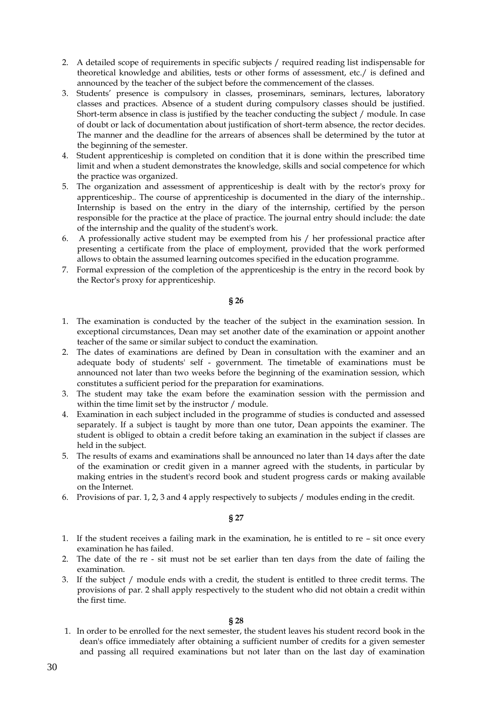- 2. A detailed scope of requirements in specific subjects / required reading list indispensable for theoretical knowledge and abilities, tests or other forms of assessment, etc./ is defined and announced by the teacher of the subject before the commencement of the classes.
- 3. Students' presence is compulsory in classes, proseminars, seminars, lectures, laboratory classes and practices. Absence of a student during compulsory classes should be justified. Short-term absence in class is justified by the teacher conducting the subject / module. In case of doubt or lack of documentation about justification of short-term absence, the rector decides. The manner and the deadline for the arrears of absences shall be determined by the tutor at the beginning of the semester.
- 4. Student apprenticeship is completed on condition that it is done within the prescribed time limit and when a student demonstrates the knowledge, skills and social competence for which the practice was organized.
- 5. The organization and assessment of apprenticeship is dealt with by the rector's proxy for apprenticeship.. The course of apprenticeship is documented in the diary of the internship.. Internship is based on the entry in the diary of the internship, certified by the person responsible for the practice at the place of practice. The journal entry should include: the date of the internship and the quality of the student's work.
- 6. A professionally active student may be exempted from his / her professional practice after presenting a certificate from the place of employment, provided that the work performed allows to obtain the assumed learning outcomes specified in the education programme.
- 7. Formal expression of the completion of the apprenticeship is the entry in the record book by the Rector's proxy for apprenticeship.

## **§ 26**

- 1. The examination is conducted by the teacher of the subject in the examination session. In exceptional circumstances, Dean may set another date of the examination or appoint another teacher of the same or similar subject to conduct the examination.
- 2. The dates of examinations are defined by Dean in consultation with the examiner and an adequate body of students' self - government. The timetable of examinations must be announced not later than two weeks before the beginning of the examination session, which constitutes a sufficient period for the preparation for examinations.
- 3. The student may take the exam before the examination session with the permission and within the time limit set by the instructor / module.
- 4. Examination in each subject included in the programme of studies is conducted and assessed separately. If a subject is taught by more than one tutor, Dean appoints the examiner. The student is obliged to obtain a credit before taking an examination in the subject if classes are held in the subject.
- 5. The results of exams and examinations shall be announced no later than 14 days after the date of the examination or credit given in a manner agreed with the students, in particular by making entries in the student's record book and student progress cards or making available on the Internet.
- 6. Provisions of par. 1, 2, 3 and 4 apply respectively to subjects / modules ending in the credit.

## **§ 27**

- 1. If the student receives a failing mark in the examination, he is entitled to re sit once every examination he has failed.
- 2. The date of the re sit must not be set earlier than ten days from the date of failing the examination.
- 3. If the subject / module ends with a credit, the student is entitled to three credit terms. The provisions of par. 2 shall apply respectively to the student who did not obtain a credit within the first time.

## **§ 28**

1. In order to be enrolled for the next semester, the student leaves his student record book in the dean's office immediately after obtaining a sufficient number of credits for a given semester and passing all required examinations but not later than on the last day of examination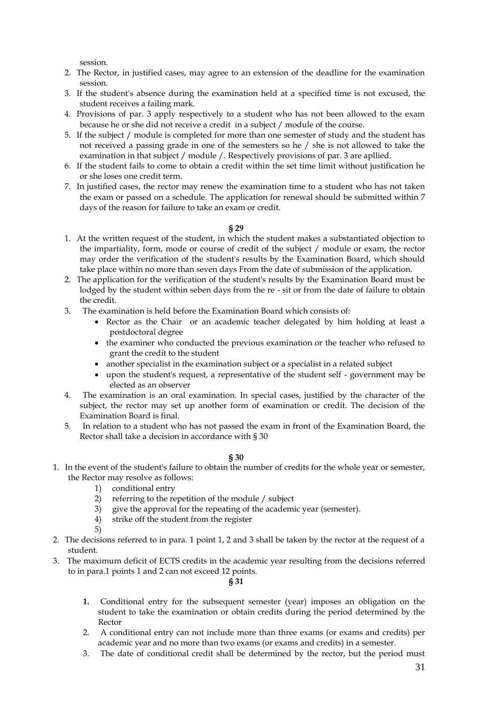session.

- 2. The Rector, in justified cases, may agree to an extension of the deadline for the examination session.
- 3. If the student's absence during the examination held at a specified time is not excused, the student receives a failing mark.
- 4. Provisions of par. 3 apply respectively to a student who has not been allowed to the exam because he or she did not receive a credit in a subject / module of the course.
- 5. If the subject / module is completed for more than one semester of study and the student has not received a passing grade in one of the semesters so he / she is not allowed to take the examination in that subject / module /. Respectively provisions of par. 3 are apllied.
- 6. If the student fails to come to obtain a credit within the set time limit without justification he or she loses one credit term.
- 7. In justified cases, the rector may renew the examination time to a student who has not taken the exam or passed on a schedule. The application for renewal should be submitted within 7 days of the reason for failure to take an exam or credit.

**§ 29**

- 1. At the written request of the student, in which the student makes a substantiated objection to the impartiality, form, mode or course of credit of the subject / module or exam, the rector may order the verification of the student's results by the Examination Board, which should take place within no more than seven days From the date of submission of the application.
- 2. The application for the verification of the student's results by the Examination Board must be lodged by the student within seben days from the re - sit or from the date of failure to obtain the credit.
- 3. The examination is held before the Examination Board which consists of:
	- Rector as the Chair or an academic teacher delegated by him holding at least a postdoctoral degree
	- the examiner who conducted the previous examination or the teacher who refused to grant the credit to the student
	- another specialist in the examination subject or a specialist in a related subject
	- upon the student's request, a representative of the student self government may be elected as an observer
- 4. The examination is an oral examination. In special cases, justified by the character of the subject, the rector may set up another form of examination or credit. The decision of the Examination Board is final.
- 5. In relation to a student who has not passed the exam in front of the Examination Board, the Rector shall take a decision in accordance with § 30

**§ 30**

- 1. In the event of the student's failure to obtain the number of credits for the whole year or semester, the Rector may resolve as follows:
	- 1) conditional entry
	- 2) referring to the repetition of the module / subject
	- 3) give the approval for the repeating of the academic year (semester).
	- 4) strike off the student from the register

5)

- 2. The decisions referred to in para. 1 point 1, 2 and 3 shall be taken by the rector at the request of a student.
- 3. The maximum deficit of ECTS credits in the academic year resulting from the decisions referred to in para.1 points 1 and 2 can not exceed 12 points.

# **§ 31**

- **1.** Conditional entry for the subsequent semester (year) imposes an obligation on the student to take the examination or obtain credits during the period determined by the Rector
- 2. A conditional entry can not include more than three exams (or exams and credits) per academic year and no more than two exams (or exams and credits) in a semester.
- 3. The date of conditional credit shall be determined by the rector, but the period must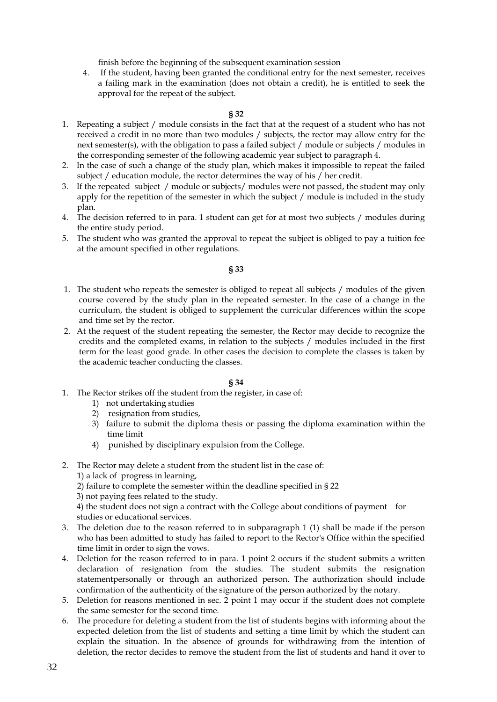finish before the beginning of the subsequent examination session

4. If the student, having been granted the conditional entry for the next semester, receives a failing mark in the examination (does not obtain a credit), he is entitled to seek the approval for the repeat of the subject.

## **§ 32**

- 1. Repeating a subject / module consists in the fact that at the request of a student who has not received a credit in no more than two modules / subjects, the rector may allow entry for the next semester(s), with the obligation to pass a failed subject / module or subjects / modules in the corresponding semester of the following academic year subject to paragraph 4.
- 2. In the case of such a change of the study plan, which makes it impossible to repeat the failed subject / education module, the rector determines the way of his / her credit.
- 3. If the repeated subject / module or subjects/ modules were not passed, the student may only apply for the repetition of the semester in which the subject / module is included in the study plan.
- 4. The decision referred to in para. 1 student can get for at most two subjects / modules during the entire study period.
- 5. The student who was granted the approval to repeat the subject is obliged to pay a tuition fee at the amount specified in other regulations.

## **§ 33**

- 1. The student who repeats the semester is obliged to repeat all subjects / modules of the given course covered by the study plan in the repeated semester. In the case of a change in the curriculum, the student is obliged to supplement the curricular differences within the scope and time set by the rector.
- 2. At the request of the student repeating the semester, the Rector may decide to recognize the credits and the completed exams, in relation to the subjects / modules included in the first term for the least good grade. In other cases the decision to complete the classes is taken by the academic teacher conducting the classes.

## **§ 34**

- 1. The Rector strikes off the student from the register, in case of:
	- 1) not undertaking studies
	- 2) resignation from studies,
	- 3) failure to submit the diploma thesis or passing the diploma examination within the time limit
	- 4) punished by disciplinary expulsion from the College.

2. The Rector may delete a student from the student list in the case of:

1) a lack of progress in learning,

2) failure to complete the semester within the deadline specified in § 22

3) not paying fees related to the study.

4) the student does not sign a contract with the College about conditions of payment for studies or educational services.

- 3. The deletion due to the reason referred to in subparagraph 1 (1) shall be made if the person who has been admitted to study has failed to report to the Rector's Office within the specified time limit in order to sign the vows.
- 4. Deletion for the reason referred to in para. 1 point 2 occurs if the student submits a written declaration of resignation from the studies. The student submits the resignation statementpersonally or through an authorized person. The authorization should include confirmation of the authenticity of the signature of the person authorized by the notary.
- 5. Deletion for reasons mentioned in sec. 2 point 1 may occur if the student does not complete the same semester for the second time.
- 6. The procedure for deleting a student from the list of students begins with informing about the expected deletion from the list of students and setting a time limit by which the student can explain the situation. In the absence of grounds for withdrawing from the intention of deletion, the rector decides to remove the student from the list of students and hand it over to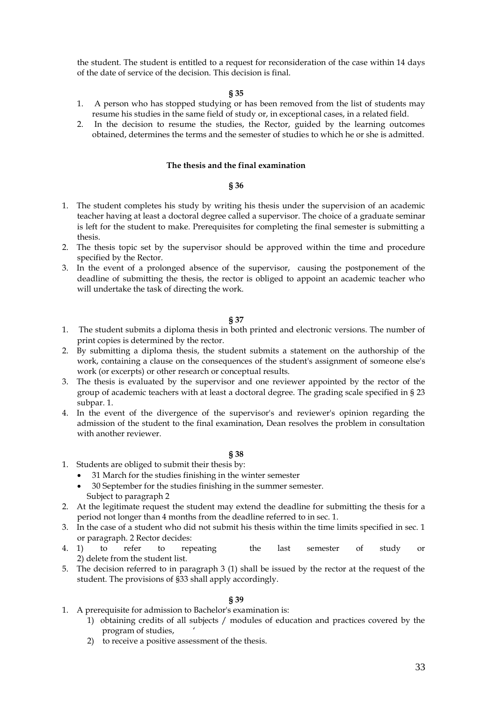the student. The student is entitled to a request for reconsideration of the case within 14 days of the date of service of the decision. This decision is final.

### **§ 35**

- 1. A person who has stopped studying or has been removed from the list of students may resume his studies in the same field of study or, in exceptional cases, in a related field.
- 2. In the decision to resume the studies, the Rector, guided by the learning outcomes obtained, determines the terms and the semester of studies to which he or she is admitted.

## **The thesis and the final examination**

#### **§ 36**

- 1. The student completes his study by writing his thesis under the supervision of an academic teacher having at least a doctoral degree called a supervisor. The choice of a graduate seminar is left for the student to make. Prerequisites for completing the final semester is submitting a thesis.
- 2. The thesis topic set by the supervisor should be approved within the time and procedure specified by the Rector.
- 3. In the event of a prolonged absence of the supervisor, causing the postponement of the deadline of submitting the thesis, the rector is obliged to appoint an academic teacher who will undertake the task of directing the work.

#### **§ 37**

- 1. The student submits a diploma thesis in both printed and electronic versions. The number of print copies is determined by the rector.
- 2. By submitting a diploma thesis, the student submits a statement on the authorship of the work, containing a clause on the consequences of the student's assignment of someone else's work (or excerpts) or other research or conceptual results.
- 3. The thesis is evaluated by the supervisor and one reviewer appointed by the rector of the group of academic teachers with at least a doctoral degree. The grading scale specified in § 23 subpar. 1.
- 4. In the event of the divergence of the supervisor's and reviewer's opinion regarding the admission of the student to the final examination, Dean resolves the problem in consultation with another reviewer.

## **§ 38**

- 1. Students are obliged to submit their thesis by:
	- 31 March for the studies finishing in the winter semester
	- 30 September for the studies finishing in the summer semester. Subject to paragraph 2
- 2. At the legitimate request the student may extend the deadline for submitting the thesis for a period not longer than 4 months from the deadline referred to in sec. 1.
- 3. In the case of a student who did not submit his thesis within the time limits specified in sec. 1 or paragraph. 2 Rector decides:
- 4. 1) to refer to repeating the last semester of study or 2) delete from the student list.
- 5. The decision referred to in paragraph 3 (1) shall be issued by the rector at the request of the student. The provisions of §33 shall apply accordingly.

#### **§ 39**

- 1. A prerequisite for admission to Bachelor's examination is:
	- 1) obtaining credits of all subjects / modules of education and practices covered by the program of studies, '
	- 2) to receive a positive assessment of the thesis.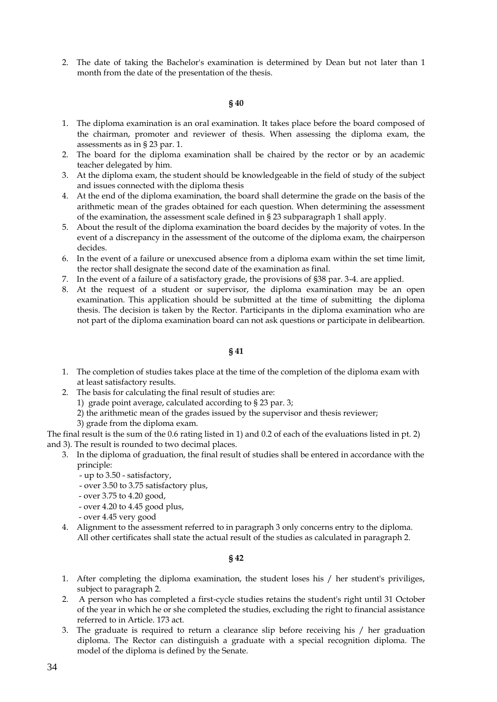2. The date of taking the Bachelor's examination is determined by Dean but not later than 1 month from the date of the presentation of the thesis.

## **§ 40**

- 1. The diploma examination is an oral examination. It takes place before the board composed of the chairman, promoter and reviewer of thesis. When assessing the diploma exam, the assessments as in § 23 par. 1.
- 2. The board for the diploma examination shall be chaired by the rector or by an academic teacher delegated by him.
- 3. At the diploma exam, the student should be knowledgeable in the field of study of the subject and issues connected with the diploma thesis
- 4. At the end of the diploma examination, the board shall determine the grade on the basis of the arithmetic mean of the grades obtained for each question. When determining the assessment of the examination, the assessment scale defined in § 23 subparagraph 1 shall apply.
- 5. About the result of the diploma examination the board decides by the majority of votes. In the event of a discrepancy in the assessment of the outcome of the diploma exam, the chairperson decides.
- 6. In the event of a failure or unexcused absence from a diploma exam within the set time limit, the rector shall designate the second date of the examination as final.
- 7. In the event of a failure of a satisfactory grade, the provisions of §38 par. 3-4. are applied.
- 8. At the request of a student or supervisor, the diploma examination may be an open examination. This application should be submitted at the time of submitting the diploma thesis. The decision is taken by the Rector. Participants in the diploma examination who are not part of the diploma examination board can not ask questions or participate in delibeartion.

## **§ 41**

- 1. The completion of studies takes place at the time of the completion of the diploma exam with at least satisfactory results.
- 2. The basis for calculating the final result of studies are:
	- 1) grade point average, calculated according to § 23 par. 3;
	- 2) the arithmetic mean of the grades issued by the supervisor and thesis reviewer;
	- 3) grade from the diploma exam.

The final result is the sum of the 0.6 rating listed in 1) and 0.2 of each of the evaluations listed in pt. 2) and 3). The result is rounded to two decimal places.

- 3. In the diploma of graduation, the final result of studies shall be entered in accordance with the principle:
	- up to 3.50 satisfactory,
	- over 3.50 to 3.75 satisfactory plus,
	- over 3.75 to 4.20 good,
	- over 4.20 to 4.45 good plus,
	- over 4.45 very good
- 4. Alignment to the assessment referred to in paragraph 3 only concerns entry to the diploma. All other certificates shall state the actual result of the studies as calculated in paragraph 2.

## **§ 42**

- 1. After completing the diploma examination, the student loses his / her student's priviliges, subject to paragraph 2.
- 2. A person who has completed a first-cycle studies retains the student's right until 31 October of the year in which he or she completed the studies, excluding the right to financial assistance referred to in Article. 173 act.
- 3. The graduate is required to return a clearance slip before receiving his / her graduation diploma. The Rector can distinguish a graduate with a special recognition diploma. The model of the diploma is defined by the Senate.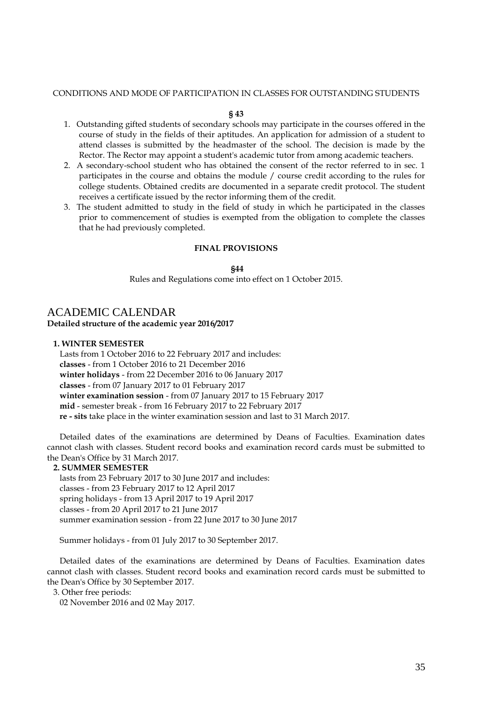#### CONDITIONS AND MODE OF PARTICIPATION IN CLASSES FOR OUTSTANDING STUDENTS

#### **§ 43**

- 1. Outstanding gifted students of secondary schools may participate in the courses offered in the course of study in the fields of their aptitudes. An application for admission of a student to attend classes is submitted by the headmaster of the school. The decision is made by the Rector. The Rector may appoint a student's academic tutor from among academic teachers.
- 2. A secondary-school student who has obtained the consent of the rector referred to in sec. 1 participates in the course and obtains the module / course credit according to the rules for college students. Obtained credits are documented in a separate credit protocol. The student receives a certificate issued by the rector informing them of the credit.
- 3. The student admitted to study in the field of study in which he participated in the classes prior to commencement of studies is exempted from the obligation to complete the classes that he had previously completed.

### **FINAL PROVISIONS**

#### **§44**

Rules and Regulations come into effect on 1 October 2015.

# <span id="page-34-0"></span>ACADEMIC CALENDAR

**Detailed structure of the academic year 2016/2017**

## **1. WINTER SEMESTER**

 Lasts from 1 October 2016 to 22 February 2017 and includes: **classes** - from 1 October 2016 to 21 December 2016 **winter holidays** - from 22 December 2016 to 06 January 2017 **classes** - from 07 January 2017 to 01 February 2017 **winter examination session** - from 07 January 2017 to 15 February 2017 **mid** - semester break - from 16 February 2017 to 22 February 2017 **re - sits** take place in the winter examination session and last to 31 March 2017.

 Detailed dates of the examinations are determined by Deans of Faculties. Examination dates cannot clash with classes. Student record books and examination record cards must be submitted to the Dean's Office by 31 March 2017.

#### **2. SUMMER SEMESTER**

 lasts from 23 February 2017 to 30 June 2017 and includes: classes - from 23 February 2017 to 12 April 2017 spring holidays - from 13 April 2017 to 19 April 2017 classes - from 20 April 2017 to 21 June 2017 summer examination session - from 22 June 2017 to 30 June 2017

Summer holidays - from 01 July 2017 to 30 September 2017.

 Detailed dates of the examinations are determined by Deans of Faculties. Examination dates cannot clash with classes. Student record books and examination record cards must be submitted to the Dean's Office by 30 September 2017.

3. Other free periods:

02 November 2016 and 02 May 2017.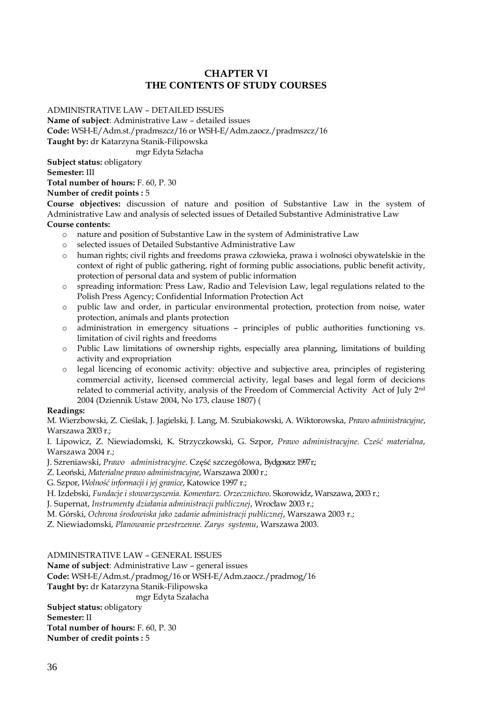# **CHAPTER VI THE CONTENTS OF STUDY COURSES**

<span id="page-35-0"></span>ADMINISTRATIVE LAW – DETAILED ISSUES

**Name of subject**: Administrative Law – detailed issues

**Code:** WSH-E/Adm.st./pradmszcz/16 or WSH-E/Adm.zaocz./pradmszcz/16

**Taught by:** dr Katarzyna Stanik-Filipowska

mgr Edyta Szłacha

**Subject status:** obligatory

**Semester:** III

**Total number of hours:** F. 60, P. 30

**Number of credit points :** 5

**Course objectives:** discussion of nature and position of Substantive Law in the system of Administrative Law and analysis of selected issues of Detailed Substantive Administrative Law **Course contents:**

- o nature and position of Substantive Law in the system of Administrative Law
- o selected issues of Detailed Substantive Administrative Law
- o human rights; civil rights and freedoms prawa człowieka, prawa i wolności obywatelskie in the context of right of public gathering, right of forming public associations, public benefit activity, protection of personal data and system of public information
- o spreading information: Press Law, Radio and Television Law, legal regulations related to the Polish Press Agency; Confidential Information Protection Act
- o public law and order, in particular environmental protection, protection from noise, water protection, animals and plants protection
- o administration in emergency situations principles of public authorities functioning vs. limitation of civil rights and freedoms
- o Public Law limitations of ownership rights, especially area planning, limitations of building activity and expropriation
- o legal licencing of economic activity: objective and subjective area, principles of registering commercial activity, licensed commercial activity, legal bases and legal form of decicions related to commerial activity, analysis of the Freedom of Commercial Activity Act of July 2nd 2004 (Dziennik Ustaw 2004, No 173, clause 1807) (

# **Readings:**

M. Wierzbowski, Z. Cieślak, J. Jagielski, J. Lang, M. Szubiakowski, A. Wiktorowska, *Prawo administracyjne*, Warszawa 2003 r.;

I. Lipowicz, Z. Niewiadomski, K. Strzyczkowski, G. Szpor, *Prawo administracyjne. Cześć materialna*, Warszawa 2004 r.;

J. Szreniawski, *Prawo administracyjne*. Część szczegółowa, Bydgoszcz 1997 r.;

Z. Leoński, *Materialne prawo administracyjne*, Warszawa 2000 r.;

G. Szpor, *Wolność informacji i jej granice*, Katowice 1997 r.;

H. Izdebski, *Fundacje i stowarzyszenia. Komentarz. Orzecznictwo*. Skorowidz, Warszawa, 2003 r.;

J. Supernat, *Instrumenty działania administracji publicznej*, Wrocław 2003 r.;

M. Górski, *Ochrona środowiska jako zadanie administracji publicznej*, Warszawa 2003 r.;

Z. Niewiadomski, *Planowanie przestrzenne. Zarys systemu*, Warszawa 2003.

ADMINISTRATIVE LAW – GENERAL ISSUES

**Name of subject**: Administrative Law – general issues

**Code:** WSH-E/Adm.st./pradmog/16 or WSH-E/Adm.zaocz./pradmog/16

**Taught by:** dr Katarzyna Stanik-Filipowska

mgr Edyta Szałacha

**Subject status:** obligatory

**Semester:** II **Total number of hours:** F. 60, P. 30 **Number of credit points :** 5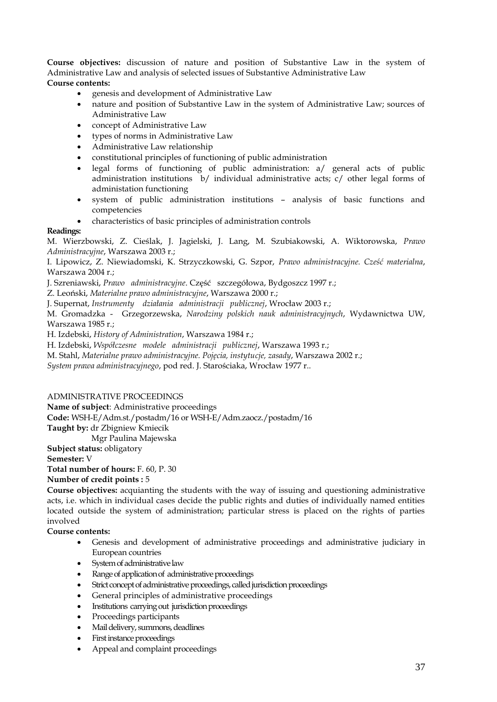**Course objectives:** discussion of nature and position of Substantive Law in the system of Administrative Law and analysis of selected issues of Substantive Administrative Law **Course contents:**

- genesis and development of Administrative Law
- nature and position of Substantive Law in the system of Administrative Law; sources of Administrative Law
- concept of Administrative Law
- types of norms in Administrative Law
- Administrative Law relationship
- constitutional principles of functioning of public administration
- legal forms of functioning of public administration: a/ general acts of public administration institutions b/ individual administrative acts; c/ other legal forms of administation functioning
- system of public administration institutions analysis of basic functions and competencies
- characteristics of basic principles of administration controls

## **Readings:**

M. Wierzbowski, Z. Cieślak, J. Jagielski, J. Lang, M. Szubiakowski, A. Wiktorowska, *Prawo Administracyjne*, Warszawa 2003 r.;

I. Lipowicz, Z. Niewiadomski, K. Strzyczkowski, G. Szpor, *Prawo administracyjne. Cześć materialna*, Warszawa 2004 r.;

J. Szreniawski, *Prawo administracyjne*. Część szczegółowa, Bydgoszcz 1997 r.;

Z. Leoński, *Materialne prawo administracyjne*, Warszawa 2000 r.;

J. Supernat, *Instrumenty działania administracji publicznej*, Wrocław 2003 r.;

M. Gromadzka - Grzegorzewska, *Narodziny polskich nauk administracyjnych*, Wydawnictwa UW, Warszawa 1985 r.;

H. Izdebski, *History of Administration*, Warszawa 1984 r.;

H. Izdebski, *Współczesne modele administracji publicznej*, Warszawa 1993 r.;

M. Stahl, *Materialne prawo administracyjne. Pojęcia, instytucje, zasady*, Warszawa 2002 r.;

*System prawa administracyjnego*, pod red. J. Starościaka, Wrocław 1977 r..

ADMINISTRATIVE PROCEEDINGS

**Name of subject**: Administrative proceedings

**Code:** WSH-E/Adm.st./postadm/16 or WSH-E/Adm.zaocz./postadm/16

**Taught by:** dr Zbigniew Kmiecik

Mgr Paulina Majewska

**Subject status:** obligatory

**Semester:** V

**Total number of hours:** F. 60, P. 30

# **Number of credit points :** 5

**Course objectives:** acquianting the students with the way of issuing and questioning administrative acts, i.e. which in individual cases decide the public rights and duties of individually named entities located outside the system of administration; particular stress is placed on the rights of parties involved

**Course contents:**

- Genesis and development of administrative proceedings and administrative judiciary in European countries
- System of administrative law
- Range of application of administrative proceedings
- Strict concept of administrative proceedings, called jurisdiction proceedings
- General principles of administrative proceedings
- Institutions carrying out jurisdiction proceedings
- Proceedings participants
- Mail delivery, summons, deadlines
- First instance proceedings
- Appeal and complaint proceedings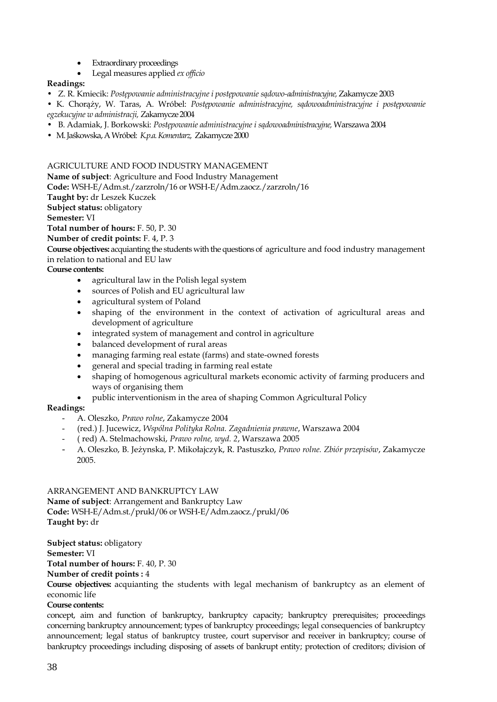- **Extraordinary proceedings**
- Legal measures applied *ex officio*

# **Readings:**

- Z. R. Kmiecik: *Postępowanie administracyjne i postępowanie sądowo-administracyjne,* Zakamycze 2003
- K. Chorąży, W. Taras, A. Wróbel: *Postępowanie administracyjne, sądowoadministracyjne i postępowanie egzekucyjne w administracji,* Zakamycze 2004
- B. Adamiak, J. Borkowski: *Postępowanie administracyjne i sądowoadministracyjne,* Warszawa 2004
- M. Jaśkowska, A Wróbel: *K.p.a. Komentarz,* Zakamycze 2000

## AGRICULTURE AND FOOD INDUSTRY MANAGEMENT

**Name of subject**: Agriculture and Food Industry Management

**Code:** WSH-E/Adm.st./zarzroln/16 or WSH-E/Adm.zaocz./zarzroln/16

**Taught by:** dr Leszek Kuczek

**Subject status:** obligatory

**Semester:** VI

**Total number of hours:** F. 50, P. 30

**Number of credit points:** F. 4, P. 3

**Course objectives:** acquianting the students with the questions of agriculture and food industry management in relation to national and EU law

**Course contents:**

- agricultural law in the Polish legal system
- sources of Polish and EU agricultural law
- agricultural system of Poland
- shaping of the environment in the context of activation of agricultural areas and development of agriculture
- integrated system of management and control in agriculture
- balanced development of rural areas
- managing farming real estate (farms) and state-owned forests
- general and special trading in farming real estate
- shaping of homogenous agricultural markets economic activity of farming producers and ways of organising them
- public interventionism in the area of shaping Common Agricultural Policy

# **Readings:**

- A. Oleszko, *Prawo rolne*, Zakamycze 2004
- (red.) J. Jucewicz, *Wspólna Polityka Rolna. Zagadnienia prawne*, Warszawa 2004
- ( red) A. Stelmachowski, *Prawo rolne, wyd. 2*, Warszawa 2005
- A. Oleszko, B. Jeżynska, P. Mikołajczyk, R. Pastuszko, *Prawo rolne. Zbiór przepisów*, Zakamycze 2005.

## ARRANGEMENT AND BANKRUPTCY LAW

**Name of subject**: Arrangement and Bankruptcy Law **Code:** WSH-E/Adm.st./prukl/06 or WSH-E/Adm.zaocz./prukl/06 **Taught by:** dr

**Subject status:** obligatory

**Semester:** VI

**Total number of hours:** F. 40, P. 30

**Number of credit points :** 4

**Course objectives:** acquianting the students with legal mechanism of bankruptcy as an element of economic life

# **Course contents:**

concept, aim and function of bankruptcy, bankruptcy capacity; bankruptcy prerequisites; proceedings concerning bankruptcy announcement; types of bankruptcy proceedings; legal consequencies of bankruptcy announcement; legal status of bankruptcy trustee, court supervisor and receiver in bankruptcy; course of bankruptcy proceedings including disposing of assets of bankrupt entity; protection of creditors; division of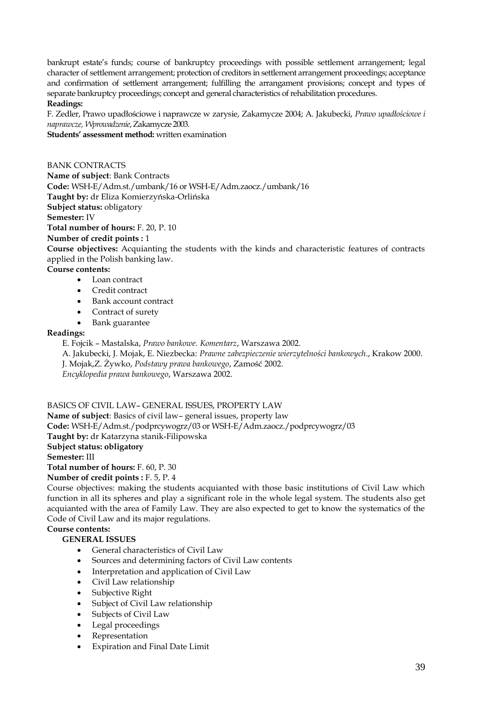bankrupt estate's funds; course of bankruptcy proceedings with possible settlement arrangement; legal character of settlement arrangement; protection of creditors in settlement arrangement proceedings; acceptance and confirmation of settlement arrangement; fulfilling the arrangament provisions; concept and types of separate bankruptcy proceedings; concept and general characteristics of rehabilitation procedures. **Readings:** 

F. Zedler, Prawo upadłościowe i naprawcze w zarysie, Zakamycze 2004; A. Jakubecki, *Prawo upadłościowe i naprawcze, Wprowadzenie*, Zakamycze 2003.

**Students' assessment method:** written examination

BANK CONTRACTS **Name of subject**: Bank Contracts **Code:** WSH-E/Adm.st./umbank/16 or WSH-E/Adm.zaocz./umbank/16 **Taught by:** dr Eliza Komierzyńska-Orlińska **Subject status:** obligatory **Semester:** IV **Total number of hours:** F. 20, P. 10 **Number of credit points :** 1

**Course objectives:** Acquianting the students with the kinds and characteristic features of contracts applied in the Polish banking law.

**Course contents:**

- Loan contract
- Credit contract
- Bank account contract
- Contract of surety
- Bank guarantee

## **Readings:**

E. Fojcik – Mastalska, *Prawo bankowe. Komentarz*, Warszawa 2002.

A. Jakubecki, J. Mojak, E. Niezbecka: *Prawne zabezpieczenie wierzytelności bankowych*., Krakow 2000. J. Mojak,Z. Żywko, *Podstawy prawa bankowego*, Zamość 2002. *Encyklopedia prawa bankowego*, Warszawa 2002.

BASICS OF CIVIL LAW– GENERAL ISSUES, PROPERTY LAW

**Name of subject**: Basics of civil law– general issues, property law **Code:** WSH-E/Adm.st./podprcywogrz/03 or WSH-E/Adm.zaocz./podprcywogrz/03 **Taught by:** dr Katarzyna stanik-Filipowska **Subject status: obligatory Semester:** III **Total number of hours:** F. 60, P. 30

**Number of credit points :** F. 5, P. 4

Course objectives: making the students acquianted with those basic institutions of Civil Law which function in all its spheres and play a significant role in the whole legal system. The students also get acquianted with the area of Family Law. They are also expected to get to know the systematics of the Code of Civil Law and its major regulations.

# **Course contents:**

# **GENERAL ISSUES**

- General characteristics of Civil Law
- Sources and determining factors of Civil Law contents
- Interpretation and application of Civil Law
- Civil Law relationship
- Subjective Right
- Subject of Civil Law relationship
- Subjects of Civil Law
- Legal proceedings
- Representation
- Expiration and Final Date Limit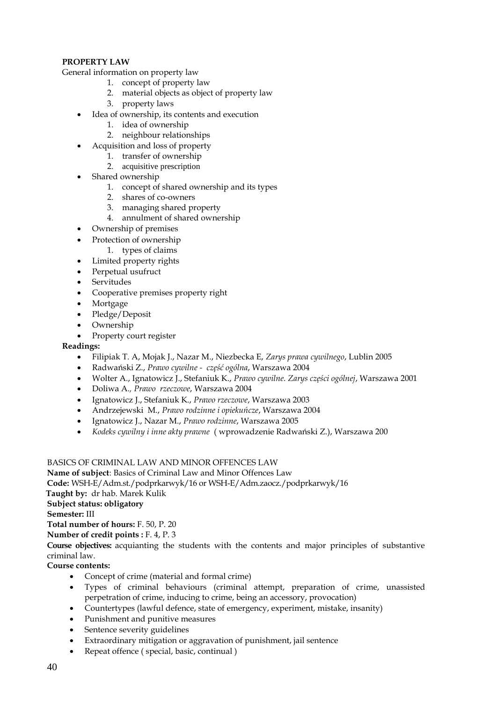# **PROPERTY LAW**

General information on property law

- 1. concept of property law
- 2. material objects as object of property law
- 3. property laws
- Idea of ownership, its contents and execution
	- 1. idea of ownership
	- 2. neighbour relationships
- Acquisition and loss of property
- 1. transfer of ownership
	- 2. acquisitive prescription
- Shared ownership
	- 1. concept of shared ownership and its types
	- 2. shares of co-owners
	- 3. managing shared property
	- 4. annulment of shared ownership
- Ownership of premises
- Protection of ownership
	- 1. types of claims
- Limited property rights
- Perpetual usufruct
- **Servitudes**
- Cooperative premises property right
- Mortgage
- Pledge/Deposit
- Ownership
- Property court register

## **Readings:**

- Filipiak T. A, Mojak J., Nazar M., Niezbecka E, *Zarys prawa cywilnego*, Lublin 2005
- Radwański Z., *Prawo cywilne część ogólna*, Warszawa 2004
- Wolter A., Ignatowicz J., Stefaniuk K., *Prawo cywilne. Zarys części ogólnej*, Warszawa 2001
- Doliwa A*., Prawo rzeczowe*, Warszawa 2004
- Ignatowicz J., Stefaniuk K., *Prawo rzeczowe*, Warszawa 2003
- Andrzejewski M., *Prawo rodzinne i opiekuńcze*, Warszawa 2004
- Ignatowicz J., Nazar M., *Prawo rodzinne*, Warszawa 2005
- *Kodeks cywilny i inne akty prawne* ( wprowadzenie Radwański Z.), Warszawa 200

# BASICS OF CRIMINAL LAW AND MINOR OFFENCES LAW

**Name of subject**: Basics of Criminal Law and Minor Offences Law

**Code:** WSH-E/Adm.st./podprkarwyk/16 or WSH-E/Adm.zaocz./podprkarwyk/16

 **Taught by:** dr hab. Marek Kulik

**Subject status: obligatory**

**Semester:** III

**Total number of hours:** F. 50, P. 20

**Number of credit points :** F. 4, P. 3

**Course objectives:** acquianting the students with the contents and major principles of substantive criminal law.

**Course contents:**

- Concept of crime (material and formal crime)
- Types of criminal behaviours (criminal attempt, preparation of crime, unassisted perpetration of crime, inducing to crime, being an accessory, provocation)
- Countertypes (lawful defence, state of emergency, experiment, mistake, insanity)
- Punishment and punitive measures
- Sentence severity guidelines
- Extraordinary mitigation or aggravation of punishment, jail sentence
- Repeat offence ( special, basic, continual )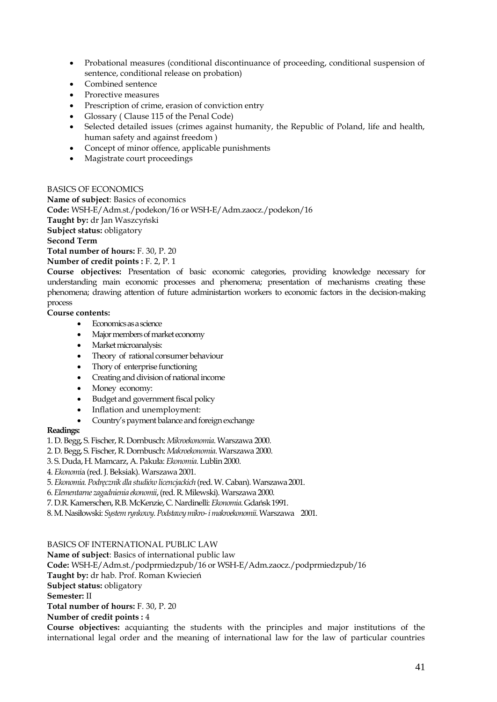- Probational measures (conditional discontinuance of proceeding, conditional suspension of sentence, conditional release on probation)
- Combined sentence
- Prorective measures
- Prescription of crime, erasion of conviction entry
- Glossary ( Clause 115 of the Penal Code)
- Selected detailed issues (crimes against humanity, the Republic of Poland, life and health, human safety and against freedom )
- Concept of minor offence, applicable punishments
- Magistrate court proceedings

## BASICS OF ECONOMICS

**Name of subject**: Basics of economics **Code:** WSH-E/Adm.st./podekon/16 or WSH-E/Adm.zaocz./podekon/16 **Taught by:** dr Jan Waszcyński **Subject status:** obligatory **Second Term Total number of hours:** F. 30, P. 20 **Number of credit points :** F. 2, P. 1

**Course objectives:** Presentation of basic economic categories, providing knowledge necessary for understanding main economic processes and phenomena; presentation of mechanisms creating these phenomena; drawing attention of future administartion workers to economic factors in the decision-making process

**Course contents:**

- Economics as a science
- Major members of market economy
- Market microanalysis:
- Theory of rational consumer behaviour
- Thory of enterprise functioning
- Creating and division of national income
- Money economy:
- Budget and government fiscal policy
- Inflation and unemployment:
- Country's payment balance and foreign exchange

# **Readings:**

1. D. Begg, S. Fischer, R. Dornbusch: *Mikroekonomia*. Warszawa 2000.

- 2. D. Begg, S. Fischer, R. Dornbusch: *Makroekonomia*. Warszawa 2000.
- 3. S. Duda, H. Mamcarz, A. Pakuła: *Ekonomia*. Lublin 2000.
- 4. *Ekonomi*a (red. J. Beksiak). Warszawa 2001.
- 5. *Ekonomia. Podręcznik dla studiów licencjackich* (red. W. Caban). Warszawa 2001.
- 6. *Elementarne zagadnienia ekonomii*, (red. R. Milewski). Warszawa 2000.
- 7. D.R. Kamerschen, R.B. McKenzie, C. Nardinelli: *Ekonomia*. Gdańsk 1991.
- 8. M. Nasiłowski: *System rynkowy. Podstawy mikro-i makroekonomii*. Warszawa 2001.

# BASICS OF INTERNATIONAL PUBLIC LAW

**Name of subject**: Basics of international public law

**Code:** WSH-E/Adm.st./podprmiedzpub/16 or WSH-E/Adm.zaocz./podprmiedzpub/16

**Taught by:** dr hab. Prof. Roman Kwiecień

**Subject status:** obligatory

**Semester:** II

**Total number of hours:** F. 30, P. 20

**Number of credit points :** 4

**Course objectives:** acquianting the students with the principles and major institutions of the international legal order and the meaning of international law for the law of particular countries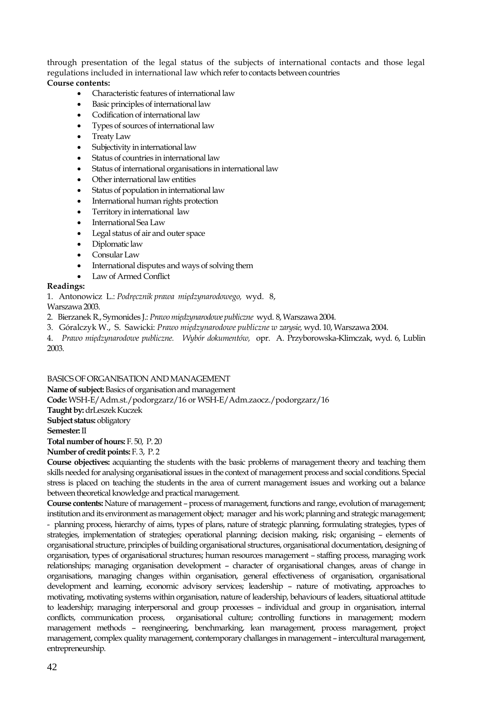through presentation of the legal status of the subjects of international contacts and those legal regulations included in international law which refer to contacts between countries **Course contents:**

- Characteristic features of international law
- Basic principles of international law
- Codification of international law
- Types of sources of international law
- Treaty Law
- Subjectivity in international law
- Status of countries in international law
- Status of international organisations in international law
- Other international law entities
- Status of population in international law
- International human rights protection
- Territory in international law
- International Sea Law
- Legal status of air and outer space
- Diplomatic law
- Consular Law
- International disputes and ways of solving them
- Law of Armed Conflict

## **Readings:**

1. Antonowicz L.: *Podręcznik prawa międzynarodowego,* wyd. 8,

Warszawa 2003.

- 2. Bierzanek R., Symonides J.: *Prawo międzynarodowe publiczne* wyd. 8, Warszawa 2004.
- 3. Góralczyk W., S. Sawicki: *Prawo międzynarodowe publiczne w zarysie,* wyd. 10, Warszawa 2004.

4. *Prawo międzynarodowe publiczne. Wybór dokumentów,* opr. A. Przyborowska-Klimczak, wyd. 6, Lublin 2003.

## BASICS OF ORGANISATION AND MANAGEMENT

**Name of subject:**Basics of organisation and management **Code:**WSH-E/Adm.st./podorgzarz/16 or WSH-E/Adm.zaocz./podorgzarz/16 **Taught by:** drLeszek Kuczek **Subject status:** obligatory **Semester:** II **Total number of hours:** F. 50, P. 20 **Number of credit points:** F. 3, P. 2

**Course objectives:** acquianting the students with the basic problems of management theory and teaching them skills needed for analysing organisational issues in the context of management process and social conditions. Special stress is placed on teaching the students in the area of current management issues and working out a balance between theoretical knowledge and practical management.

**Course contents:** Nature of management – process of management, functions and range, evolution of management; institution and its environment as management object; manager and his work; planning and strategic management; - planning process, hierarchy of aims, types of plans, nature of strategic planning, formulating strategies, types of strategies, implementation of strategies; operational planning; decision making, risk; organising – elements of organisational structure, principles of building organisational structures, organisational documentation, designing of organisation, types of organisational structures; human resources management – staffing process, managing work relationships; managing organisation development – character of organisational changes, areas of change in organisations, managing changes within organisation, general effectiveness of organisation, organisational development and learning, economic advisory services; leadership – nature of motivating, approaches to motivating, motivating systems within organisation, nature of leadership, behaviours of leaders, situational attitude to leadership; managing interpersonal and group processes – individual and group in organisation, internal conflicts, communication process, organisational culture; controlling functions in management; modern management methods – reengineering, benchmarking, lean management, process management, project management, complex quality management, contemporary challanges in management – intercultural management, entrepreneurship.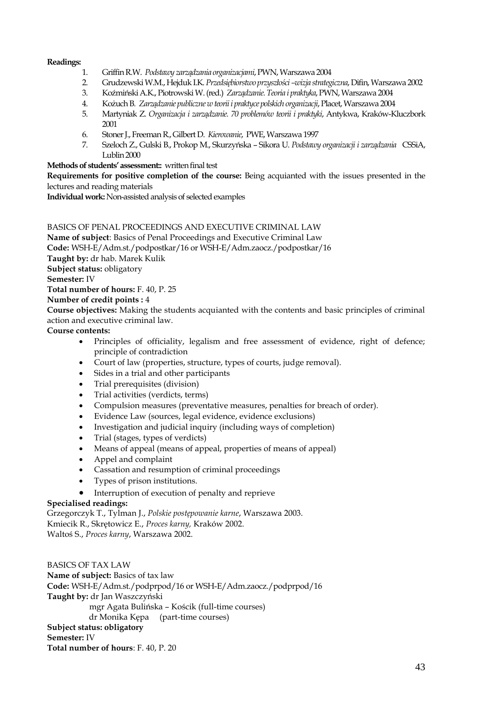## **Readings:**

- 1. Griffin R.W. *Podstawy zarządzania organizacjami*, PWN, Warszawa 2004
- 2. Grudzewski W.M., Hejduk I.K. *Przedsiębiorstwo przyszłości –wizja strategiczna*, Difin, Warszawa 2002
- 3. KoźmińskiA.K., Piotrowski W. (red.) *Zarządzanie. Teoria i praktyka*, PWN, Warszawa 2004
- 4. Kożuch B*. Zarządzanie publiczne w teorii i praktyce polskich organizacji*, Placet, Warszawa 2004
- 5. Martyniak Z. *Organizacja i zarządzanie. 70 problemów teorii i praktyki*, Antykwa, Kraków-Kluczbork 2001
- 6. Stoner J., Freeman R., Gilbert D. *Kierowanie*, PWE, Warszawa 1997
- 7. Szeloch Z., Gulski B., Prokop M., Skurzyńska Sikora U. *Podstawy organizacji i zarządzania* CSSiA, Lublin 2000

# **Methods of students' assessment::** written final test

**Requirements for positive completion of the course:** Being acquianted with the issues presented in the lectures and reading materials

**Individual work:** Non-assisted analysis of selected examples

## BASICS OF PENAL PROCEEDINGS AND EXECUTIVE CRIMINAL LAW

**Name of subject**: Basics of Penal Proceedings and Executive Criminal Law **Code:** WSH-E/Adm.st./podpostkar/16 or WSH-E/Adm.zaocz./podpostkar/16 **Taught by:** dr hab. Marek Kulik **Subject status:** obligatory **Semester:** IV **Total number of hours:** F. 40, P. 25 **Number of credit points :** 4 **Course objectives:** Making the students acquianted with the contents and basic principles of criminal

# action and executive criminal law.

# **Course contents:**

- Principles of officiality, legalism and free assessment of evidence, right of defence; principle of contradiction
- Court of law (properties, structure, types of courts, judge removal).
- Sides in a trial and other participants
- Trial prerequisites (division)
- Trial activities (verdicts, terms)
- Compulsion measures (preventative measures, penalties for breach of order).
- Evidence Law (sources, legal evidence, evidence exclusions)
- Investigation and judicial inquiry (including ways of completion)
- Trial (stages, types of verdicts)
- Means of appeal (means of appeal, properties of means of appeal)
- Appel and complaint
- Cassation and resumption of criminal proceedings
- Types of prison institutions.
- Interruption of execution of penalty and reprieve

# **Specialised readings:**

Grzegorczyk T., Tylman J., *Polskie postępowanie karne*, Warszawa 2003. Kmiecik R., Skrętowicz E., *Proces karny,* Kraków 2002. Waltoś S., *Proces karny*, Warszawa 2002.

BASICS OF TAX LAW **Name of subject:** Basics of tax law **Code:** WSH-E/Adm.st./podprpod/16 or WSH-E/Adm.zaocz./podprpod/16 **Taught by:** dr Jan Waszczyński mgr Agata Bulińska – Kościk (full-time courses) dr Monika Kępa (part-time courses) **Subject status: obligatory Semester:** IV **Total number of hours**: F. 40, P. 20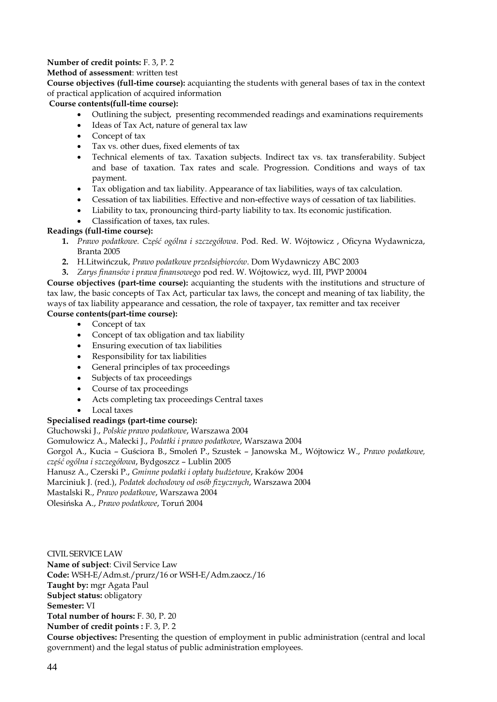# **Number of credit points:** F. 3, P. 2

# **Method of assessment**: written test

**Course objectives (full-time course):** acquianting the students with general bases of tax in the context of practical application of acquired information

# **Course contents(full-time course):**

- Outlining the subject, presenting recommended readings and examinations requirements
- Ideas of Tax Act, nature of general tax law
- Concept of tax
- Tax vs. other dues, fixed elements of tax
- Technical elements of tax. Taxation subjects. Indirect tax vs. tax transferability. Subject and base of taxation. Tax rates and scale. Progression. Conditions and ways of tax payment.
- Tax obligation and tax liability. Appearance of tax liabilities, ways of tax calculation.
- Cessation of tax liabilities. Effective and non-effective ways of cessation of tax liabilities.
- Liability to tax, pronouncing third-party liability to tax. Its economic justification.
- Classification of taxes, tax rules.

# **Readings (full-time course):**

- **1.** *Prawo podatkowe. Część ogólna i szczegółowa*. Pod. Red. W. Wójtowicz , Oficyna Wydawnicza, Branta 2005
- **2.** H.Litwińczuk, *Prawo podatkowe przedsiębiorców*. Dom Wydawniczy ABC 2003
- **3.** *Zarys finansów i prawa finansowego* pod red. W. Wójtowicz, wyd. III, PWP 20004

**Course objectives (part-time course):** acquianting the students with the institutions and structure of tax law, the basic concepts of Tax Act, particular tax laws, the concept and meaning of tax liability, the ways of tax liability appearance and cessation, the role of taxpayer, tax remitter and tax receiver **Course contents(part-time course):**

- Concept of tax
- Concept of tax obligation and tax liability
- Ensuring execution of tax liabilities
- Responsibility for tax liabilities
- General principles of tax proceedings
- Subjects of tax proceedings
- Course of tax proceedings
- Acts completing tax proceedings Central taxes
- Local taxes

# **Specialised readings (part-time course):**

Głuchowski J., *Polskie prawo podatkowe*, Warszawa 2004

Gomułowicz A., Małecki J., *Podatki i prawo podatkowe*, Warszawa 2004

Gorgol A., Kucia – Guściora B., Smoleń P., Szustek – Janowska M., Wójtowicz W., *Prawo podatkowe, część ogólna i szczegółowa*, Bydgoszcz – Lublin 2005

Hanusz A., Czerski P., *Gminne podatki i opłaty budżetowe*, Kraków 2004

Marciniuk J. (red.), *Podatek dochodowy od osób fizycznych*, Warszawa 2004

Mastalski R., *Prawo podatkowe*, Warszawa 2004

Olesińska A., *Prawo podatkowe*, Toruń 2004

CIVIL SERVICE LAW **Name of subject**: Civil Service Law **Code:** WSH-E/Adm.st./prurz/16 or WSH-E/Adm.zaocz./16 **Taught by:** mgr Agata Paul **Subject status:** obligatory **Semester:** VI **Total number of hours:** F. 30, P. 20 **Number of credit points :** F. 3, P. 2 **Course objectives:** Presenting the question of employment in public administration (central and local government) and the legal status of public administration employees.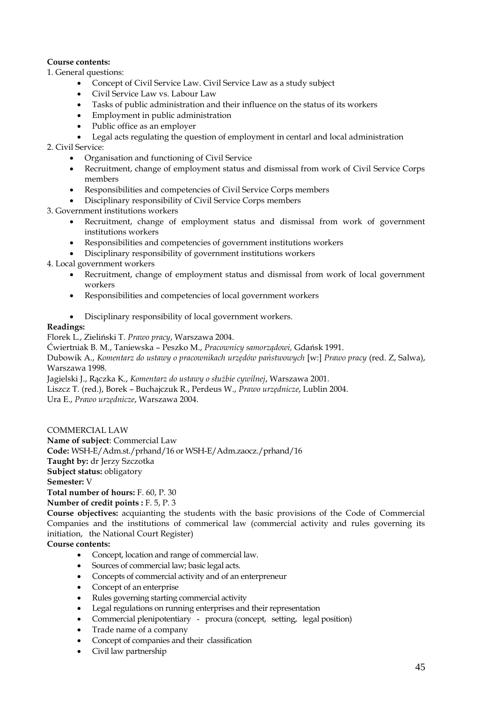# **Course contents:**

1. General questions:

- Concept of Civil Service Law. Civil Service Law as a study subject
- Civil Service Law vs. Labour Law
- Tasks of public administration and their influence on the status of its workers
- Employment in public administration
- Public office as an employer
- Legal acts regulating the question of employment in centarl and local administration

2. Civil Service:

- Organisation and functioning of Civil Service
- Recruitment, change of employment status and dismissal from work of Civil Service Corps members
- Responsibilities and competencies of Civil Service Corps members
- Disciplinary responsibility of Civil Service Corps members

3. Government institutions workers

- Recruitment, change of employment status and dismissal from work of government institutions workers
- Responsibilities and competencies of government institutions workers
- Disciplinary responsibility of government institutions workers

4. Local government workers

- Recruitment, change of employment status and dismissal from work of local government workers
- Responsibilities and competencies of local government workers
- Disciplinary responsibility of local government workers.

# **Readings:**

Florek L., Zieliński T. *Prawo pracy*, Warszawa 2004.

Ćwiertniak B. M., Taniewska – Peszko M., *Pracownicy samorządowi,* Gdańsk 1991.

Dubowik A., *Komentarz do ustawy o pracownikach urzędów państwowych* [w:] *Prawo pracy* (red. Z, Salwa), Warszawa 1998.

Jagielski J., Rączka K., *Komentarz do ustawy o służbie cywilnej*, Warszawa 2001. Liszcz T. (red.), Borek – Buchajczuk R., Perdeus W., *Prawo urzędnicze*, Lublin 2004.

Ura E., *Prawo urzędnicze*, Warszawa 2004.

COMMERCIAL LAW

**Name of subject**: Commercial Law **Code:** WSH-E/Adm.st./prhand/16 or WSH-E/Adm.zaocz./prhand/16 **Taught by:** dr Jerzy Szczotka **Subject status:** obligatory **Semester:** V **Total number of hours:** F. 60, P. 30 **Number of credit points :** F. 5, P. 3

**Course objectives:** acquianting the students with the basic provisions of the Code of Commercial Companies and the institutions of commerical law (commercial activity and rules governing its initiation, the National Court Register)

# **Course contents:**

- Concept, location and range of commercial law.
- Sources of commercial law; basic legal acts.
- Concepts of commercial activity and of an enterpreneur
- Concept of an enterprise
- Rules governing starting commercial activity
- Legal regulations on running enterprises and their representation
- Commercial plenipotentiary procura (concept, setting, legal position)
- Trade name of a company
- Concept of companies and their classification
- Civil law partnership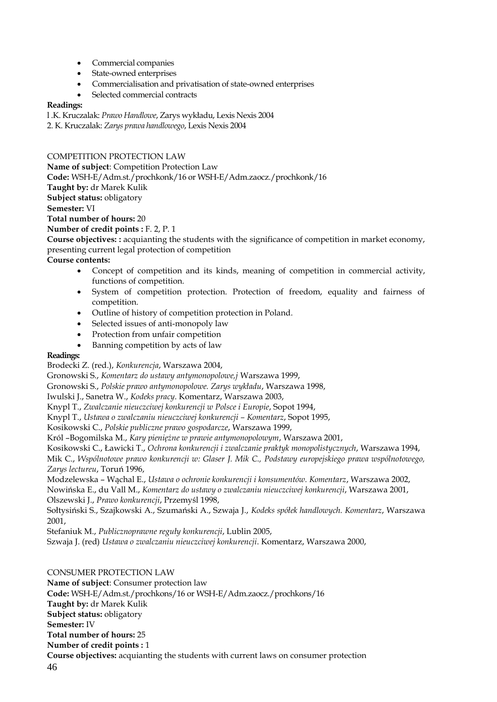- Commercial companies
- State-owned enterprises
- Commercialisation and privatisation of state-owned enterprises
- Selected commercial contracts

# **Readings:**

l .K. Kruczalak: *Prawo Handlowe*, Zarys wykładu, Lexis Nexis 2004

2. K. Kruczalak: *Zarys prawa handlowego*, Lexis Nexis 2004

# COMPETITION PROTECTION LAW

**Name of subject**: Competition Protection Law **Code:** WSH-E/Adm.st./prochkonk/16 or WSH-E/Adm.zaocz./prochkonk/16 **Taught by:** dr Marek Kulik **Subject status:** obligatory **Semester:** VI **Total number of hours:** 20 **Number of credit points :** F. 2, P. 1

**Course objectives: :** acquianting the students with the significance of competition in market economy, presenting current legal protection of competition

**Course contents:**

- Concept of competition and its kinds, meaning of competition in commercial activity, functions of competition.
- System of competition protection. Protection of freedom, equality and fairness of competition.
- Outline of history of competition protection in Poland.
- Selected issues of anti-monopoly law
- Protection from unfair competition
- Banning competition by acts of law

# **Readings:**

Brodecki Z. (red.), *Konkurencja*, Warszawa 2004,

Gronowski S., *Komentarz do ustawy antymonopolowe,j* Warszawa 1999,

Gronowski S., *Polskie prawo antymonopolowe. Zarys wykładu*, Warszawa 1998,

Iwulski J., Sanetra W., *Kodeks pracy*. Komentarz, Warszawa 2003,

Knypl T., *Zwalczanie nieuczciwej konkurencji w Polsce i Europie*, Sopot 1994,

Knypl T., *Ustawa o zwalczaniu nieuczciwej konkurencji – Komentarz*, Sopot 1995,

Kosikowski C., *Polskie publiczne prawo gospodarcze*, Warszawa 1999,

Król –Bogomilska M., *Kary pieniężne w prawie antymonopolowym*, Warszawa 2001,

Kosikowski C., Ławicki T., *Ochrona konkurencji i zwalczanie praktyk monopolistycznych*, Warszawa 1994, Mik C., *Wspólnotowe prawo konkurencji w: Glaser J. Mik C., Podstawy europejskiego prawa wspólnotowego, Zarys lectureu*, Toruń 1996,

Modzelewska – Wąchal E., *Ustawa o ochronie konkurencji i konsumentów. Komentarz*, Warszawa 2002, Nowińska E., du Vall M., *Komentarz do ustawy o zwalczaniu nieuczciwej konkurencji*, Warszawa 2001,

Olszewski J., *Prawo konkurencji*, Przemyśl 1998,

Sołtysiński S., Szajkowski A., Szumański A., Szwaja J., *Kodeks spółek handlowych. Komentarz*, Warszawa 2001,

Stefaniuk M., *Publicznoprawne reguły konkurencji*, Lublin 2005,

Szwaja J. (red) *Ustawa o zwalczaniu nieuczciwej konkurencji*. Komentarz, Warszawa 2000,

46 CONSUMER PROTECTION LAW **Name of subject**: Consumer protection law **Code:** WSH-E/Adm.st./prochkons/16 or WSH-E/Adm.zaocz./prochkons/16 **Taught by:** dr Marek Kulik **Subject status:** obligatory **Semester:** IV **Total number of hours:** 25 **Number of credit points :** 1 **Course objectives:** acquianting the students with current laws on consumer protection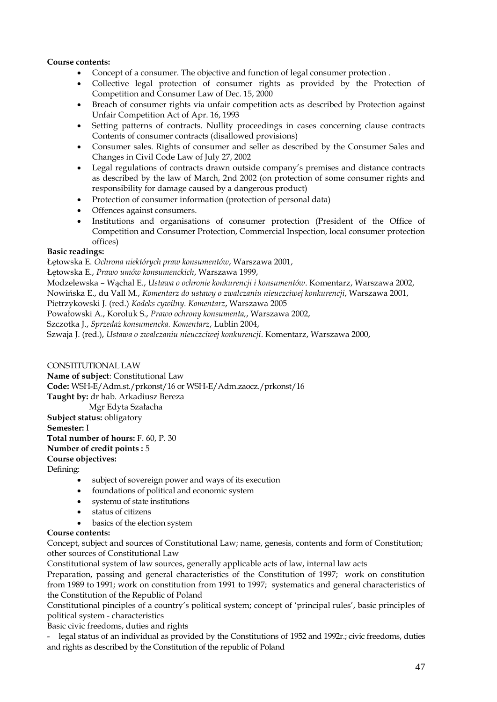# **Course contents:**

- Concept of a consumer. The objective and function of legal consumer protection .
- Collective legal protection of consumer rights as provided by the Protection of Competition and Consumer Law of Dec. 15, 2000
- Breach of consumer rights via unfair competition acts as described by Protection against Unfair Competition Act of Apr. 16, 1993
- Setting patterns of contracts. Nullity proceedings in cases concerning clause contracts Contents of consumer contracts (disallowed provisions)
- Consumer sales. Rights of consumer and seller as described by the Consumer Sales and Changes in Civil Code Law of July 27, 2002
- Legal regulations of contracts drawn outside company's premises and distance contracts as described by the law of March, 2nd 2002 (on protection of some consumer rights and responsibility for damage caused by a dangerous product)
- Protection of consumer information (protection of personal data)
- Offences against consumers.
- Institutions and organisations of consumer protection (President of the Office of Competition and Consumer Protection, Commercial Inspection, local consumer protection offices)

## **Basic readings:**

Łętowska E. *Ochrona niektórych praw konsumentów*, Warszawa 2001,

Łętowska E., *Prawo umów konsumenckich*, Warszawa 1999,

Modzelewska – Wąchal E., *Ustawa o ochronie konkurencji i konsumentów*. Komentarz, Warszawa 2002,

Nowińska E., du Vall M., *Komentarz do ustawy o zwalczaniu nieuczciwej konkurencji*, Warszawa 2001,

Pietrzykowski J. (red.) *Kodeks cywilny. Komentarz*, Warszawa 2005

Powałowski A., Koroluk S., *Prawo ochrony konsumenta,*, Warszawa 2002,

Szczotka J., *Sprzedaż konsumencka. Komentarz*, Lublin 2004,

Szwaja J. (red.), *Ustawa o zwalczaniu nieuczciwej konkurencji*. Komentarz, Warszawa 2000,

## CONSTITUTIONAL LAW

**Name of subject**: Constitutional Law **Code:** WSH-E/Adm.st./prkonst/16 or WSH-E/Adm.zaocz./prkonst/16 **Taught by:** dr hab. Arkadiusz Bereza

 Mgr Edyta Szałacha **Subject status:** obligatory **Semester:** I **Total number of hours:** F. 60, P. 30 **Number of credit points :** 5 **Course objectives:**

Defining:

- subject of sovereign power and ways of its execution
- foundations of political and economic system
- systemu of state institutions
- status of citizens
- basics of the election system

## **Course contents:**

Concept, subject and sources of Constitutional Law; name, genesis, contents and form of Constitution; other sources of Constitutional Law

Constitutional system of law sources, generally applicable acts of law, internal law acts

Preparation, passing and general characteristics of the Constitution of 1997; work on constitution from 1989 to 1991; work on constitution from 1991 to 1997; systematics and general characteristics of the Constitution of the Republic of Poland

Constitutional pinciples of a country's political system; concept of 'principal rules', basic principles of political system - characteristics

Basic civic freedoms, duties and rights

legal status of an individual as provided by the Constitutions of 1952 and 1992r.; civic freedoms, duties and rights as described by the Constitution of the republic of Poland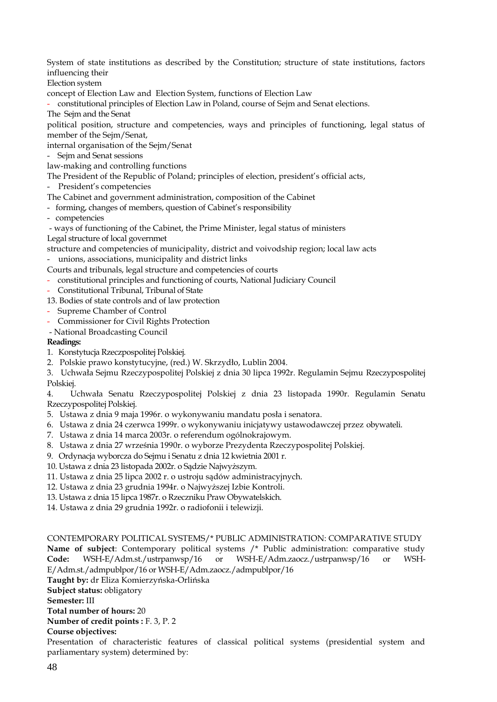System of state institutions as described by the Constitution; structure of state institutions, factors influencing their

Election system

concept of Election Law and Election System, functions of Election Law

- constitutional principles of Election Law in Poland, course of Sejm and Senat elections.

The Sejm and the Senat

political position, structure and competencies, ways and principles of functioning, legal status of member of the Sejm/Senat,

internal organisation of the Sejm/Senat

- Sejm and Senat sessions

law-making and controlling functions

The President of the Republic of Poland; principles of election, president's official acts,

- President's competencies

The Cabinet and government administration, composition of the Cabinet

- forming, changes of members, question of Cabinet's responsibility
- competencies

- ways of functioning of the Cabinet, the Prime Minister, legal status of ministers Legal structure of local governmet

structure and competencies of municipality, district and voivodship region; local law acts - unions, associations, municipality and district links

Courts and tribunals, legal structure and competencies of courts

- constitutional principles and functioning of courts, National Judiciary Council
- Constitutional Tribunal, Tribunal of State

13. Bodies of state controls and of law protection

- Supreme Chamber of Control
- Commissioner for Civil Rights Protection
- National Broadcasting Council

# **Readings:**

- 1. Konstytucja Rzeczpospolitej Polskiej.
- 2. Polskie prawo konstytucyjne, (red.) W. Skrzydło, Lublin 2004.

3. Uchwała Sejmu Rzeczypospolitej Polskiej z dnia 30 lipca 1992r. Regulamin Sejmu Rzeczypospolitej Polskiej.

4. Uchwała Senatu Rzeczypospolitej Polskiej z dnia 23 listopada 1990r. Regulamin Senatu Rzeczypospolitej Polskiej.

- 5. Ustawa z dnia 9 maja 1996r. o wykonywaniu mandatu posła i senatora.
- 6. Ustawa z dnia 24 czerwca 1999r. o wykonywaniu inicjatywy ustawodawczej przez obywateli.
- 7. Ustawa z dnia 14 marca 2003r. o referendum ogólnokrajowym.
- 8. Ustawa z dnia 27 września 1990r. o wyborze Prezydenta Rzeczypospolitej Polskiej.
- 9. Ordynacja wyborcza do Sejmu i Senatu z dnia 12 kwietnia 2001 r.
- 10. Ustawa z dnia 23 listopada 2002r. o Sądzie Najwyższym.
- 11. Ustawa z dnia 25 lipca 2002 r. o ustroju sądów administracyjnych.
- 12. Ustawa z dnia 23 grudnia 1994r. o Najwyższej Izbie Kontroli.
- 13. Ustawa z dnia 15 lipca 1987r. o Rzeczniku Praw Obywatelskich.
- 14. Ustawa z dnia 29 grudnia 1992r. o radiofonii i telewizji.

CONTEMPORARY POLITICAL SYSTEMS/\* PUBLIC ADMINISTRATION: COMPARATIVE STUDY **Name of subject**: Contemporary political systems /\* Public administration: comparative study **Code:** WSH-E/Adm.st./ustrpanwsp/16 or WSH-E/Adm.zaocz./ustrpanwsp/16 or WSH-E/Adm.st./admpublpor/16 or WSH-E/Adm.zaocz./admpublpor/16 **Taught by:** dr Eliza Komierzyńska-Orlińska **Subject status:** obligatory **Semester:** III **Total number of hours:** 20 **Number of credit points :** F. 3, P. 2 **Course objectives:**

Presentation of characteristic features of classical political systems (presidential system and parliamentary system) determined by: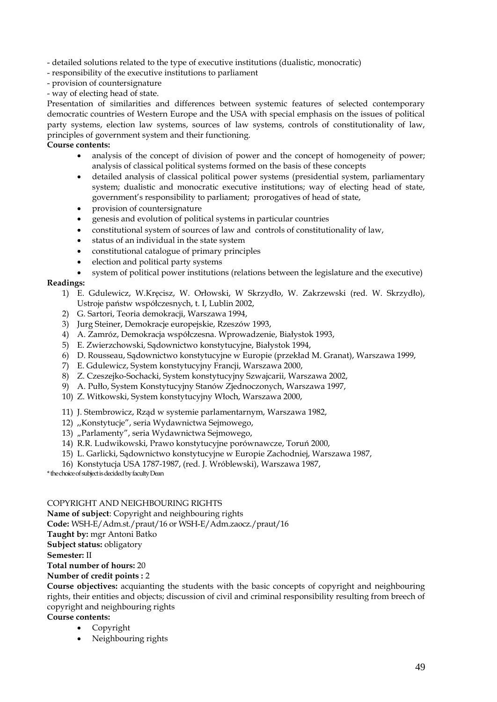- detailed solutions related to the type of executive institutions (dualistic, monocratic)

- responsibility of the executive institutions to parliament
- provision of countersignature
- way of electing head of state.

Presentation of similarities and differences between systemic features of selected contemporary democratic countries of Western Europe and the USA with special emphasis on the issues of political party systems, election law systems, sources of law systems, controls of constitutionality of law, principles of government system and their functioning.

# **Course contents:**

- analysis of the concept of division of power and the concept of homogeneity of power; analysis of classical political systems formed on the basis of these concepts
- detailed analysis of classical political power systems (presidential system, parliamentary system; dualistic and monocratic executive institutions; way of electing head of state, government's responsibility to parliament; prorogatives of head of state,
- provision of countersignature
- genesis and evolution of political systems in particular countries
- constitutional system of sources of law and controls of constitutionality of law,
- status of an individual in the state system
- constitutional catalogue of primary principles
- election and political party systems
- system of political power institutions (relations between the legislature and the executive)

# **Readings:**

- 1) E. Gdulewicz, W.Kręcisz, W. Orłowski, W Skrzydło, W. Zakrzewski (red. W. Skrzydło), Ustroje państw współczesnych, t. I, Lublin 2002,
- 2) G. Sartori, Teoria demokracji, Warszawa 1994,
- 3) Jurg Steiner, Demokracje europejskie, Rzeszów 1993,
- 4) A. Zamróz, Demokracja współczesna. Wprowadzenie, Białystok 1993,
- 5) E. Zwierzchowski, Sądownictwo konstytucyjne, Białystok 1994,
- 6) D. Rousseau, Sądownictwo konstytucyjne w Europie (przekład M. Granat), Warszawa 1999,
- 7) E. Gdulewicz, System konstytucyjny Francji, Warszawa 2000,
- 8) Z. Czeszejko-Sochacki, System konstytucyjny Szwajcarii, Warszawa 2002,
- 9) A. Pułło, System Konstytucyjny Stanów Zjednoczonych, Warszawa 1997,
- 10) Z. Witkowski, System konstytucyjny Włoch, Warszawa 2000,
- 11) J. Stembrowicz, Rząd w systemie parlamentarnym, Warszawa 1982,
- 12) ,,Konstytucje", seria Wydawnictwa Sejmowego,
- 13) "Parlamenty", seria Wydawnictwa Sejmowego,
- 14) R.R. Ludwikowski, Prawo konstytucyjne porównawcze, Toruń 2000,
- 15) L. Garlicki, Sądownictwo konstytucyjne w Europie Zachodniej, Warszawa 1987,
- 16) Konstytucja USA 1787-1987, (red. J. Wróblewski), Warszawa 1987,

\* the choice of subject is decided by faculty Dean

# COPYRIGHT AND NEIGHBOURING RIGHTS

**Name of subject**: Copyright and neighbouring rights **Code:** WSH-E/Adm.st./praut/16 or WSH-E/Adm.zaocz./praut/16 **Taught by:** mgr Antoni Batko **Subject status:** obligatory **Semester:** II **Total number of hours:** 20 **Number of credit points :** 2

**Course objectives:** acquianting the students with the basic concepts of copyright and neighbouring rights, their entities and objects; discussion of civil and criminal responsibility resulting from breech of copyright and neighbouring rights

**Course contents:**

- Copyright
	- Neighbouring rights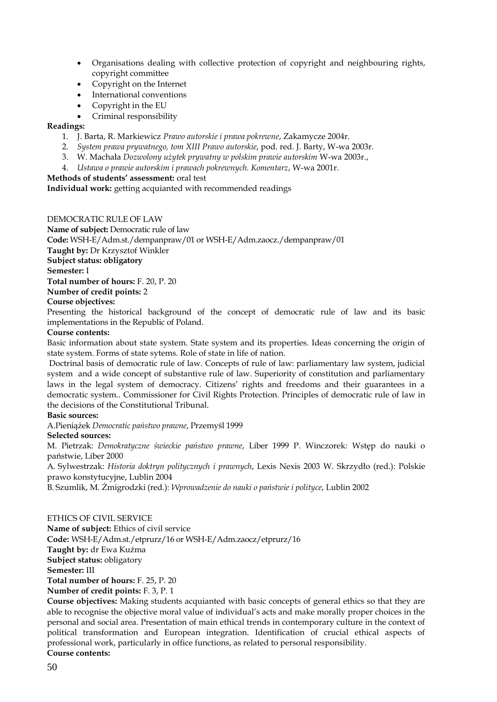- Organisations dealing with collective protection of copyright and neighbouring rights, copyright committee
- Copyright on the Internet
- International conventions
- Copyright in the EU
- Criminal responsibility

## **Readings:**

- 1. J. Barta, R. Markiewicz *Prawo autorskie i prawa pokrewne*, Zakamycze 2004r.
- 2. *System prawa prywatnego, tom XIII Prawo autorskie*, pod. red. J. Barty, W-wa 2003r.
- 3. W. Machała *Dozwolony użytek prywatny w polskim prawie autorskim* W-wa 2003r.,
- 4. *Ustawa o prawie autorskim i prawach pokrewnych. Komentarz*, W-wa 2001r.

# **Methods of students' assessment:** oral test

**Individual work:** getting acquianted with recommended readings

# DEMOCRATIC RULE OF LAW

**Name of subject:** Democratic rule of law **Code:** WSH-E/Adm.st./dempanpraw/01 or WSH-E/Adm.zaocz./dempanpraw/01 **Taught by:** Dr Krzysztof Winkler **Subject status: obligatory Semester:** I **Total number of hours:** F. 20, P. 20 **Number of credit points:** 2

# **Course objectives:**

Presenting the historical background of the concept of democratic rule of law and its basic implementations in the Republic of Poland.

## **Course contents:**

Basic information about state system. State system and its properties. Ideas concerning the origin of state system. Forms of state sytems. Role of state in life of nation.

Doctrinal basis of democratic rule of law. Concepts of rule of law: parliamentary law system, judicial system and a wide concept of substantive rule of law. Superiority of constitution and parliamentary laws in the legal system of democracy. Citizens' rights and freedoms and their guarantees in a democratic system.. Commissioner for Civil Rights Protection. Principles of democratic rule of law in the decisions of the Constitutional Tribunal.

# **Basic sources:**

A.Pieniążek *Democratic państwo prawne*, Przemyśl 1999

## **Selected sources:**

M. Pietrzak: *Demokratyczne świeckie państwo prawne*, Liber 1999 P. Winczorek: Wstęp do nauki o państwie, Liber 2000

A. Sylwestrzak: *Historia doktryn politycznych i prawnych*, Lexis Nexis 2003 W. Skrzydło (red.): Polskie prawo konstytucyjne, Lublin 2004

B. Szumlik, M. Żmigrodzki (red.): *Wprowadzenie do nauki o państwie i polityce*, Lublin 2002

## ETHICS OF CIVIL SERVICE

**Name of subject:** Ethics of civil service **Code:** WSH-E/Adm.st./etprurz/16 or WSH-E/Adm.zaocz/etprurz/16 **Taught by:** dr Ewa Kuźma **Subject status:** obligatory **Semester:** III **Total number of hours:** F. 25, P. 20 **Number of credit points:** F. 3, P. 1

**Course objectives:** Making students acquianted with basic concepts of general ethics so that they are able to recognise the objective moral value of individual's acts and make morally proper choices in the personal and social area. Presentation of main ethical trends in contemporary culture in the context of political transformation and European integration. Identification of crucial ethical aspects of professional work, particularly in office functions, as related to personal responsibility. **Course contents:**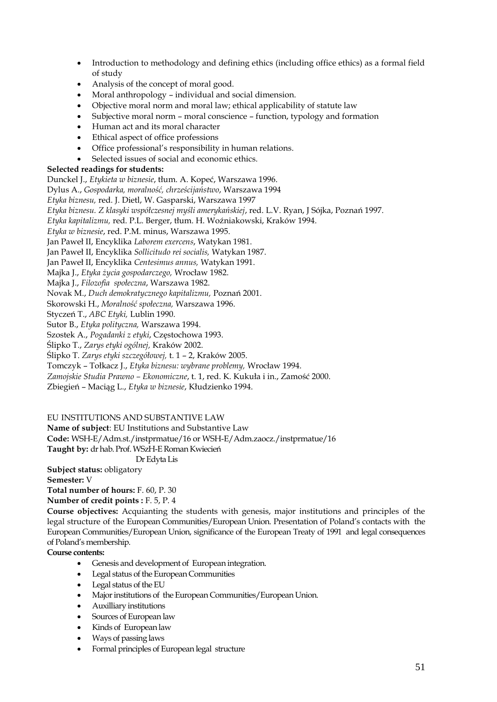- Introduction to methodology and defining ethics (including office ethics) as a formal field of study
- Analysis of the concept of moral good.
- Moral anthropology individual and social dimension.
- Objective moral norm and moral law; ethical applicability of statute law
- Subjective moral norm moral conscience function, typology and formation
- Human act and its moral character
- Ethical aspect of office professions
- Office professional's responsibility in human relations.
- Selected issues of social and economic ethics.

# **Selected readings for students:**

Dunckel J., *Etykieta w biznesie*, tłum. A. Kopeć, Warszawa 1996.

Dylus A., *Gospodarka, moralność, chrześcijaństwo*, Warszawa 1994

*Etyka biznesu,* red. J. Dietl, W. Gasparski, Warszawa 1997

*Etyka biznesu. Z klasyki współczesnej myśli amerykańskiej*, red. L.V. Ryan, J Sójka, Poznań 1997.

*Etyka kapitalizmu,* red. P.L. Berger, tłum. H. Woźniakowski, Kraków 1994.

*Etyka w biznesie*, red. P.M. minus, Warszawa 1995.

Jan Paweł II, Encyklika *Laborem exercens*, Watykan 1981.

Jan Paweł II, Encyklika *Sollicitudo rei socialis,* Watykan 1987.

Jan Paweł II, Encyklika *Centesimus annus,* Watykan 1991.

Majka J., *Etyka życia gospodarczego,* Wrocław 1982.

Majka J., *Filozofia społeczna*, Warszawa 1982.

Novak M., *Duch demokratycznego kapitalizmu,* Poznań 2001.

Skorowski H., *Moralność społeczna,* Warszawa 1996.

Styczeń T., *ABC Etyki,* Lublin 1990.

Sutor B., *Etyka polityczna,* Warszawa 1994.

Szostek A., *Pogadanki z etyki*, Częstochowa 1993.

Ślipko T., *Zarys etyki ogólnej,* Kraków 2002.

Ślipko T. *Zarys etyki szczegółowej,* t. 1 – 2, Kraków 2005.

Tomczyk – Tołkacz J., *Etyka biznesu: wybrane problemy,* Wrocław 1994.

*Zamojskie Studia Prawno – Ekonomiczne*, t. 1, red. K. Kukuła i in., Zamość 2000.

Zbiegień – Maciąg L., *Etyka w biznesie*, Kłudzienko 1994.

EU INSTITUTIONS AND SUBSTANTIVE LAW

**Name of subject**: EU Institutions and Substantive Law

**Code:** WSH-E/Adm.st./instprmatue/16 or WSH-E/Adm.zaocz./instprmatue/16

**Taught by:** dr hab. Prof. WSzH-E Roman Kwiecień

Dr Edyta Lis

**Subject status:** obligatory

**Semester:** V

**Total number of hours:** F. 60, P. 30

**Number of credit points :** F. 5, P. 4

**Course objectives:** Acquianting the students with genesis, major institutions and principles of the legal structure of the European Communities/European Union. Presentation of Poland's contacts with the European Communities/European Union, significance of the European Treaty of 1991 and legal consequences of Poland's membership.

**Course contents:**

- Genesis and development of European integration.
- Legal status of the European Communities
- Legal status of the EU
- Major institutions of the European Communities/European Union.
- Auxilliary institutions
- Sources of European law
- Kinds of European law
- Ways of passing laws
- Formal principles of European legal structure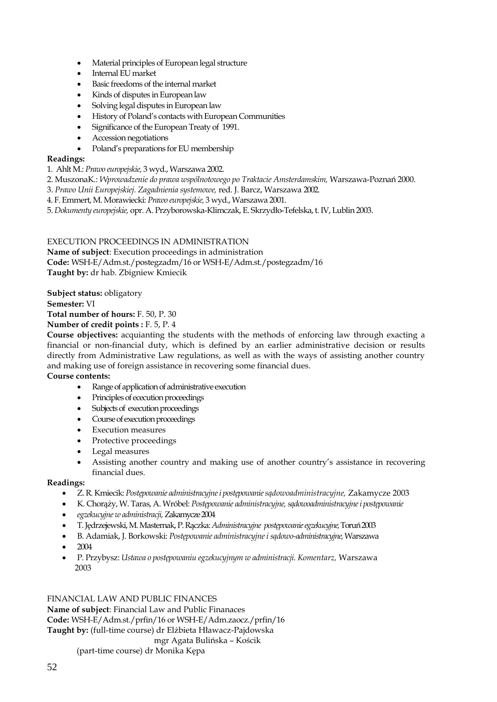- Material principles of European legal structure
- Internal EU market
- Basic freedoms of the internal market
- Kinds of disputes in European law
- Solving legal disputes in European law
- History of Poland's contacts with European Communities
- Significance of the European Treaty of 1991.
- Accession negotiations
- Poland's preparations for EU membership

## **Readings:**

1. Ahlt M.: *Prawo europejskie,* 3 wyd., Warszawa 2002.

- 2. MuszonaK.: *Wprowadzenie do prawa wspólnotowego po Traktacie Amsterdamskim,* Warszawa-Poznań 2000.
- 3. *Prawo Unii Europejskiej. Zagadnienia systemowe,* red. J. Barcz, Warszawa 2002.
- 4. F. Emmert, M. Morawiecki: *Prawo europejskie,* 3 wyd., Warszawa 2001.

5. *Dokumenty europejskie,* opr. A. Przyborowska-Klimczak, E. Skrzydło-Tefelska, t. IV, Lublin 2003.

# EXECUTION PROCEEDINGS IN ADMINISTRATION

**Name of subject**: Execution proceedings in administration

**Code:** WSH-E/Adm.st./postegzadm/16 or WSH-E/Adm.st./postegzadm/16

**Taught by:** dr hab. Zbigniew Kmiecik

**Subject status:** obligatory

**Semester:** VI

**Total number of hours:** F. 50, P. 30

**Number of credit points :** F. 5, P. 4

**Course objectives:** acquianting the students with the methods of enforcing law through exacting a financial or non-financial duty, which is defined by an earlier administrative decision or results directly from Administrative Law regulations, as well as with the ways of assisting another country and making use of foreign assistance in recovering some financial dues.

**Course contents:**

- Range of application of administrative execution
- Principles of ececution proceedings
- Subjects of execution proceedings
- Course of execution proceedings
- **Execution measures**
- Protective proceedings
- Legal measures
- Assisting another country and making use of another country's assistance in recovering financial dues.

# **Readings:**

- Z. R. Kmiecik: *Postępowanie administracyjne i postępowanie sądowoadministracyjne,* Zakamycze 2003
- K. Chorąży, W. Taras, A. Wróbel: *Postępowanie administracyjne, sądowoadministracyjne i postępowanie*
- *egzekucyjne w administracji,* Zakamycze 2004
- T. Jędrzejewski, M. Masternak, P. Rączka: *Administracyjne postępowanie egzekucyjne,* Toruń 2003
- B. Adamiak, J. Borkowski: *Postępowanie administracyjne i sądowo-administracyjne,* Warszawa
- 2004
- P. Przybysz: *Ustawa o postępowaniu egzekucyjnym w administracji. Komentarz,* Warszawa 2003

FINANCIAL LAW AND PUBLIC FINANCES **Name of subject**: Financial Law and Public Finanaces **Code:** WSH-E/Adm.st./prfin/16 or WSH-E/Adm.zaocz./prfin/16 **Taught by:** (full-time course) dr Elżbieta Hławacz-Pajdowska mgr Agata Bulińska – Kościk

(part-time course) dr Monika Kępa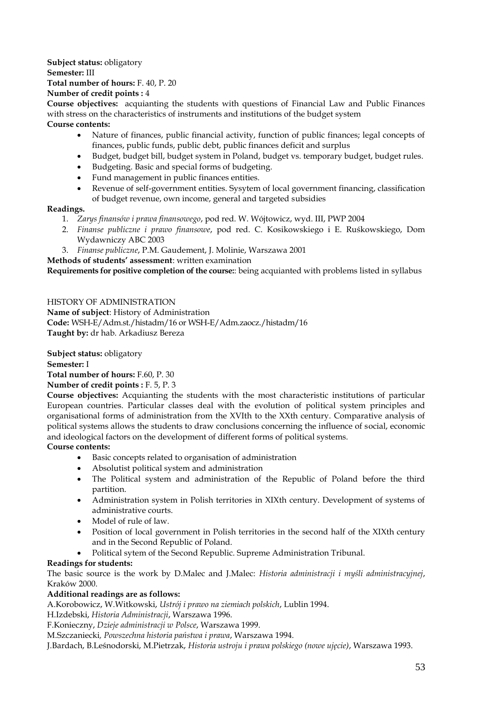**Subject status:** obligatory **Semester:** III **Total number of hours:** F. 40, P. 20

## **Number of credit points :** 4

**Course objectives:** acquianting the students with questions of Financial Law and Public Finances with stress on the characteristics of instruments and institutions of the budget system

# **Course contents:**

- Nature of finances, public financial activity, function of public finances; legal concepts of finances, public funds, public debt, public finances deficit and surplus
- Budget, budget bill, budget system in Poland, budget vs. temporary budget, budget rules.
- Budgeting. Basic and special forms of budgeting.
- Fund management in public finances entities.
- Revenue of self-government entities. Sysytem of local government financing, classification of budget revenue, own income, general and targeted subsidies

# **Readings.**

- 1. *Zarys finansów i prawa finansowego*, pod red. W. Wójtowicz, wyd. III, PWP 2004
- 2. *Finanse publiczne i prawo finansowe*, pod red. C. Kosikowskiego i E. Ruśkowskiego, Dom Wydawniczy ABC 2003
- 3. *Finanse publiczne*, P.M. Gaudement, J. Molinie, Warszawa 2001

# **Methods of students' assessment**: written examination

**Requirements for positive completion of the course:**: being acquianted with problems listed in syllabus

# HISTORY OF ADMINISTRATION

**Name of subject**: History of Administration **Code:** WSH-E/Adm.st./histadm/16 or WSH-E/Adm.zaocz./histadm/16 **Taught by:** dr hab. Arkadiusz Bereza

**Subject status:** obligatory

# **Semester:** I

**Total number of hours:** F.60, P. 30

**Number of credit points :** F. 5, P. 3

**Course objectives:** Acquianting the students with the most characteristic institutions of particular European countries. Particular classes deal with the evolution of political system principles and organisational forms of administration from the XVIth to the XXth century. Comparative analysis of political systems allows the students to draw conclusions concerning the influence of social, economic and ideological factors on the development of different forms of political systems.

# **Course contents:**

- Basic concepts related to organisation of administration
- Absolutist political system and administration
- The Political system and administration of the Republic of Poland before the third partition.
- Administration system in Polish territories in XIXth century. Development of systems of administrative courts.
- Model of rule of law.
- Position of local government in Polish territories in the second half of the XIXth century and in the Second Republic of Poland.
- Political sytem of the Second Republic. Supreme Administration Tribunal.

# **Readings for students:**

The basic source is the work by D.Malec and J.Malec: *Historia administracji i myśli administracyjnej*, Kraków 2000.

# **Additional readings are as follows:**

A.Korobowicz, W.Witkowski, *Ustrój i prawo na ziemiach polskich*, Lublin 1994.

H.Izdebski, *Historia Administracji*, Warszawa 1996.

F.Konieczny, *Dzieje administracji w Polsce*, Warszawa 1999.

M.Szczaniecki*, Powszechna historia państwa i prawa*, Warszawa 1994.

J.Bardach, B.Leśnodorski, M.Pietrzak, *Historia ustroju i prawa polskiego (nowe ujęcie)*, Warszawa 1993.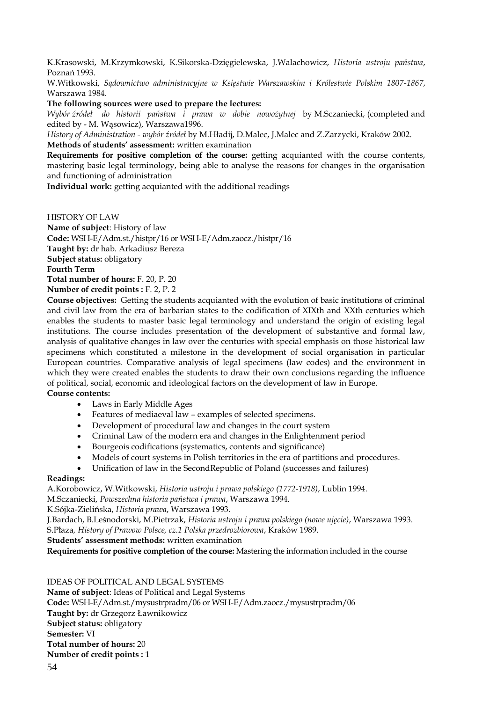K.Krasowski, M.Krzymkowski, K.Sikorska-Dzięgielewska, J.Walachowicz, *Historia ustroju państwa*, Poznań 1993.

W.Witkowski, *Sądownictwo administracyjne w Księstwie Warszawskim i Królestwie Polskim 1807-1867*, Warszawa 1984.

**The following sources were used to prepare the lectures:** 

*Wybór źródeł do historii państwa i prawa w dobie nowożytnej* by M.Sczaniecki, (completed and edited by - M. Wasowicz), Warszawa1996.

*History of Administration - wybór źródeł* by M.Hładij, D.Malec, J.Malec and Z.Zarzycki, Kraków 2002. **Methods of students' assessment:** written examination

**Requirements for positive completion of the course:** getting acquianted with the course contents, mastering basic legal terminology, being able to analyse the reasons for changes in the organisation and functioning of administration

**Individual work:** getting acquianted with the additional readings

HISTORY OF LAW

**Name of subject**: History of law **Code:** WSH-E/Adm.st./histpr/16 or WSH-E/Adm.zaocz./histpr/16 **Taught by:** dr hab. Arkadiusz Bereza **Subject status:** obligatory **Fourth Term Total number of hours:** F. 20, P. 20 **Number of credit points :** F. 2, P. 2

**Course objectives:** Getting the students acquianted with the evolution of basic institutions of criminal and civil law from the era of barbarian states to the codification of XIXth and XXth centuries which enables the students to master basic legal terminology and understand the origin of existing legal institutions. The course includes presentation of the development of substantive and formal law, analysis of qualitative changes in law over the centuries with special emphasis on those historical law specimens which constituted a milestone in the development of social organisation in particular European countries. Comparative analysis of legal specimens (law codes) and the environment in which they were created enables the students to draw their own conclusions regarding the influence of political, social, economic and ideological factors on the development of law in Europe. **Course contents:**

- Laws in Early Middle Ages
- Features of mediaeval law examples of selected specimens.
- Development of procedural law and changes in the court system
- Criminal Law of the modern era and changes in the Enlightenment period
- Bourgeois codifications (systematics, contents and significance)
- Models of court systems in Polish territories in the era of partitions and procedures.
- Unification of law in the SecondRepublic of Poland (successes and failures)

## **Readings:**

A.Korobowicz, W.Witkowski, *Historia ustroju i prawa polskiego (1772-1918)*, Lublin 1994. M.Sczaniecki, *Powszechna historia państwa i prawa*, Warszawa 1994. K.Sójka-Zielińska, *Historia prawa*, Warszawa 1993.

J.Bardach, B.Leśnodorski, M.Pietrzak, *Historia ustroju i prawa polskiego (nowe ujęcie)*, Warszawa 1993.

S.Płaza*, History of Prawow Polsce, cz.1 Polska przedrozbiorowa*, Kraków 1989.

**Students' assessment methods:** written examination

**Requirements for positive completion of the course:** Mastering the information included in the course

IDEAS OF POLITICAL AND LEGAL SYSTEMS

**Name of subject**: Ideas of Political and Legal Systems

**Code:** WSH-E/Adm.st./mysustrpradm/06 or WSH-E/Adm.zaocz./mysustrpradm/06

**Taught by:** dr Grzegorz Ławnikowicz

**Subject status:** obligatory

**Semester:** VI

**Total number of hours:** 20

**Number of credit points :** 1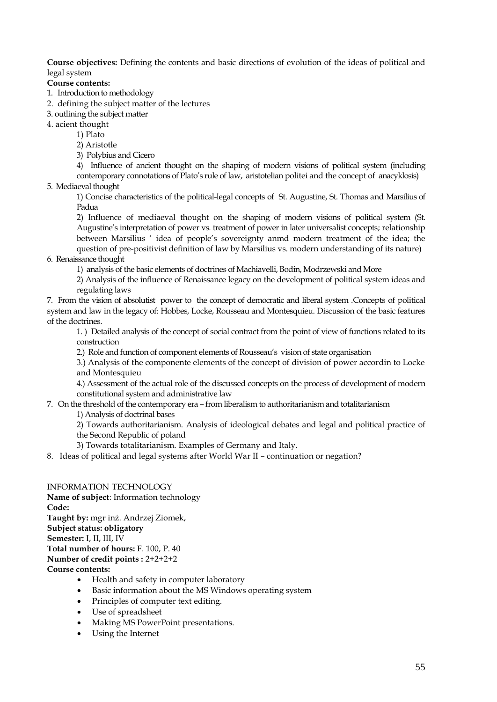**Course objectives:** Defining the contents and basic directions of evolution of the ideas of political and legal system

**Course contents:**

- 1. Introduction to methodology
- 2. defining the subject matter of the lectures
- 3. outlining the subject matter

4. acient thought

- 1) Plato
	- 2) Aristotle
	- 3) Polybius and Cicero

4) Influence of ancient thought on the shaping of modern visions of political system (including contemporary connotations of Plato's rule of law, aristotelian politei and the concept of anacyklosis)

5. Mediaeval thought

1) Concise characteristics of the political-legal concepts of St. Augustine, St. Thomas and Marsilius of Padua

2) Influence of mediaeval thought on the shaping of modern visions of political system (St. Augustine's interpretation of power vs. treatment of power in later universalist concepts; relationship between Marsilius ' idea of people's sovereignty anmd modern treatment of the idea; the question of pre-positivist definition of law by Marsilius vs. modern understanding of its nature)

6. Renaissance thought

1) analysis of the basic elements of doctrines of Machiavelli, Bodin, Modrzewski and More

2) Analysis of the influence of Renaissance legacy on the development of political system ideas and regulating laws

7. From the vision of absolutist power to the concept of democratic and liberal system .Concepts of political system and law in the legacy of: Hobbes, Locke, Rousseau and Montesquieu. Discussion of the basic features of the doctrines.

1. ) Detailed analysis of the concept of social contract from the point of view of functions related to its construction

2.) Role and function of component elements of Rousseau's vision of state organisation

3.) Analysis of the componente elements of the concept of division of power accordin to Locke and Montesquieu

4.) Assessment of the actual role of the discussed concepts on the process of development of modern constitutional system and administrative law

## 7. On the threshold of the contemporary era – from liberalism to authoritarianism and totalitarianism

1) Analysis of doctrinal bases

2) Towards authoritarianism. Analysis of ideological debates and legal and political practice of the Second Republic of poland

- 3) Towards totalitarianism. Examples of Germany and Italy.
- 8. Ideas of political and legal systems after World War II continuation or negation?

# INFORMATION TECHNOLOGY

**Name of subject**: Information technology **Code: Taught by:** mgr inż. Andrzej Ziomek, **Subject status: obligatory Semester:** I, II, III, IV **Total number of hours:** F. 100, P. 40 **Number of credit points :** 2+2+2+2 **Course contents:**

- Health and safety in computer laboratory
- Basic information about the MS Windows operating system
- Principles of computer text editing.
- Use of spreadsheet
- Making MS PowerPoint presentations.
- Using the Internet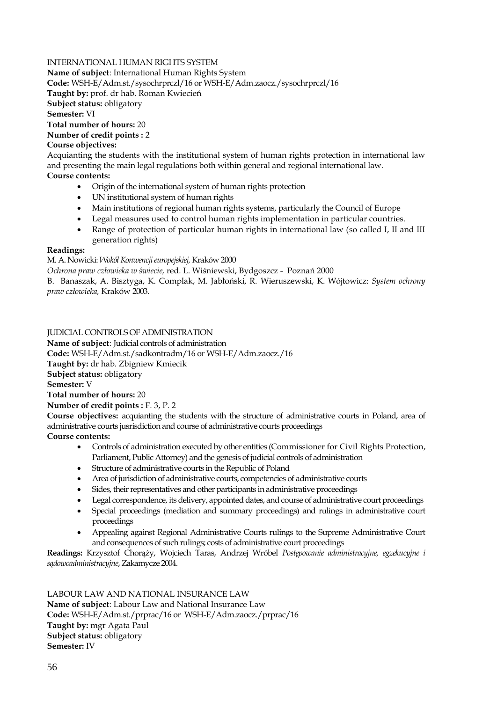# INTERNATIONAL HUMAN RIGHTS SYSTEM

**Name of subject**: International Human Rights System

**Code:** WSH-E/Adm.st./sysochrprczl/16 or WSH-E/Adm.zaocz./sysochrprczl/16

**Taught by:** prof. dr hab. Roman Kwiecień

**Subject status:** obligatory

**Semester:** VI

**Total number of hours:** 20

### **Number of credit points :** 2 **Course objectives:**

Acquianting the students with the institutional system of human rights protection in international law and presenting the main legal regulations both within general and regional international law.

# **Course contents:**

- Origin of the international system of human rights protection
- UN institutional system of human rights
- Main institutions of regional human rights systems, particularly the Council of Europe
- Legal measures used to control human rights implementation in particular countries.
- Range of protection of particular human rights in international law (so called I, II and III generation rights)

# **Readings:**

M. A. Nowicki: *Wokół Konwencji europejskiej,* Kraków 2000

*Ochrona praw człowieka w świecie,* red. L. Wiśniewski, Bydgoszcz - Poznań 2000

B. Banaszak, A. Bisztyga, K. Complak, M. Jabłoński, R. Wieruszewski, K. Wójtowicz: *System ochrony praw człowieka,* Kraków 2003.

JUDICIAL CONTROLS OF ADMINISTRATION

**Name of subject**: Judicial controls of administration

**Code:** WSH-E/Adm.st./sadkontradm/16 or WSH-E/Adm.zaocz./16

**Taught by:** dr hab. Zbigniew Kmiecik

**Subject status:** obligatory

**Semester:** V

**Total number of hours:** 20

**Number of credit points :** F. 3, P. 2

**Course objectives:** acquianting the students with the structure of administrative courts in Poland, area of administrative courts jusrisdiction and course of administrative courts proceedings

**Course contents:**

- Controls of administration executed by other entities (Commissioner for Civil Rights Protection, Parliament, Public Attorney) and the genesis of judicial controls of administration
- Structure of administrative courts in the Republic of Poland
- Area of jurisdiction of administrative courts, competencies of administrative courts
- Sides, their representatives and other participants in administrative proceedings
- Legal correspondence, its delivery, appointed dates, and course of administrative court proceedings
- Special proceedings (mediation and summary proceedings) and rulings in administrative court proceedings
- Appealing against Regional Administrative Courts rulings to the Supreme Administrative Court and consequences of such rulings; costs of administrative court proceedings

**Readings:** Krzysztof Chorąży, Wojciech Taras, Andrzej Wróbel *Postępowanie administracyjne, egzekucyjne i sądowoadministracyjne*, Zakamycze 2004.

LABOUR LAW AND NATIONAL INSURANCE LAW **Name of subject**: Labour Law and National Insurance Law **Code:** WSH-E/Adm.st./prprac/16 or WSH-E/Adm.zaocz./prprac/16 **Taught by:** mgr Agata Paul **Subject status:** obligatory **Semester:** IV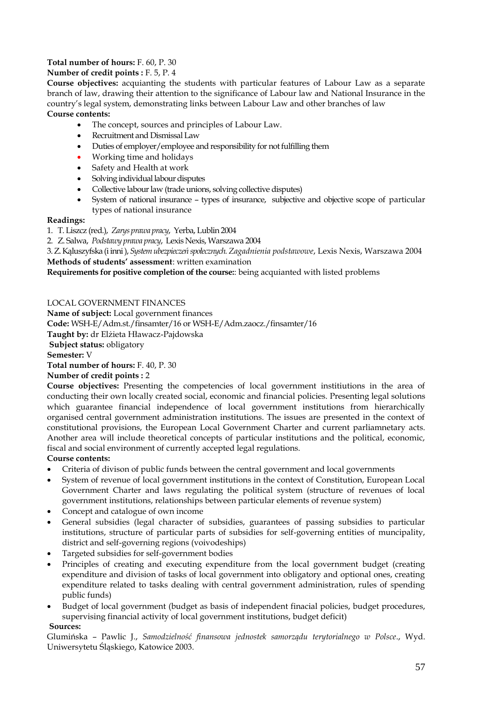# **Total number of hours:** F. 60, P. 30

# **Number of credit points :** F. 5, P. 4

**Course objectives:** acquianting the students with particular features of Labour Law as a separate branch of law, drawing their attention to the significance of Labour law and National Insurance in the country's legal system, demonstrating links between Labour Law and other branches of law **Course contents:** 

- The concept, sources and principles of Labour Law.
- Recruitment and Dismissal Law
- Duties of employer/employee and responsibility for not fulfilling them
- Working time and holidays
- Safety and Health at work
- Solving individual labour disputes
- Collective labour law (trade unions, solving collective disputes)
- System of national insurance types of insurance, subjective and objective scope of particular types of national insurance

## **Readings:**

1. T. Liszcz (red.), *Zarys prawa pracy*, Yerba, Lublin 2004

2. Z. Salwa, *Podstawy prawa pracy*, Lexis Nexis, Warszawa 2004

3. Z. Kąluszyfska (i inni ), *System ubezpieczeń społecznych. Zagadnienia podstawowe*, Lexis Nexis, Warszawa 2004 **Methods of students' assessment**: written examination

**Requirements for positive completion of the course:**: being acquianted with listed problems

# LOCAL GOVERNMENT FINANCES

**Name of subject:** Local government finances **Code:** WSH-E/Adm.st./finsamter/16 or WSH-E/Adm.zaocz./finsamter/16 **Taught by:** dr Elżieta Hławacz-Pajdowska **Subject status:** obligatory **Semester:** V **Total number of hours:** F. 40, P. 30

## **Number of credit points :** 2

**Course objectives:** Presenting the competencies of local government institiutions in the area of conducting their own locally created social, economic and financial policies. Presenting legal solutions which guarantee financial independence of local government institutions from hierarchically organised central government administration institutions. The issues are presented in the context of constitutional provisions, the European Local Government Charter and current parliamnetary acts. Another area will include theoretical concepts of particular institutions and the political, economic, fiscal and social environment of currently accepted legal regulations.

# **Course contents:**

- Criteria of divison of public funds between the central government and local governments
- System of revenue of local government institutions in the context of Constitution, European Local Government Charter and laws regulating the political system (structure of revenues of local government institutions, relationships between particular elements of revenue system)
- Concept and catalogue of own income
- General subsidies (legal character of subsidies, guarantees of passing subsidies to particular institutions, structure of particular parts of subsidies for self-governing entities of muncipality, district and self-governing regions (voivodeships)
- Targeted subsidies for self-government bodies
- Principles of creating and executing expenditure from the local government budget (creating expenditure and division of tasks of local government into obligatory and optional ones, creating expenditure related to tasks dealing with central government administration, rules of spending public funds)
- Budget of local government (budget as basis of independent finacial policies, budget procedures, supervising financial activity of local government institutions, budget deficit)

## **Sources:**

Glumińska – Pawlic J., *Samodzielność finansowa jednostek samorządu terytorialnego w Polsce*., Wyd. Uniwersytetu Śląskiego, Katowice 2003.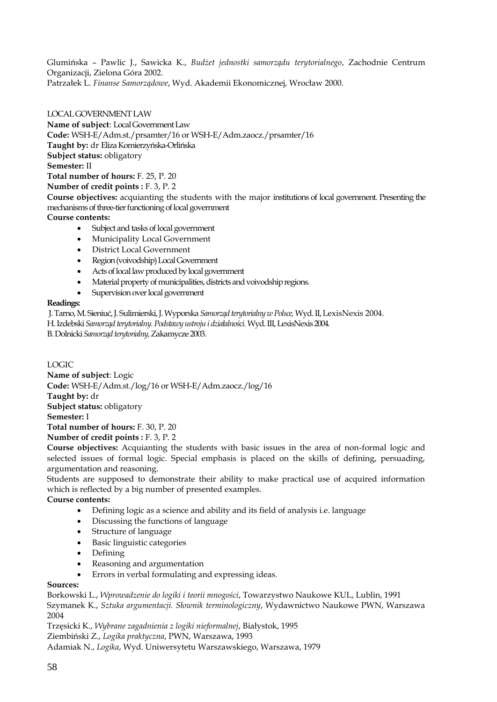Glumińska – Pawlic J., Sawicka K., *Budżet jednostki samorządu terytorialnego*, Zachodnie Centrum Organizacji, Zielona Góra 2002. Patrzałek L. *Finanse Samorządowe*, Wyd. Akademii Ekonomicznej, Wrocław 2000.

LOCAL GOVERNMENT LAW **Name of subject**: Local Government Law **Code:** WSH-E/Adm.st./prsamter/16 or WSH-E/Adm.zaocz./prsamter/16 **Taught by:** dr Eliza Komierzyńska-Orlińska **Subject status:** obligatory **Semester:** II **Total number of hours:** F. 25, P. 20 **Number of credit points :** F. 3, P. 2 **Course objectives:** acquianting the students with the major institutions of local government. Presenting the mechanisms of three-tier functioning of local government **Course contents:**

- Subject and tasks of local government
- Municipality Local Government
- District Local Government
- Region (voivodship) Local Government
- Acts of local law produced by local government
- Material property of municipalities, districts and voivodship regions*.*
- Supervision over local government

## **Readings:**

J. Tarno, M. Sieniuć, J. Sulimierski, J. Wyporska *Samorząd terytorialny w Polsce,* Wyd.II, LexisNexis 2004.

H. Izdebski *Samorząd terytorialny. Podstawy ustroju i działalności.* Wyd. III, LexisNexis 2004.

B. Dolnicki *Samorząd terytorialny,* Zakamycze 2003.

# LOGIC

**Name of subject**: Logic **Code:** WSH-E/Adm.st./log/16 or WSH-E/Adm.zaocz./log/16 **Taught by:** dr **Subject status:** obligatory **Semester:** I **Total number of hours:** F. 30, P. 20 **Number of credit points :** F. 3, P. 2

**Course objectives:** Acquianting the students with basic issues in the area of non-formal logic and selected issues of formal logic. Special emphasis is placed on the skills of defining, persuading, argumentation and reasoning.

Students are supposed to demonstrate their ability to make practical use of acquired information which is reflected by a big number of presented examples.

# **Course contents:**

- Defining logic as a science and ability and its field of analysis i.e. language
- Discussing the functions of language
- Structure of language
- Basic linguistic categories
- Defining
- Reasoning and argumentation
- Errors in verbal formulating and expressing ideas.

# **Sources:**

Borkowski L., *Wprowadzenie do logiki i teorii mnogości*, Towarzystwo Naukowe KUL, Lublin, 1991 Szymanek K., *Sztuka argumentacji. Słownik terminologiczny*, Wydawnictwo Naukowe PWN, Warszawa 2004

Trzęsicki K., *Wybrane zagadnienia z logiki nieformalnej*, Białystok, 1995 Ziembiński Z., *Logika praktyczna*, PWN, Warszawa, 1993

Adamiak N., *Logika*, Wyd. Uniwersytetu Warszawskiego, Warszawa, 1979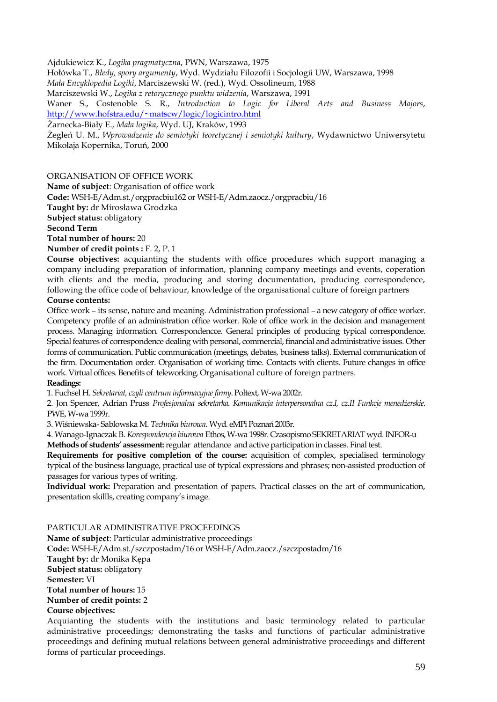Ajdukiewicz K., *Logika pragmatyczna*, PWN, Warszawa, 1975

Hołówka T., *Błedy, spory argumenty*, Wyd. Wydziału Filozofii i Socjologii UW, Warszawa, 1998

*Mała Encyklopedia Logiki*, Marciszewski W. (red.), Wyd. Ossolineum, 1988

Marciszewski W., *Logika z retorycznego punktu widzenia*, Warszawa, 1991

Waner S., Costenoble S. R., *Introduction to Logic for Liberal Arts and Business Majors*, <http://www.hofstra.edu/~matscw/logic/logicintro.html>

Żarnecka-Biały E., *Mała logika*, Wyd. UJ, Kraków, 1993

Żegleń U. M., *Wprowadzenie do semiotyki teoretycznej i semiotyki kultury*, Wydawnictwo Uniwersytetu Mikołaja Kopernika, Toruń, 2000

ORGANISATION OF OFFICE WORK

**Name of subject**: Organisation of office work

**Code:** WSH-E/Adm.st./orgpracbiu162 or WSH-E/Adm.zaocz./orgpracbiu/16

**Taught by:** dr Mirosława Grodzka

**Subject status:** obligatory

# **Second Term**

**Total number of hours:** 20

**Number of credit points :** F. 2, P. 1

**Course objectives:** acquianting the students with office procedures which support managing a company including preparation of information, planning company meetings and events, coperation with clients and the media, producing and storing documentation, producing correspondence, following the office code of behaviour, knowledge of the organisational culture of foreign partners

# **Course contents:**

Office work – its sense, nature and meaning. Administration professional – a new category of office worker. Competency profile of an administration office worker. Role of office work in the decision and management process. Managing information. Correspondencce. General principles of producing typical correspondence. Special features of correspondence dealing with personal, commercial, financial and administrative issues. Other forms of communication. Public communication (meetings, debates, business talks). External communication of the firm. Documentation order. Organisation of working time. Contacts with clients. Future changes in office work. Virtual offices. Benefits of teleworking. Organisational culture of foreign partners. **Readings:** 

1. Fuchsel H. *Sekretariat, czyli centrum informacyjne firmy*. Poltext, W-wa 2002r.

2. Jon Spencer, Adrian Pruss *Profesjonalna sekretarka. Komunikacja interpersonalna cz.I, cz.II Funkcje menedżerskie*. PWE, W-wa 1999r.

3. Wiśniewska- Sablowska M. *Technika biurowa*. Wyd. eMPi Poznań 2003r.

4. Wanago-Ignaczak B. *Korespondencja biurowa* Ethos, W-wa 1998r. Czasopismo SEKRETARIAT wyd. INFOR-u **Methods of students' assessment:** regular attendance and active participation in classes. Final test.

**Requirements for positive completion of the course:** acquisition of complex, specialised terminology typical of the business language, practical use of typical expressions and phrases; non-assisted production of passages for various types of writing.

**Individual work:** Preparation and presentation of papers. Practical classes on the art of communication, presentation skillls, creating company's image.

PARTICULAR ADMINISTRATIVE PROCEEDINGS

**Name of subject**: Particular administrative proceedings

**Code:** WSH-E/Adm.st./szczpostadm/16 or WSH-E/Adm.zaocz./szczpostadm/16 **Taught by:** dr Monika Kępa **Subject status:** obligatory **Semester:** VI **Total number of hours:** 15 **Number of credit points:** 2 **Course objectives:** Acquianting the students with the institutions and basic terminology related to particular

administrative proceedings; demonstrating the tasks and functions of particular administrative proceedings and defining mutual relations between general administrative proceedings and different forms of particular proceedings.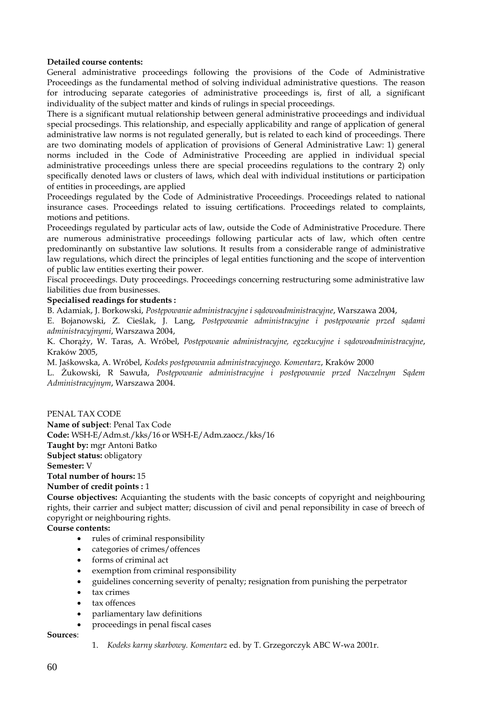## **Detailed course contents:**

General administrative proceedings following the provisions of the Code of Administrative Proceedings as the fundamental method of solving individual administrative questions. The reason for introducing separate categories of administrative proceedings is, first of all, a significant individuality of the subject matter and kinds of rulings in special proceedings.

There is a significant mutual relationship between general administrative proceedings and individual special procsedings. This relationship, and especially applicability and range of application of general administrative law norms is not regulated generally, but is related to each kind of proceedings. There are two dominating models of application of provisions of General Administrative Law: 1) general norms included in the Code of Administrative Proceeding are applied in individual special administrative proceedings unless there are special proceedins regulations to the contrary 2) only specifically denoted laws or clusters of laws, which deal with individual institutions or participation of entities in proceedings, are applied

Proceedings regulated by the Code of Administrative Proceedings. Proceedings related to national insurance cases. Proceedings related to issuing certifications. Proceedings related to complaints, motions and petitions.

Proceedings regulated by particular acts of law, outside the Code of Administrative Procedure. There are numerous administrative proceedings following particular acts of law, which often centre predominantly on substantive law solutions. It results from a considerable range of administrative law regulations, which direct the principles of legal entities functioning and the scope of intervention of public law entities exerting their power.

Fiscal proceedings. Duty proceedings. Proceedings concerning restructuring some administrative law liabilities due from businesses.

## **Specialised readings for students :**

B. Adamiak, J. Borkowski, *Postępowanie administracyjne i sądowoadministracyjne*, Warszawa 2004,

E. Bojanowski, Z. Cieślak, J. Lang, *Postępowanie administracyjne i postępowanie przed sądami administracyjnymi*, Warszawa 2004,

K. Chorąży, W. Taras, A. Wróbel, *Postępowanie administracyjne, egzekucyjne i sądowoadministracyjne*, Kraków 2005,

M. Jaśkowska, A. Wróbel, *Kodeks postępowania administracyjnego. Komentarz*, Kraków 2000

L. Żukowski, R Sawuła, *Postępowanie administracyjne i postępowanie przed Naczelnym Sądem Administracyjnym*, Warszawa 2004.

## PENAL TAX CODE

**Name of subject**: Penal Tax Code **Code:** WSH-E/Adm.st./kks/16 or WSH-E/Adm.zaocz./kks/16 **Taught by:** mgr Antoni Batko **Subject status:** obligatory **Semester:** V **Total number of hours:** 15 **Number of credit points :** 1

**Course objectives:** Acquianting the students with the basic concepts of copyright and neighbouring rights, their carrier and subject matter; discussion of civil and penal reponsibility in case of breech of copyright or neighbouring rights.

**Course contents:**

- rules of criminal responsibility
- categories of crimes/offences
- forms of criminal act
- exemption from criminal responsibility
- guidelines concerning severity of penalty; resignation from punishing the perpetrator
- tax crimes
- tax offences
- parliamentary law definitions
- proceedings in penal fiscal cases

**Sources**:

1. *Kodeks karny skarbowy. Komentarz* ed. by T. Grzegorczyk ABC W-wa 2001r.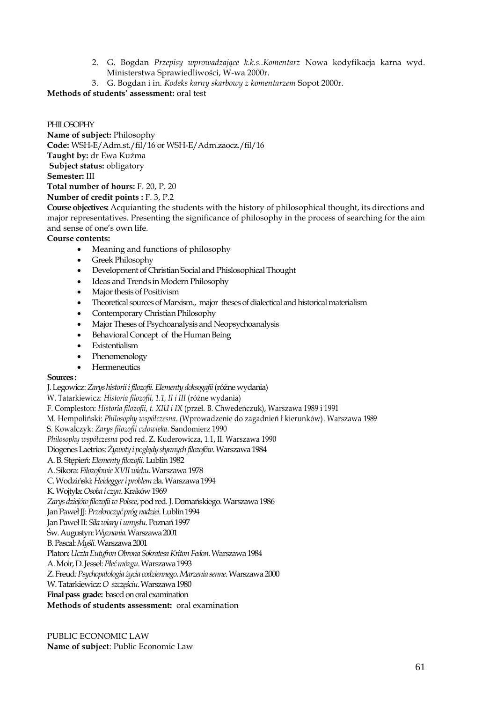- 2. G. Bogdan *Przepisy wprowadzające k.k.s..Komentarz* Nowa kodyfikacja karna wyd. Ministerstwa Sprawiedliwości, W-wa 2000r.
- 3. G. Bogdan i in. *Kodeks karny skarbowy z komentarzem* Sopot 2000r.

**Methods of students' assessment:** oral test

# PHILOSOPHY

**Name of subject:** Philosophy **Code:** WSH-E/Adm.st./fil/16 or WSH-E/Adm.zaocz./fil/16 **Taught by:** dr Ewa Kuźma **Subject status:** obligatory **Semester:** III **Total number of hours:** F. 20, P. 20 **Number of credit points :** F. 3, P.2

**Course objectives:** Acquianting the students with the history of philosophical thought, its directions and major representatives. Presenting the significance of philosophy in the process of searching for the aim and sense of one's own life.

# **Course contents:**

- Meaning and functions of philosophy
- Greek Philosophy
- Development of Christian Social and Phislosophical Thought
- Ideas and Trends in Modern Philosophy
- Major thesis of Positivism
- Theoretical sources of Marxism., major theses of dialectical and historical materialism
- Contemporary Christian Philosophy
- Major Theses of Psychoanalysis and Neopsychoanalysis
- Behavioral Concept of the Human Being
- **Existentialism**
- Phenomenology
- **Hermeneutics**

# **Sources :**

J. Legowicz: *Zarys historii i filozofii. Elementy doksogafii*(różne wydania)

W. Tatarkiewicz: *Historia filozofii, 1.1, II i III* (różne wydania)

F. Compleston: *Historia filozofii, t. XIU i IX* (przeł. B. Chwedeńczuk), Warszawa 1989 i 1991

M. Hempoliński: *Philosophy współczesna*. (Wprowadzenie do zagadnień ł kierunków). Warszawa 1989

S. Kowalczyk: *Zarys filozofii człowieka*. Sandomierz 1990

*Philosophy współczesna* pod red. Z. Kuderowicza, 1.1, II. Warszawa 1990

Diogenes Laetrios: *Żywoty i poglądy słynnych filozofów*. Warszawa 1984

A. B. Stępień: *Elementy filozofii*. Lublin 1982

A. Sikora: *Filozofowie XVII wieku*. Warszawa 1978

C. Wodziński: *Heidegger i problem z*ła. Warszawa 1994

K. Wojtyła: *Osoba i czyn*. Kraków 1969

*Zarys dziejów filozofii w Polsce*, pod red. J. Domańskiego. Warszawa 1986

Jan Paweł JJ: *Przekroczyć próg nadziei*. Lublin 1994

Jan Paweł II: *Siła wiary i umysłu*. Poznań 1997

Św. Augustyn: *Wyznania*. Warszawa 2001

B. Pascal: *Myśli*. Warszawa 2001

Platon: *Uczta Eutyfron Obrona Sokratesa Kriton Fedon*. Warszawa 1984

A. Moir, D. Jessel: *Płeć mózgu*. Warszawa 1993

Z. Freud*: Psychopatologia życia codziennego. Marzenia senne*. Warszawa 2000

W. Tatarkiewicz: *O szczęściu*. Warszawa 1980

**Final pass grade:** based on oral examination

**Methods of students assessment:** oral examination

PUBLIC ECONOMIC LAW **Name of subject**: Public Economic Law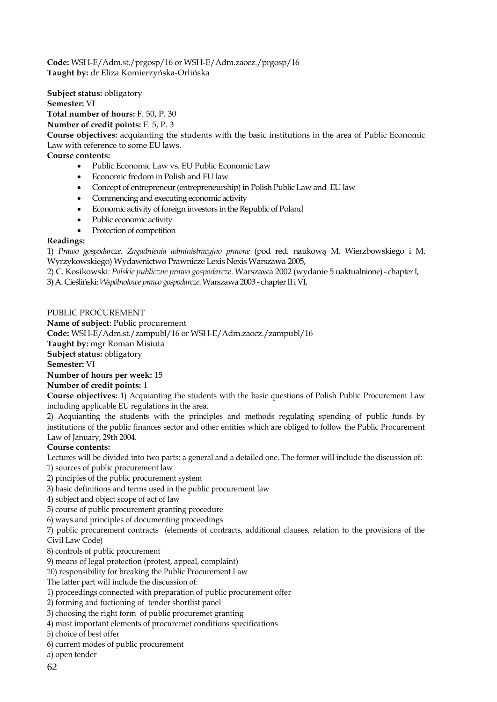**Code:** WSH-E/Adm.st./prgosp/16 or WSH-E/Adm.zaocz./prgosp/16 **Taught by:** dr Eliza Komierzyńska-Orlińska

**Subject status:** obligatory **Semester:** VI **Total number of hours:** F. 50, P. 30 **Number of credit points:** F. 5, P. 3 **Course objectives:** acquianting the students with the basic institutions in the area of Public Economic Law with reference to some EU laws. **Course contents:**

- Public Economic Law vs. EU Public Economic Law
- Economic fredom in Polish and EU law
- Concept of entrepreneur (entrepreneurship) in Polish Public Law and EU law
- Commencing and executing economic activity
- Economic activity of foreign investors in the Republic of Poland
- Public economic activity
- Protection of competition

# **Readings:**

1) *Prawo gospodarcze. Zagadnienia administracyjno prawne* (pod red. naukową M. Wierzbowskiego i M. Wyrzykowskiego) Wydawnictwo Prawnicze Lexis Nexis Warszawa 2005,

2) C. Kosikowski: *Polskie publiczne prawo gospodarcze*. Warszawa 2002 (wydanie 5 uaktualnione) - chapter I,

3) A. Cieśliński: *Wspólnotowe prawo gospodarcze*. Warszawa 2003 - chapter II i VI,

## PUBLIC PROCUREMENT

**Name of subject**: Public procurement

**Code:** WSH-E/Adm.st./zampubl/16 or WSH-E/Adm.zaocz./zampubl/16

**Taught by:** mgr Roman Misiuta

**Subject status:** obligatory

**Semester:** VI

## **Number of hours per week:** 15

# **Number of credit points:** 1

**Course objectives:** 1) Acquianting the students with the basic questions of Polish Public Procurement Law including applicable EU regulations in the area.

2) Acquianting the students with the principles and methods regulating spending of public funds by institutions of the public finances sector and other entities which are obliged to follow the Public Procurement Law of January, 29th 2004.

# **Course contents:**

Lectures will be divided into two parts: a general and a detailed one. The former will include the discussion of:

- 1) sources of public procurement law
- 2) pinciples of the public procurement system
- 3) basic definitions and terms used in the public procurement law
- 4) subject and object scope of act of law
- 5) course of public procurement granting procedure
- 6) ways and principles of documenting proceedings

7) public procurement contracts (elements of contracts, additional clauses, relation to the provisions of the Civil Law Code)

- 8) controls of public procurement
- 9) means of legal protection (protest, appeal, complaint)
- 10) responsibility for breaking the Public Procurement Law
- The latter part will include the discussion of:
- 1) proceedings connected with preparation of public procurement offer
- 2) forming and fuctioning of tender shortlist panel
- 3) choosing the right form of public procuremet granting
- 4) most important elements of procuremet conditions specifications
- 5) choice of best offer
- 6) current modes of public procurement
- a) open tender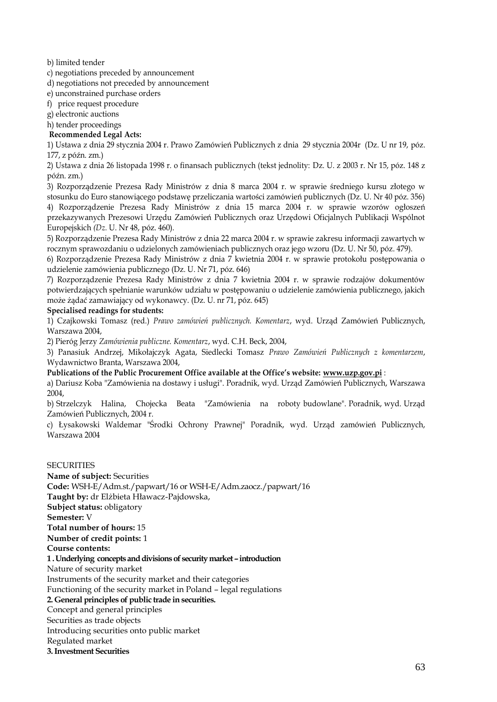b) limited tender

c) negotiations preceded by announcement

d) negotiations not preceded by announcement

e) unconstrained purchase orders

f) price request procedure

g) electronic auctions

h) tender proceedings

**Recommended Legal Acts:**

1) Ustawa z dnia 29 stycznia 2004 r. Prawo Zamówień Publicznych z dnia 29 stycznia 2004r (Dz. U nr 19, póz. 177, z późn. zm.)

2) Ustawa z dnia 26 listopada 1998 r. o finansach publicznych (tekst jednolity: Dz. U. z 2003 r. Nr 15, póz. 148 z późn. zm.)

3) Rozporządzenie Prezesa Rady Ministrów z dnia 8 marca 2004 r. w sprawie średniego kursu złotego w stosunku do Euro stanowiącego podstawę przeliczania wartości zamówień publicznych (Dz. U. Nr 40 póz. 356) 4) Rozporządzenie Prezesa Rady Ministrów z dnia 15 marca 2004 r. w sprawie wzorów ogłoszeń przekazywanych Prezesowi Urzędu Zamówień Publicznych oraz Urzędowi Oficjalnych Publikacji Wspólnot Europejskich *(Dz.* U. Nr 48, póz. 460).

5) Rozporządzenie Prezesa Rady Ministrów z dnia 22 marca 2004 r. w sprawie zakresu informacji zawartych w rocznym sprawozdaniu o udzielonych zamówieniach publicznych oraz jego wzoru (Dz. U. Nr 50, póz. 479).

6) Rozporządzenie Prezesa Rady Ministrów z dnia 7 kwietnia 2004 r. w sprawie protokołu postępowania o udzielenie zamówienia publicznego (Dz. U. Nr 71, póz. 646)

7) Rozporządzenie Prezesa Rady Ministrów z dnia 7 kwietnia 2004 r. w sprawie rodzajów dokumentów potwierdzających spełnianie warunków udziału w postępowaniu o udzielenie zamówienia publicznego, jakich może żądać zamawiający od wykonawcy. (Dz. U. nr 71, póz. 645)

## **Specialised readings for students:**

1) Czajkowski Tomasz (red.) *Prawo zamówień publicznych. Komentarz*, wyd. Urząd Zamówień Publicznych, Warszawa 2004,

2) Pieróg Jerzy *Zamówienia publiczne. Komentarz*, wyd. C.H. Beck, 2004,

3) Panasiuk Andrzej, Mikołajczyk Agata, Siedlecki Tomasz *Prawo Zamówień Publicznych z komentarzem*, Wydawnictwo Branta, Warszawa 2004,

**Publications of the Public Procurement Office available at the Office's website: www.uzp.gov.pi** :

a) Dariusz Koba "Zamówienia na dostawy i usługi". Poradnik, wyd. Urząd Zamówień Publicznych, Warszawa 2004,

b) Strzelczyk Halina, Chojecka Beata "Zamówienia na roboty budowlane". Poradnik, wyd. Urząd Zamówień Publicznych, 2004 r.

c) Łysakowski Waldemar "Środki Ochrony Prawnej" Poradnik, wyd. Urząd zamówień Publicznych, Warszawa 2004

## **SECURITIES Name of subject:** Securities **Code:** WSH-E/Adm.st./papwart/16 or WSH-E/Adm.zaocz./papwart/16 **Taught by:** dr Elżbieta Hławacz-Pajdowska, **Subject status:** obligatory **Semester:** V **Total number of hours:** 15 **Number of credit points:** 1 **Course contents: 1 . Underlying concepts and divisions of security market –introduction**  Nature of security market Instruments of the security market and their categories Functioning of the security market in Poland – legal regulations **2. General principles of public trade in securities.** Concept and general principles Securities as trade objects Introducing securities onto public market Regulated market **3. Investment Securities**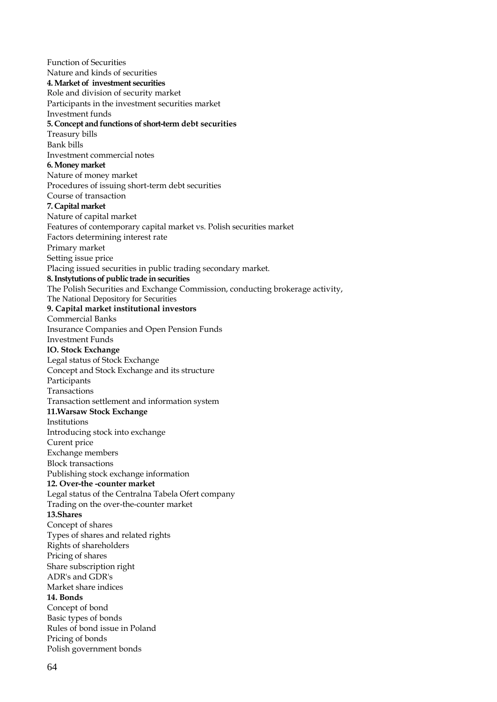Function of Securities Nature and kinds of securities **4. Market of investment securities** Role and division of security market Participants in the investment securities market Investment funds **5. Concept and functions of short-term debt securities** Treasury bills Bank bills Investment commercial notes **6. Money market** Nature of money market Procedures of issuing short-term debt securities Course of transaction **7. Capital market** Nature of capital market Features of contemporary capital market vs. Polish securities market Factors determining interest rate Primary market Setting issue price Placing issued securities in public trading secondary market. **8. Instytutions of public trade in securities** The Polish Securities and Exchange Commission, conducting brokerage activity, The National Depository for Securities **9. Capital market institutional investors** Commercial Banks Insurance Companies and Open Pension Funds Investment Funds **lO. Stock Exchange** Legal status of Stock Exchange Concept and Stock Exchange and its structure Participants Transactions Transaction settlement and information system **11.Warsaw Stock Exchange** Institutions Introducing stock into exchange Curent price Exchange members Block transactions Publishing stock exchange information **12. Over-the -counter market** Legal status of the Centralna Tabela Ofert company Trading on the over-the-counter market **13.Shares** Concept of shares Types of shares and related rights Rights of shareholders Pricing of shares Share subscription right ADR's and GDR's Market share indices **14. Bonds** Concept of bond Basic types of bonds Rules of bond issue in Poland Pricing of bonds Polish government bonds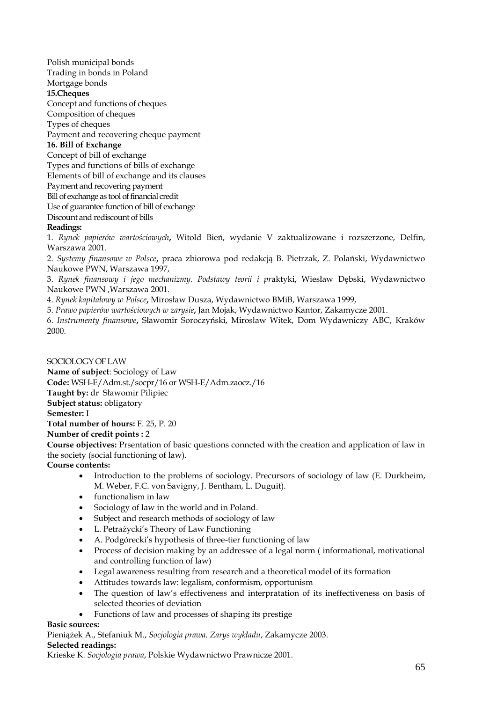Polish municipal bonds Trading in bonds in Poland Mortgage bonds **15.Cheques** Concept and functions of cheques Composition of cheques Types of cheques Payment and recovering cheque payment **16. Bill of Exchange**  Concept of bill of exchange Types and functions of bills of exchange Elements of bill of exchange and its clauses Payment and recovering payment Bill of exchange as tool of financial credit Use of guarantee function of bill of exchange Discount and rediscount of bills **Readings:**

1. *Rynek papierów wartościowych***,** Witold Bień, wydanie V zaktualizowane i rozszerzone, Delfin, Warszawa 2001.

2. *Systemy finansowe w Polsce***,** praca zbiorowa pod redakcją B. Pietrzak, Z. Polański, Wydawnictwo Naukowe PWN, Warszawa 1997,

3. *Rynek finansowy i jego mechanizmy. Podstawy teorii i pr*aktyki**,** Wiesław Dębski, Wydawnictwo Naukowe PWN ,Warszawa 2001.

4. *Rynek kapitałowy w Polsce***,** Mirosław Dusza, Wydawnictwo BMiB, Warszawa 1999,

5. *Prawo papierów wartościowych w zarysie***,** Jan Mojak, Wydawnictwo Kantor, Zakamycze 2001.

6. *Instrumenty finansowe***,** Sławomir Soroczyński, Mirosław Witek, Dom Wydawniczy ABC, Kraków 2000.

SOCIOLOGY OF LAW **Name of subject**: Sociology of Law **Code:** WSH-E/Adm.st./socpr/16 or WSH-E/Adm.zaocz./16 **Taught by:** dr Sławomir Pilipiec **Subject status:** obligatory **Semester:** I **Total number of hours:** F. 25, P. 20 **Number of credit points :** 2

**Course objectives:** Prsentation of basic questions conncted with the creation and application of law in the society (social functioning of law).

**Course contents:**

- Introduction to the problems of sociology. Precursors of sociology of law (E. Durkheim, M. Weber, F.C. von Savigny, J. Bentham, L. Duguit).
- functionalism in law
- Sociology of law in the world and in Poland.
- Subject and research methods of sociology of law
- L. Petrażycki's Theory of Law Functioning
- A. Podgórecki's hypothesis of three-tier functioning of law
- Process of decision making by an addressee of a legal norm ( informational, motivational and controlling function of law)
- Legal awareness resulting from research and a theoretical model of its formation
- Attitudes towards law: legalism, conformism, opportunism
- The question of law's effectiveness and interpratation of its ineffectiveness on basis of selected theories of deviation
- Functions of law and processes of shaping its prestige

## **Basic sources:**

Pieniążek A., Stefaniuk M., *Socjologia prawa. Zarys wykładu*, Zakamycze 2003. **Selected readings:**

Krieske K*. Socjologia prawa*, Polskie Wydawnictwo Prawnicze 2001.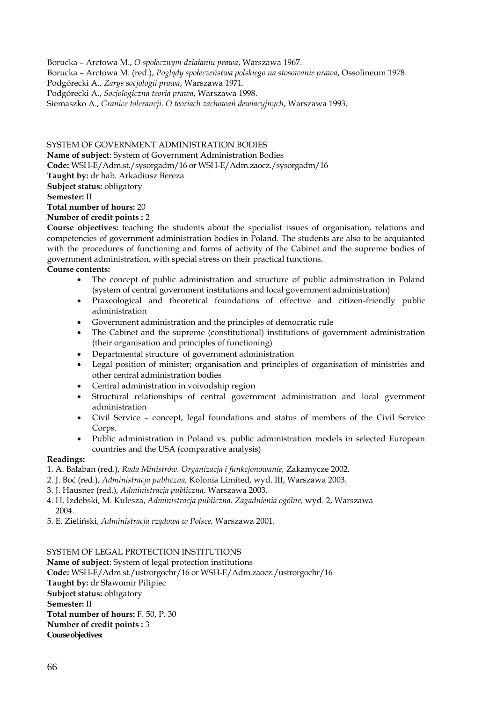Borucka – Arctowa M., *O społecznym działaniu prawa*, Warszawa 1967. Borucka – Arctowa M. (red.), *Poglądy społeczeństwa polskiego na stosowanie prawa*, Ossolineum 1978. Podgórecki A., *Zarys socjologii prawa*, Warszawa 1971. Podgórecki A., *Socjologiczna teoria prawa*, Warszawa 1998. Siemaszko A., *Granice tolerancji. O teoriach zachowań dewiacyjnych*, Warszawa 1993.

SYSTEM OF GOVERNMENT ADMINISTRATION BODIES

**Name of subject**: System of Government Administration Bodies **Code:** WSH-E/Adm.st./sysorgadm/16 or WSH-E/Adm.zaocz./sysorgadm/16 **Taught by:** dr hab. Arkadiusz Bereza **Subject status:** obligatory **Semester:** II **Total number of hours:** 20

**Number of credit points :** 2

**Course objectives:** teaching the students about the specialist issues of organisation, relations and competencies of government administration bodies in Poland. The students are also to be acquianted with the procedures of functioning and forms of activity of the Cabinet and the supreme bodies of government administration, with special stress on their practical functions.

**Course contents:**

- The concept of public administration and structure of public administration in Poland (system of central government institutions and local government administration)
- Praxeological and theoretical foundations of effective and citizen-friendly public administration
- Government administration and the principles of democratic rule
- The Cabinet and the supreme (constitutional) institutions of government administration (their organisation and principles of functioning)
- Departmental structure of government administration
- Legal position of minister; organisation and principles of organisation of ministries and other central administration bodies
- Central administration in voivodship region
- Structural relationships of central government administration and local gvernment administration
- Civil Service concept, legal foundations and status of members of the Civil Service Corps.
- Public administration in Poland vs. public administration models in selected European countries and the USA (comparative analysis)

# **Readings:**

- 1. A. Bałaban (red.), *Rada Ministrów. Organizacja i funkcjonowanie,* Zakamycze 2002.
- 2. J. Boć (red.), *Administracja publiczna,* Kolonia Limited, wyd. III, Warszawa 2003.
- 3. J. Hausner (red.), *Administracja publiczna,* Warszawa 2003.
- 4. H. Izdebski, M. Kulesza, *Administracja publiczna. Zagadnienia ogólne,* wyd. 2, Warszawa 2004.
- 5. E. Zieliński, *Administracja rządowa w Polsce,* Warszawa 2001.

# SYSTEM OF LEGAL PROTECTION INSTITUTIONS

**Name of subject**: System of legal protection institutions **Code:** WSH-E/Adm.st./ustrorgochr/16 or WSH-E/Adm.zaocz./ustrorgochr/16 **Taught by:** dr Sławomir Pilipiec **Subject status:** obligatory **Semester:** II **Total number of hours:** F. 50, P. 30 **Number of credit points :** 3 **Course objectives:**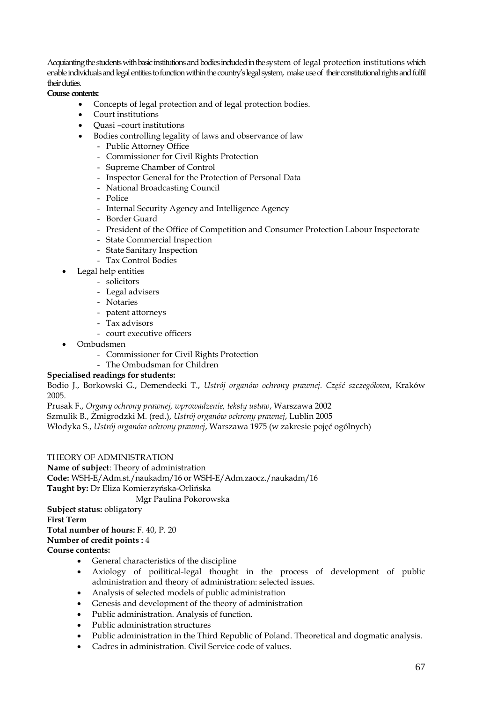Acquianting the students with basic institutions and bodies included in the system of legal protection institutions which enable individuals and legal entities to function within the country's legal system, make use of their constitutional rights and fulfil their duties.

**Course contents:**

- Concepts of legal protection and of legal protection bodies.
- Court institutions
- Quasi –court institutions
- Bodies controlling legality of laws and observance of law
	- Public Attorney Office
	- Commissioner for Civil Rights Protection
	- Supreme Chamber of Control
	- Inspector General for the Protection of Personal Data
	- National Broadcasting Council
	- Police
	- Internal Security Agency and Intelligence Agency
	- Border Guard
	- President of the Office of Competition and Consumer Protection Labour Inspectorate
	- State Commercial Inspection
	- State Sanitary Inspection
	- Tax Control Bodies
- Legal help entities
	- solicitors
	- Legal advisers
	- Notaries
	- patent attorneys
	- Tax advisors
	- court executive officers
- Ombudsmen
	- Commissioner for Civil Rights Protection
	- The Ombudsman for Children

# **Specialised readings for students:**

Bodio J., Borkowski G., Demendecki T., *Ustrój organów ochrony prawnej. Część szczegółowa*, Kraków 2005.

Prusak F., *Organy ochrony prawnej, wprowadzenie, teksty ustaw*, Warszawa 2002

Szmulik B., Żmigrodzki M. (red.), *Ustrój organów ochrony prawnej*, Lublin 2005

Włodyka S., *Ustrój organów ochrony prawnej*, Warszawa 1975 (w zakresie pojęć ogólnych)

THEORY OF ADMINISTRATION

**Name of subject**: Theory of administration

**Code:** WSH-E/Adm.st./naukadm/16 or WSH-E/Adm.zaocz./naukadm/16

**Taught by:** Dr Eliza Komierzyńska-Orlińska

Mgr Paulina Pokorowska

**Subject status:** obligatory

**First Term** 

**Total number of hours:** F. 40, P. 20

**Number of credit points :** 4

**Course contents:**

- General characteristics of the discipline
- Axiology of poilitical-legal thought in the process of development of public administration and theory of administration: selected issues.
- Analysis of selected models of public administration
- Genesis and development of the theory of administration
- Public administration. Analysis of function.
- Public administration structures
- Public administration in the Third Republic of Poland. Theoretical and dogmatic analysis.
- Cadres in administration. Civil Service code of values.